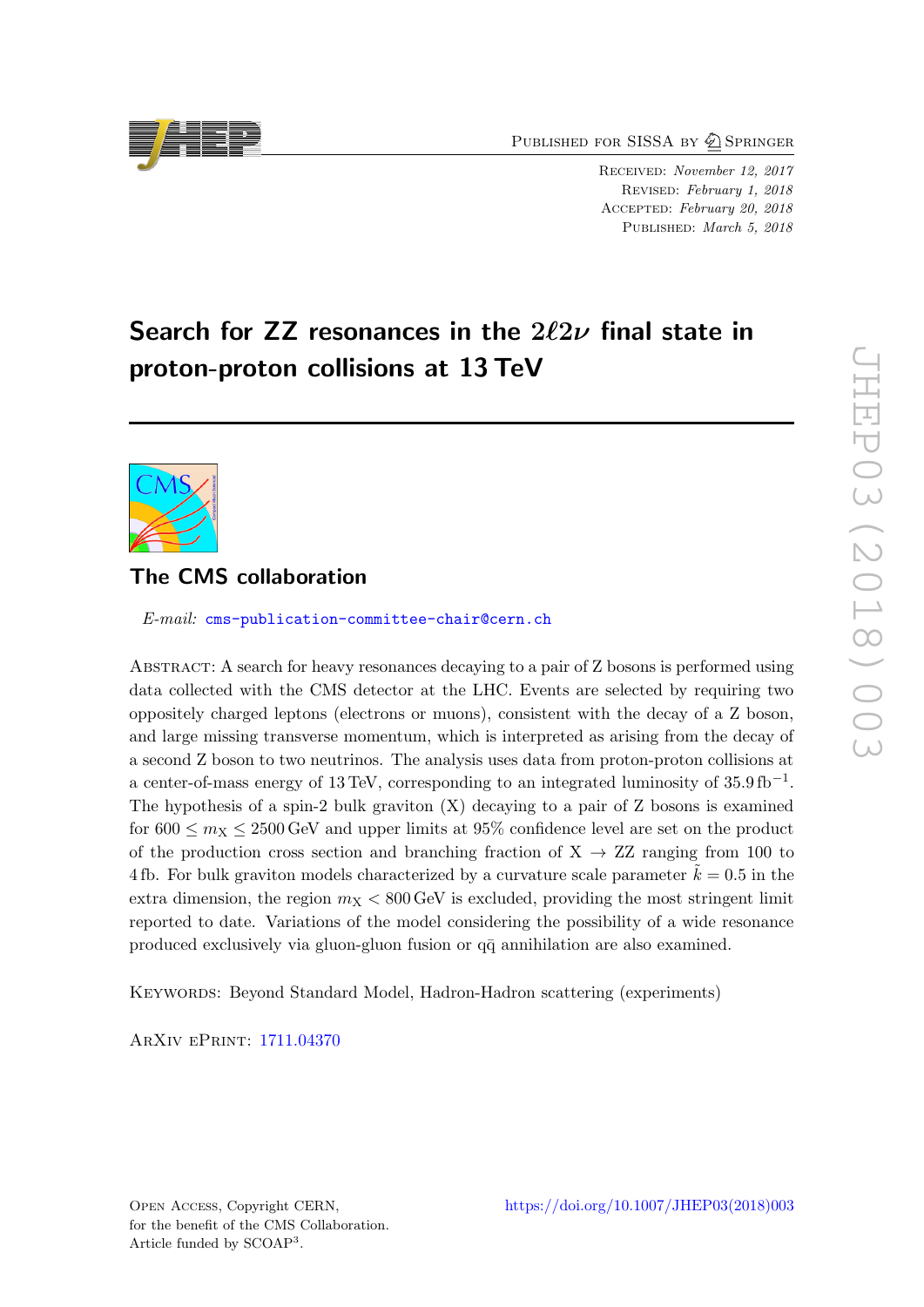PUBLISHED FOR SISSA BY 2 SPRINGER

Received: November 12, 2017 Revised: February 1, 2018 Accepted: February 20, 2018 PUBLISHED: March 5, 2018

# Search for ZZ resonances in the  $2\ell 2\nu$  final state in proton-proton collisions at 13 TeV



# The CMS collaboration

E-mail: [cms-publication-committee-chair@cern.ch](mailto:cms-publication-committee-chair@cern.ch)

Abstract: A search for heavy resonances decaying to a pair of Z bosons is performed using data collected with the CMS detector at the LHC. Events are selected by requiring two oppositely charged leptons (electrons or muons), consistent with the decay of a Z boson, and large missing transverse momentum, which is interpreted as arising from the decay of a second Z boson to two neutrinos. The analysis uses data from proton-proton collisions at a center-of-mass energy of 13 TeV, corresponding to an integrated luminosity of  $35.9 \text{ fb}^{-1}$ . The hypothesis of a spin-2 bulk graviton (X) decaying to a pair of Z bosons is examined for  $600 \leq m_{\rm X} \leq 2500$  GeV and upper limits at 95% confidence level are set on the product of the production cross section and branching fraction of  $X \to ZZ$  ranging from 100 to 4 fb. For bulk graviton models characterized by a curvature scale parameter  $k = 0.5$  in the extra dimension, the region  $m<sub>X</sub> < 800$  GeV is excluded, providing the most stringent limit reported to date. Variations of the model considering the possibility of a wide resonance produced exclusively via gluon-gluon fusion or  $q\bar{q}$  annihilation are also examined.

Keywords: Beyond Standard Model, Hadron-Hadron scattering (experiments)

ArXiv ePrint: [1711.04370](https://arxiv.org/abs/1711.04370)

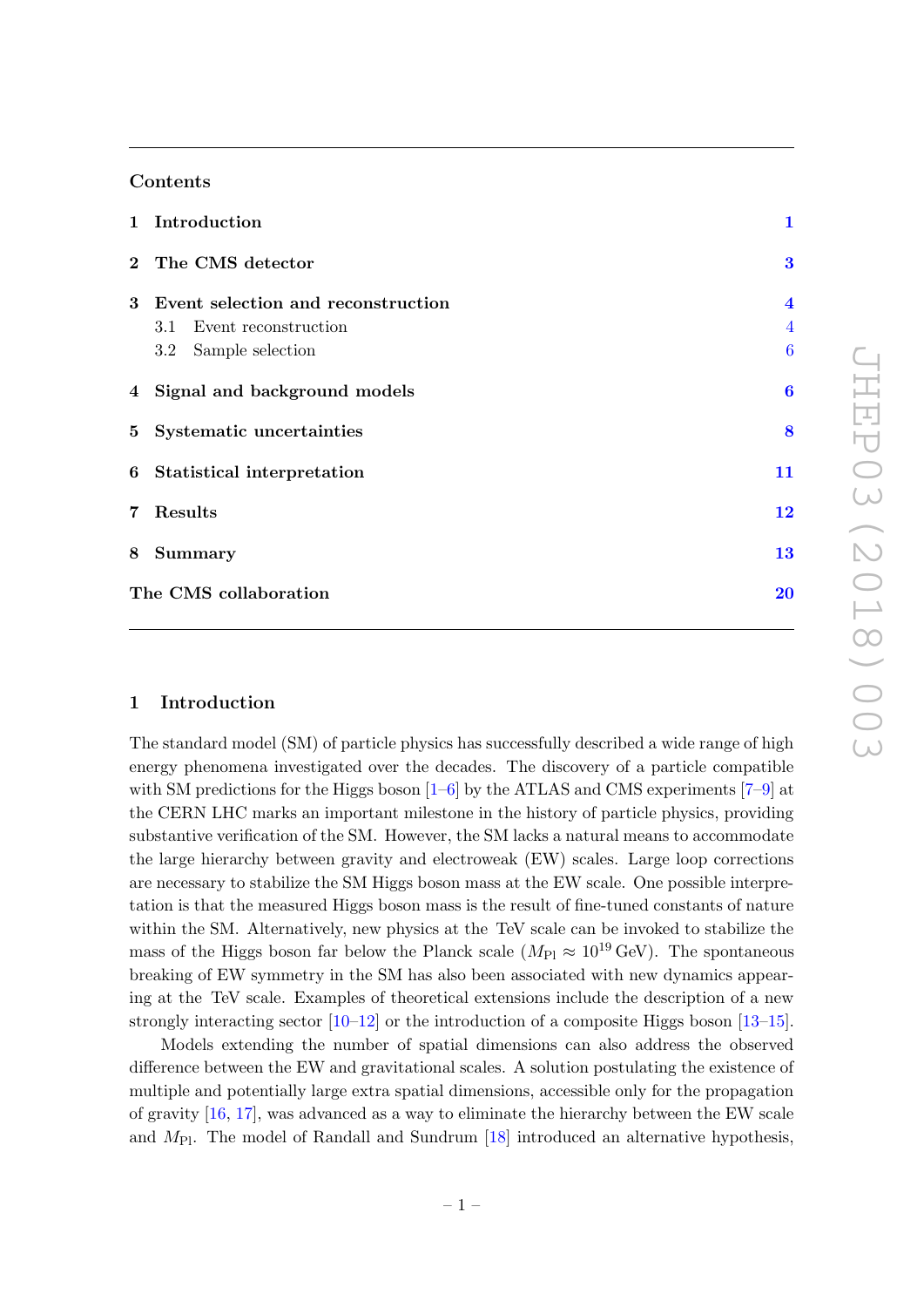### Contents

|                       | 1 Introduction                       | $\mathbf{1}$            |  |  |
|-----------------------|--------------------------------------|-------------------------|--|--|
|                       | 2 The CMS detector                   | 3                       |  |  |
|                       | 3 Event selection and reconstruction | $\overline{\mathbf{4}}$ |  |  |
|                       | 3.1 Event reconstruction             | $\overline{4}$          |  |  |
|                       | 3.2 Sample selection                 | $\overline{6}$          |  |  |
|                       | 4 Signal and background models       | $\boldsymbol{6}$        |  |  |
|                       | 5 Systematic uncertainties           | 8                       |  |  |
|                       | 11<br>6 Statistical interpretation   |                         |  |  |
|                       | 7 Results                            | 12                      |  |  |
|                       | 8 Summary                            | 13                      |  |  |
| The CMS collaboration |                                      |                         |  |  |

# <span id="page-1-0"></span>1 Introduction

The standard model (SM) of particle physics has successfully described a wide range of high energy phenomena investigated over the decades. The discovery of a particle compatible with SM predictions for the Higgs boson  $[1-6]$  $[1-6]$  by the ATLAS and CMS experiments  $[7-9]$  $[7-9]$  at the CERN LHC marks an important milestone in the history of particle physics, providing substantive verification of the SM. However, the SM lacks a natural means to accommodate the large hierarchy between gravity and electroweak (EW) scales. Large loop corrections are necessary to stabilize the SM Higgs boson mass at the EW scale. One possible interpretation is that the measured Higgs boson mass is the result of fine-tuned constants of nature within the SM. Alternatively, new physics at the TeV scale can be invoked to stabilize the mass of the Higgs boson far below the Planck scale ( $M_{\text{Pl}} \approx 10^{19} \text{ GeV}$ ). The spontaneous breaking of EW symmetry in the SM has also been associated with new dynamics appearing at the TeV scale. Examples of theoretical extensions include the description of a new strongly interacting sector [\[10](#page-16-3)[–12\]](#page-16-4) or the introduction of a composite Higgs boson [\[13–](#page-16-5)[15\]](#page-16-6).

Models extending the number of spatial dimensions can also address the observed difference between the EW and gravitational scales. A solution postulating the existence of multiple and potentially large extra spatial dimensions, accessible only for the propagation of gravity [\[16,](#page-16-7) [17\]](#page-16-8), was advanced as a way to eliminate the hierarchy between the EW scale and  $M_{\text{Pl}}$ . The model of Randall and Sundrum [\[18\]](#page-16-9) introduced an alternative hypothesis,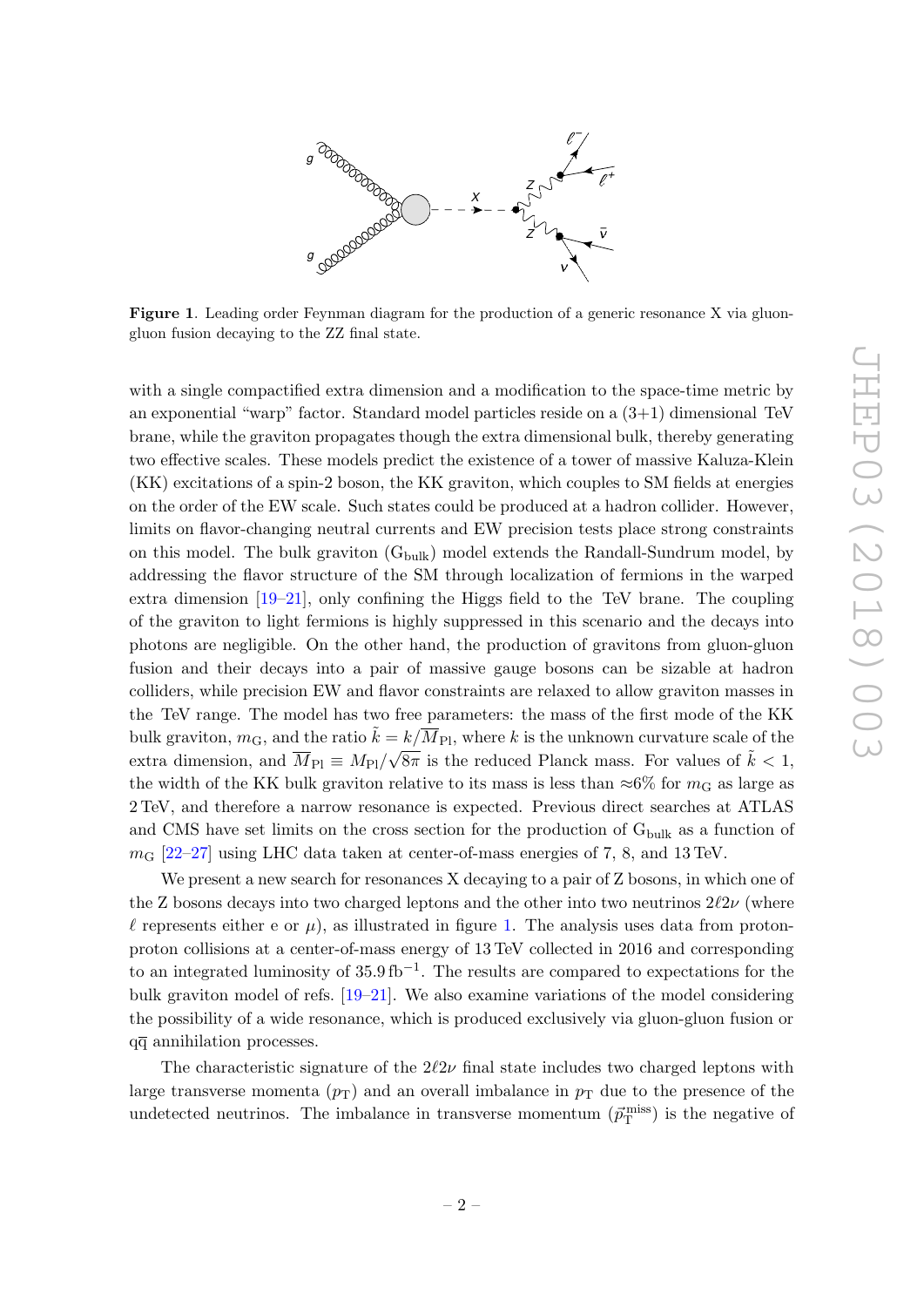

<span id="page-2-0"></span>Figure 1. Leading order Feynman diagram for the production of a generic resonance X via gluongluon fusion decaying to the ZZ final state.

with a single compactified extra dimension and a modification to the space-time metric by an exponential "warp" factor. Standard model particles reside on a (3+1) dimensional TeV brane, while the graviton propagates though the extra dimensional bulk, thereby generating two effective scales. These models predict the existence of a tower of massive Kaluza-Klein (KK) excitations of a spin-2 boson, the KK graviton, which couples to SM fields at energies on the order of the EW scale. Such states could be produced at a hadron collider. However, limits on flavor-changing neutral currents and EW precision tests place strong constraints on this model. The bulk graviton  $(G_{\text{bulk}})$  model extends the Randall-Sundrum model, by addressing the flavor structure of the SM through localization of fermions in the warped extra dimension [\[19–](#page-16-10)[21\]](#page-16-11), only confining the Higgs field to the TeV brane. The coupling of the graviton to light fermions is highly suppressed in this scenario and the decays into photons are negligible. On the other hand, the production of gravitons from gluon-gluon fusion and their decays into a pair of massive gauge bosons can be sizable at hadron colliders, while precision EW and flavor constraints are relaxed to allow graviton masses in the TeV range. The model has two free parameters: the mass of the first mode of the KK bulk graviton,  $m_G$ , and the ratio  $\tilde{k} = k/\overline{M}_{\text{Pl}}$ , where k is the unknown curvature scale of the extra dimension, and  $\overline{M}_{\text{Pl}} \equiv M_{\text{Pl}}/\sqrt{8\pi}$  is the reduced Planck mass. For values of  $\tilde{k} < 1$ , the width of the KK bulk graviton relative to its mass is less than  $\approx 6\%$  for  $m<sub>G</sub>$  as large as 2 TeV, and therefore a narrow resonance is expected. Previous direct searches at ATLAS and CMS have set limits on the cross section for the production of  $G_{bulk}$  as a function of  $m<sub>G</sub>$  [\[22–](#page-17-0)[27\]](#page-17-1) using LHC data taken at center-of-mass energies of 7, 8, and 13 TeV.

We present a new search for resonances X decaying to a pair of Z bosons, in which one of the Z bosons decays into two charged leptons and the other into two neutrinos  $2\ell 2\nu$  (where l represents either e or  $\mu$ ), as illustrated in figure [1.](#page-2-0) The analysis uses data from protonproton collisions at a center-of-mass energy of 13 TeV collected in 2016 and corresponding to an integrated luminosity of  $35.9 \text{ fb}^{-1}$ . The results are compared to expectations for the bulk graviton model of refs. [\[19](#page-16-10)[–21\]](#page-16-11). We also examine variations of the model considering the possibility of a wide resonance, which is produced exclusively via gluon-gluon fusion or  $q\overline{q}$  annihilation processes.

The characteristic signature of the  $2\ell2\nu$  final state includes two charged leptons with large transverse momenta  $(p_T)$  and an overall imbalance in  $p_T$  due to the presence of the undetected neutrinos. The imbalance in transverse momentum  $(\vec{p}_{\text{T}}^{\text{miss}})$  is the negative of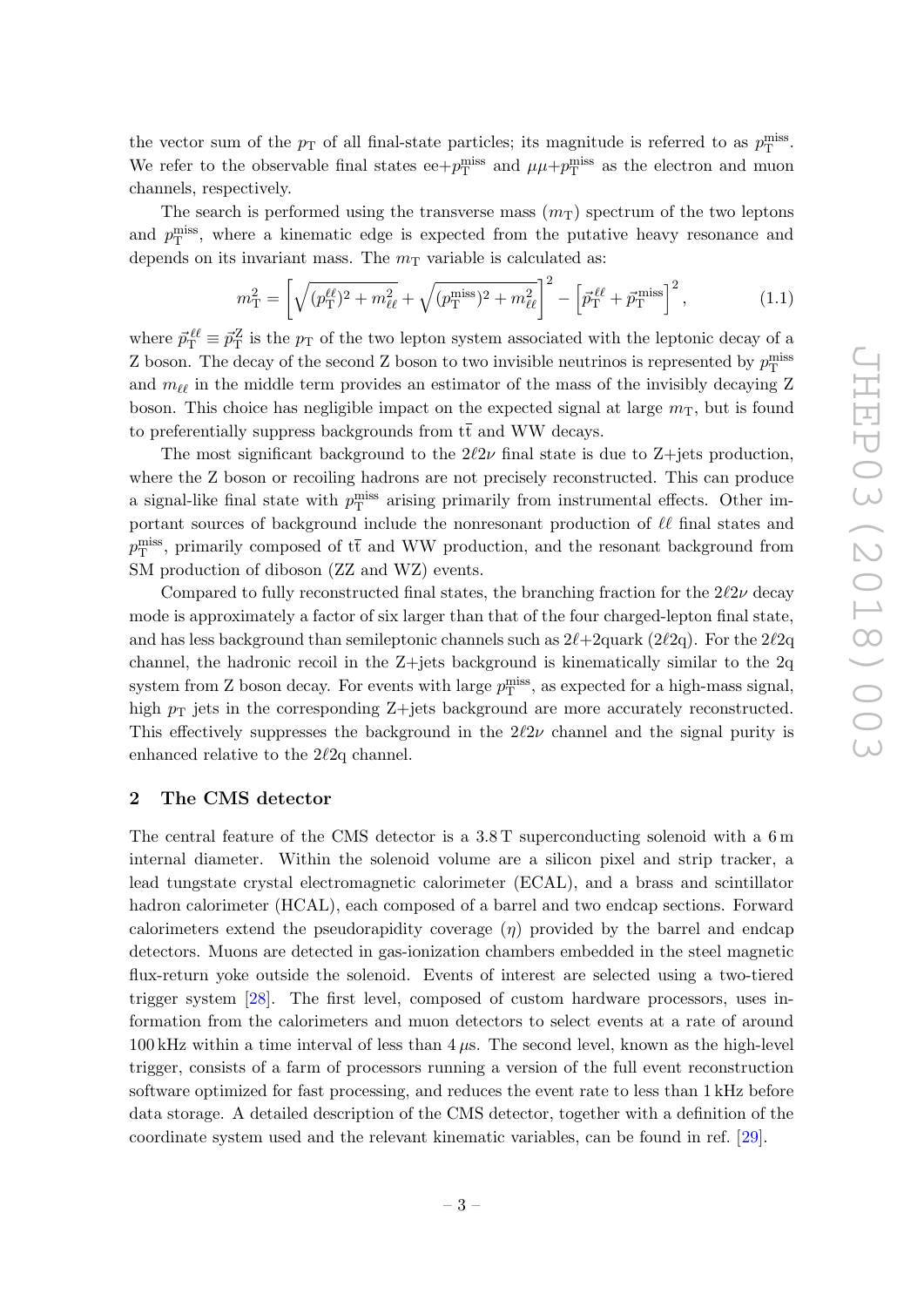the vector sum of the  $p_T$  of all final-state particles; its magnitude is referred to as  $p_T^{\text{miss}}$ . We refer to the observable final states  $ee+p_T^{\text{miss}}$  and  $\mu\mu+p_T^{\text{miss}}$  as the electron and muon channels, respectively.

The search is performed using the transverse mass  $(m<sub>T</sub>)$  spectrum of the two leptons and  $p_T^{\text{miss}}$ , where a kinematic edge is expected from the putative heavy resonance and depends on its invariant mass. The  $m<sub>T</sub>$  variable is calculated as:

<span id="page-3-1"></span>
$$
m_{\rm T}^2 = \left[ \sqrt{(p_{\rm T}^{\ell\ell})^2 + m_{\ell\ell}^2} + \sqrt{(p_{\rm T}^{\rm miss})^2 + m_{\ell\ell}^2} \right]^2 - \left[ \vec{p}_{\rm T}^{\ell\ell} + \vec{p}_{\rm T}^{\rm miss} \right]^2, \tag{1.1}
$$

where  $\vec{p}_{\rm T}^{\,\ell\ell} \equiv \vec{p}_{\rm T}^{\,Z}$  is the  $p_{\rm T}$  of the two lepton system associated with the leptonic decay of a Z boson. The decay of the second Z boson to two invisible neutrinos is represented by  $p_T^{\text{miss}}$ and  $m_{\ell\ell}$  in the middle term provides an estimator of the mass of the invisibly decaying Z boson. This choice has negligible impact on the expected signal at large  $m<sub>T</sub>$ , but is found to preferentially suppress backgrounds from  $t\bar{t}$  and WW decays.

The most significant background to the  $2\ell 2\nu$  final state is due to Z+jets production, where the Z boson or recoiling hadrons are not precisely reconstructed. This can produce a signal-like final state with  $p_T^{\text{miss}}$  arising primarily from instrumental effects. Other important sources of background include the nonresonant production of  $\ell\ell$  final states and  $p_T^{\text{miss}}$ , primarily composed of  $t\bar{t}$  and WW production, and the resonant background from SM production of diboson (ZZ and WZ) events.

Compared to fully reconstructed final states, the branching fraction for the  $2\ell 2\nu$  decay mode is approximately a factor of six larger than that of the four charged-lepton final state, and has less background than semileptonic channels such as  $2\ell+2q$ uark (2 $\ell$ 2q). For the 2 $\ell$ 2q channel, the hadronic recoil in the Z+jets background is kinematically similar to the 2q system from Z boson decay. For events with large  $p_T^{\text{miss}}$ , as expected for a high-mass signal, high  $p_T$  jets in the corresponding Z+jets background are more accurately reconstructed. This effectively suppresses the background in the  $2\ell 2\nu$  channel and the signal purity is enhanced relative to the  $2\ell 2q$  channel.

#### <span id="page-3-0"></span>2 The CMS detector

The central feature of the CMS detector is a 3.8 T superconducting solenoid with a 6 m internal diameter. Within the solenoid volume are a silicon pixel and strip tracker, a lead tungstate crystal electromagnetic calorimeter (ECAL), and a brass and scintillator hadron calorimeter (HCAL), each composed of a barrel and two endcap sections. Forward calorimeters extend the pseudorapidity coverage  $(\eta)$  provided by the barrel and endcap detectors. Muons are detected in gas-ionization chambers embedded in the steel magnetic flux-return yoke outside the solenoid. Events of interest are selected using a two-tiered trigger system [\[28\]](#page-17-2). The first level, composed of custom hardware processors, uses information from the calorimeters and muon detectors to select events at a rate of around  $100 \text{ kHz}$  within a time interval of less than  $4 \mu s$ . The second level, known as the high-level trigger, consists of a farm of processors running a version of the full event reconstruction software optimized for fast processing, and reduces the event rate to less than 1 kHz before data storage. A detailed description of the CMS detector, together with a definition of the coordinate system used and the relevant kinematic variables, can be found in ref. [\[29\]](#page-17-3).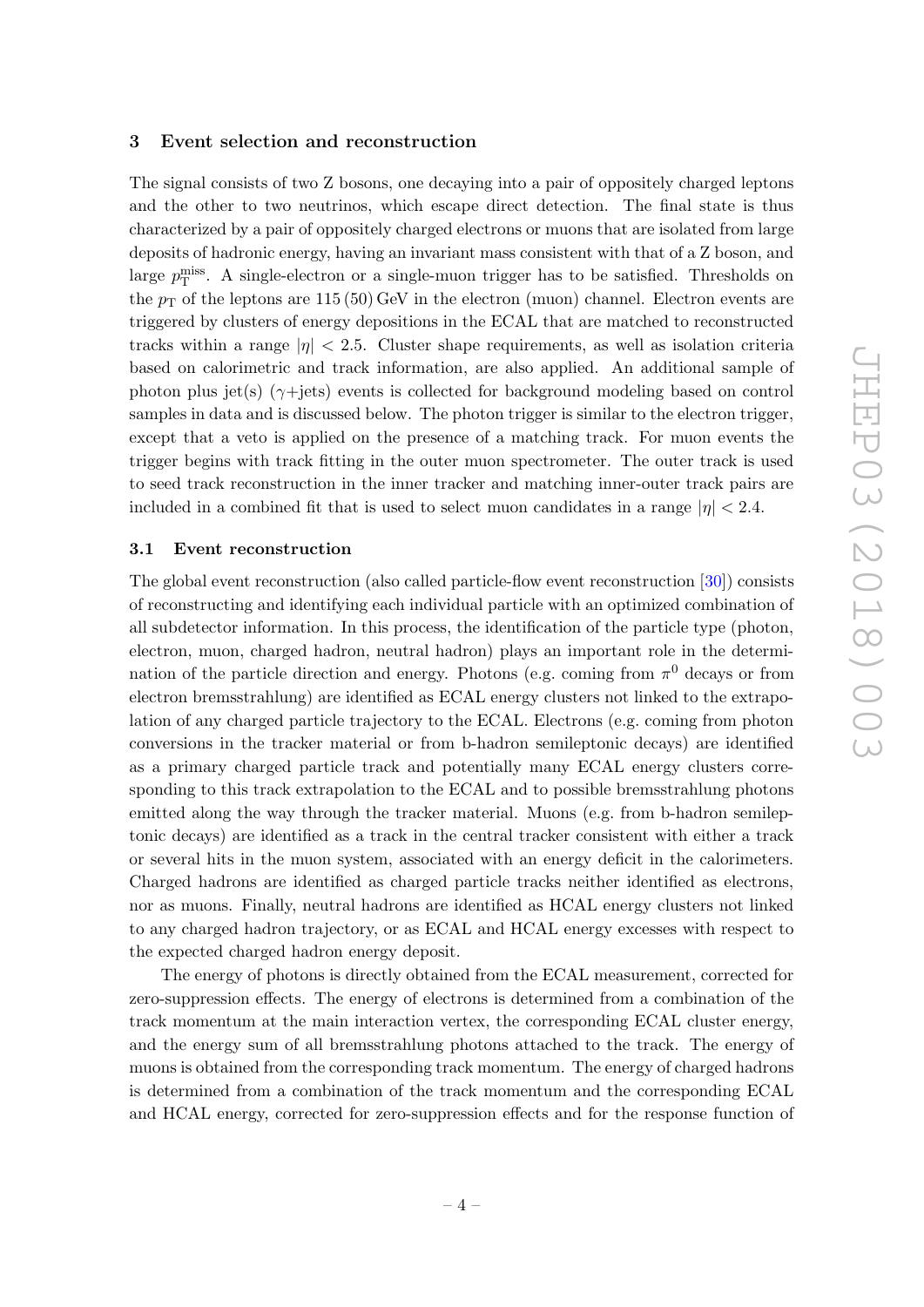#### <span id="page-4-0"></span>3 Event selection and reconstruction

The signal consists of two Z bosons, one decaying into a pair of oppositely charged leptons and the other to two neutrinos, which escape direct detection. The final state is thus characterized by a pair of oppositely charged electrons or muons that are isolated from large deposits of hadronic energy, having an invariant mass consistent with that of a Z boson, and large  $p_T^{\text{miss}}$ . A single-electron or a single-muon trigger has to be satisfied. Thresholds on the  $p_T$  of the leptons are 115 (50) GeV in the electron (muon) channel. Electron events are triggered by clusters of energy depositions in the ECAL that are matched to reconstructed tracks within a range  $|\eta| < 2.5$ . Cluster shape requirements, as well as isolation criteria based on calorimetric and track information, are also applied. An additional sample of photon plus jet(s) ( $\gamma$ +jets) events is collected for background modeling based on control samples in data and is discussed below. The photon trigger is similar to the electron trigger, except that a veto is applied on the presence of a matching track. For muon events the trigger begins with track fitting in the outer muon spectrometer. The outer track is used to seed track reconstruction in the inner tracker and matching inner-outer track pairs are included in a combined fit that is used to select muon candidates in a range  $|\eta| < 2.4$ .

#### <span id="page-4-1"></span>3.1 Event reconstruction

The global event reconstruction (also called particle-flow event reconstruction [\[30\]](#page-17-4)) consists of reconstructing and identifying each individual particle with an optimized combination of all subdetector information. In this process, the identification of the particle type (photon, electron, muon, charged hadron, neutral hadron) plays an important role in the determination of the particle direction and energy. Photons (e.g. coming from  $\pi^0$  decays or from electron bremsstrahlung) are identified as ECAL energy clusters not linked to the extrapolation of any charged particle trajectory to the ECAL. Electrons (e.g. coming from photon conversions in the tracker material or from b-hadron semileptonic decays) are identified as a primary charged particle track and potentially many ECAL energy clusters corresponding to this track extrapolation to the ECAL and to possible bremsstrahlung photons emitted along the way through the tracker material. Muons (e.g. from b-hadron semileptonic decays) are identified as a track in the central tracker consistent with either a track or several hits in the muon system, associated with an energy deficit in the calorimeters. Charged hadrons are identified as charged particle tracks neither identified as electrons, nor as muons. Finally, neutral hadrons are identified as HCAL energy clusters not linked to any charged hadron trajectory, or as ECAL and HCAL energy excesses with respect to the expected charged hadron energy deposit.

The energy of photons is directly obtained from the ECAL measurement, corrected for zero-suppression effects. The energy of electrons is determined from a combination of the track momentum at the main interaction vertex, the corresponding ECAL cluster energy, and the energy sum of all bremsstrahlung photons attached to the track. The energy of muons is obtained from the corresponding track momentum. The energy of charged hadrons is determined from a combination of the track momentum and the corresponding ECAL and HCAL energy, corrected for zero-suppression effects and for the response function of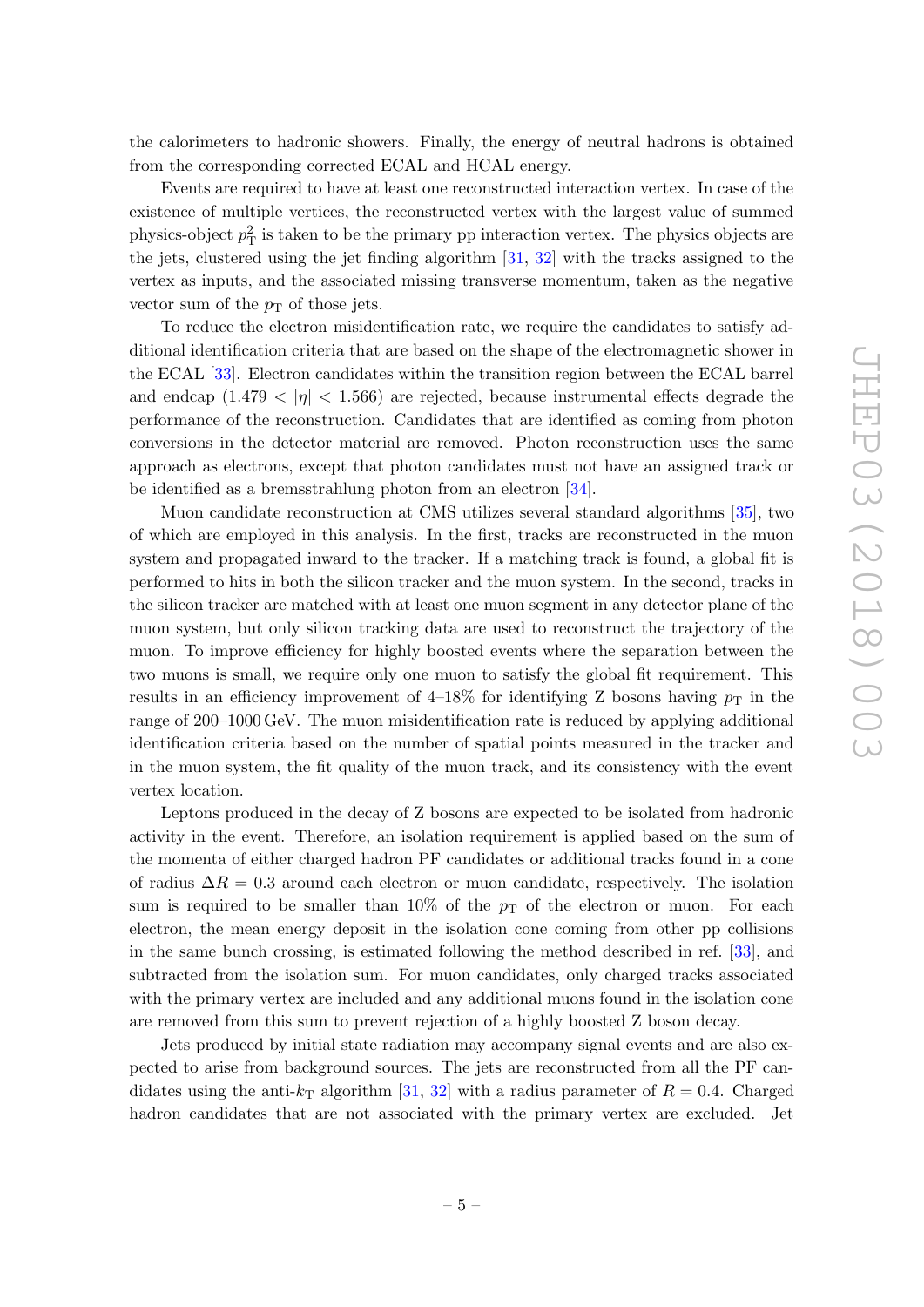the calorimeters to hadronic showers. Finally, the energy of neutral hadrons is obtained from the corresponding corrected ECAL and HCAL energy.

Events are required to have at least one reconstructed interaction vertex. In case of the existence of multiple vertices, the reconstructed vertex with the largest value of summed physics-object  $p_T^2$  is taken to be the primary pp interaction vertex. The physics objects are the jets, clustered using the jet finding algorithm [\[31,](#page-17-5) [32\]](#page-17-6) with the tracks assigned to the vertex as inputs, and the associated missing transverse momentum, taken as the negative vector sum of the  $p_T$  of those jets.

To reduce the electron misidentification rate, we require the candidates to satisfy additional identification criteria that are based on the shape of the electromagnetic shower in the ECAL [\[33\]](#page-17-7). Electron candidates within the transition region between the ECAL barrel and endcap  $(1.479 < |\eta| < 1.566)$  are rejected, because instrumental effects degrade the performance of the reconstruction. Candidates that are identified as coming from photon conversions in the detector material are removed. Photon reconstruction uses the same approach as electrons, except that photon candidates must not have an assigned track or be identified as a bremsstrahlung photon from an electron [\[34\]](#page-17-8).

Muon candidate reconstruction at CMS utilizes several standard algorithms [\[35\]](#page-17-9), two of which are employed in this analysis. In the first, tracks are reconstructed in the muon system and propagated inward to the tracker. If a matching track is found, a global fit is performed to hits in both the silicon tracker and the muon system. In the second, tracks in the silicon tracker are matched with at least one muon segment in any detector plane of the muon system, but only silicon tracking data are used to reconstruct the trajectory of the muon. To improve efficiency for highly boosted events where the separation between the two muons is small, we require only one muon to satisfy the global fit requirement. This results in an efficiency improvement of  $4-18\%$  for identifying Z bosons having  $p<sub>T</sub>$  in the range of 200–1000 GeV. The muon misidentification rate is reduced by applying additional identification criteria based on the number of spatial points measured in the tracker and in the muon system, the fit quality of the muon track, and its consistency with the event vertex location.

Leptons produced in the decay of Z bosons are expected to be isolated from hadronic activity in the event. Therefore, an isolation requirement is applied based on the sum of the momenta of either charged hadron PF candidates or additional tracks found in a cone of radius  $\Delta R = 0.3$  around each electron or muon candidate, respectively. The isolation sum is required to be smaller than 10% of the  $p_T$  of the electron or muon. For each electron, the mean energy deposit in the isolation cone coming from other pp collisions in the same bunch crossing, is estimated following the method described in ref. [\[33\]](#page-17-7), and subtracted from the isolation sum. For muon candidates, only charged tracks associated with the primary vertex are included and any additional muons found in the isolation cone are removed from this sum to prevent rejection of a highly boosted Z boson decay.

Jets produced by initial state radiation may accompany signal events and are also expected to arise from background sources. The jets are reconstructed from all the PF candidates using the anti- $k_T$  algorithm [\[31,](#page-17-5) [32\]](#page-17-6) with a radius parameter of  $R = 0.4$ . Charged hadron candidates that are not associated with the primary vertex are excluded. Jet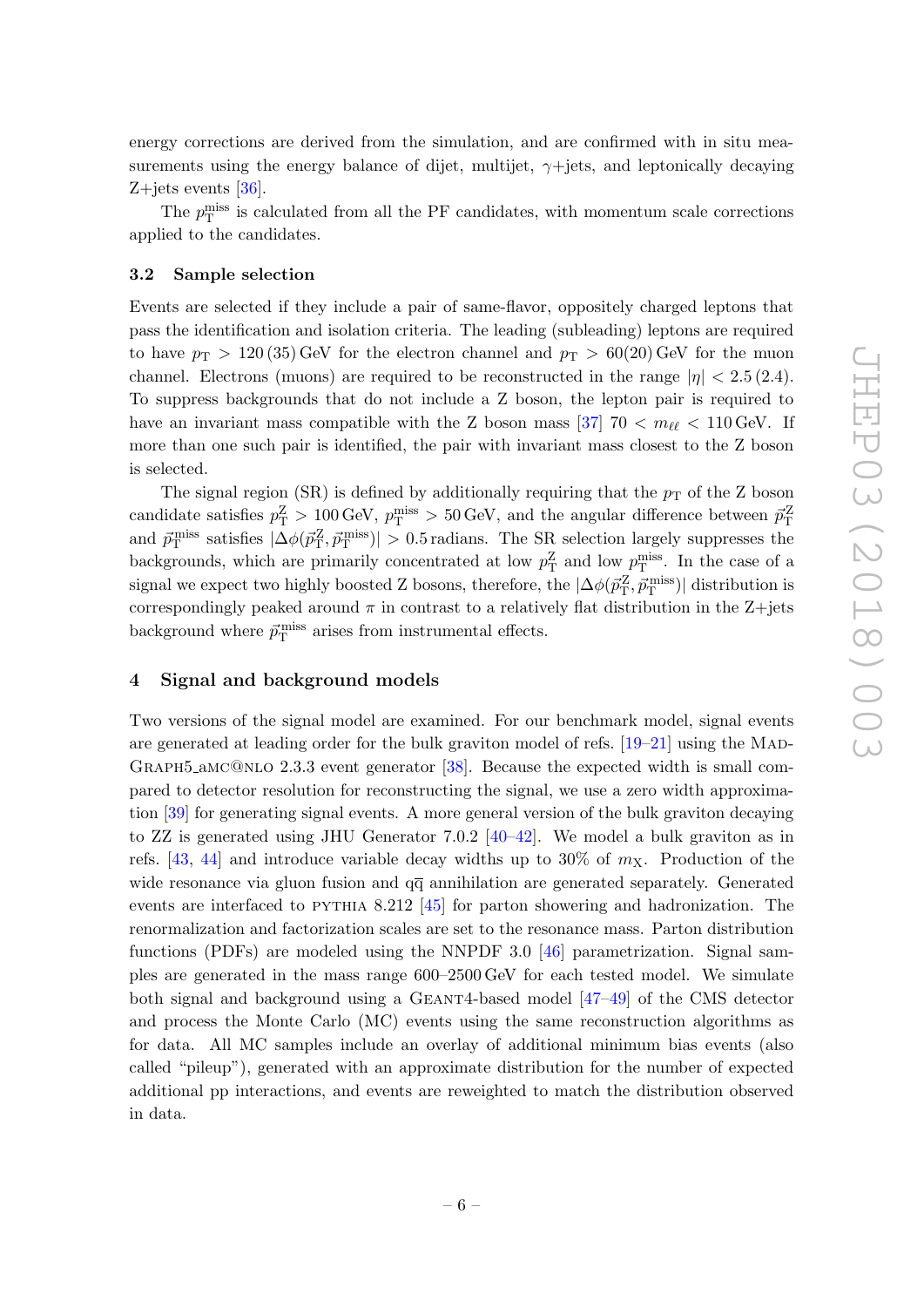energy corrections are derived from the simulation, and are confirmed with in situ measurements using the energy balance of dijet, multijet,  $\gamma$ +jets, and leptonically decaying  $Z + jets$  events  $[36]$ .

The  $p_T^{\text{miss}}$  is calculated from all the PF candidates, with momentum scale corrections applied to the candidates.

#### <span id="page-6-0"></span>3.2 Sample selection

Events are selected if they include a pair of same-flavor, oppositely charged leptons that pass the identification and isolation criteria. The leading (subleading) leptons are required to have  $p_T > 120(35)$  GeV for the electron channel and  $p_T > 60(20)$  GeV for the muon channel. Electrons (muons) are required to be reconstructed in the range  $|\eta| < 2.5 (2.4)$ . To suppress backgrounds that do not include a Z boson, the lepton pair is required to have an invariant mass compatible with the Z boson mass [\[37\]](#page-17-11) 70  $< m_{\ell\ell} < 110$  GeV. If more than one such pair is identified, the pair with invariant mass closest to the Z boson is selected.

The signal region (SR) is defined by additionally requiring that the  $p_T$  of the Z boson candidate satisfies  $p_T^Z > 100 \,\text{GeV}, p_T^{\text{miss}} > 50 \,\text{GeV},$  and the angular difference between  $p_T^Z$ and  $\vec{p}_{\rm T}^{\rm miss}$  satisfies  $|\Delta\phi(\vec{p}_{\rm T}^{\rm Z}, \vec{p}_{\rm T}^{\rm miss})| > 0.5$  radians. The SR selection largely suppresses the backgrounds, which are primarily concentrated at low  $p_T^{\rm Z}$  and low  $p_T^{\rm miss}$ . In the case of a signal we expect two highly boosted Z bosons, therefore, the  $|\Delta\phi(\vec{p}_{\rm T}^{\rm Z}, \vec{p}_{\rm T}^{\rm miss})|$  distribution is correspondingly peaked around  $\pi$  in contrast to a relatively flat distribution in the Z+jets background where  $\vec{p}_{\text{T}}^{\text{miss}}$  arises from instrumental effects.

#### <span id="page-6-1"></span>4 Signal and background models

Two versions of the signal model are examined. For our benchmark model, signal events are generated at leading order for the bulk graviton model of refs.  $[19–21]$  $[19–21]$  using the MAD-Graph5 amc@nlo 2.3.3 event generator [\[38\]](#page-17-12). Because the expected width is small compared to detector resolution for reconstructing the signal, we use a zero width approximation [\[39\]](#page-17-13) for generating signal events. A more general version of the bulk graviton decaying to ZZ is generated using JHU Generator 7.0.2 [\[40](#page-18-0)[–42\]](#page-18-1). We model a bulk graviton as in refs. [\[43,](#page-18-2) [44\]](#page-18-3) and introduce variable decay widths up to  $30\%$  of  $m<sub>X</sub>$ . Production of the wide resonance via gluon fusion and  $q\bar{q}$  annihilation are generated separately. Generated events are interfaced to PYTHIA 8.212 [\[45\]](#page-18-4) for parton showering and hadronization. The renormalization and factorization scales are set to the resonance mass. Parton distribution functions (PDFs) are modeled using the NNPDF 3.0 [\[46\]](#page-18-5) parametrization. Signal samples are generated in the mass range 600–2500 GeV for each tested model. We simulate both signal and background using a Geant4-based model [\[47](#page-18-6)[–49\]](#page-18-7) of the CMS detector and process the Monte Carlo (MC) events using the same reconstruction algorithms as for data. All MC samples include an overlay of additional minimum bias events (also called "pileup"), generated with an approximate distribution for the number of expected additional pp interactions, and events are reweighted to match the distribution observed in data.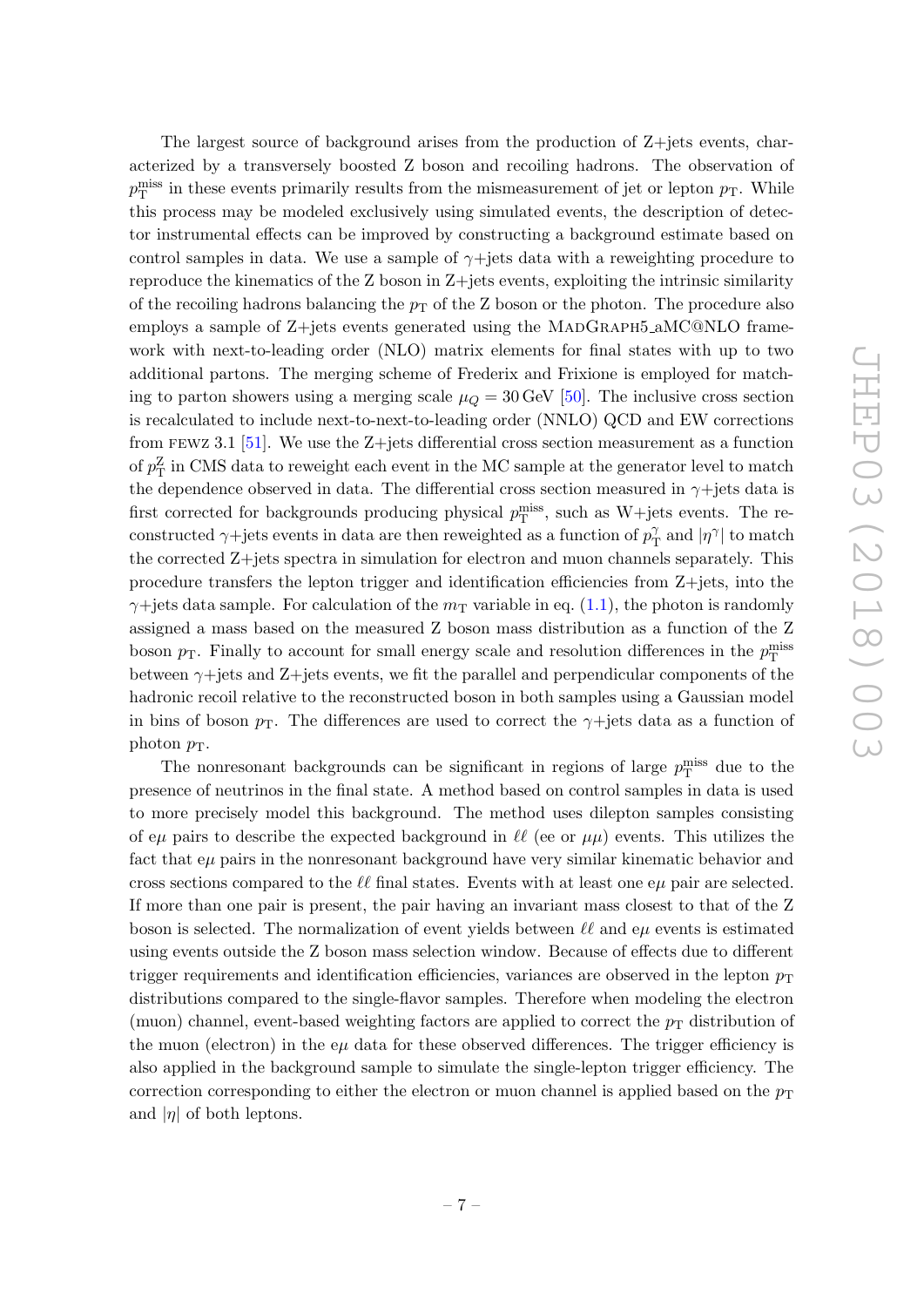The largest source of background arises from the production of Z+jets events, characterized by a transversely boosted Z boson and recoiling hadrons. The observation of  $p_T^{\text{miss}}$  in these events primarily results from the mismeasurement of jet or lepton  $p_T$ . While this process may be modeled exclusively using simulated events, the description of detector instrumental effects can be improved by constructing a background estimate based on control samples in data. We use a sample of  $\gamma$ +jets data with a reweighting procedure to reproduce the kinematics of the Z boson in Z+jets events, exploiting the intrinsic similarity of the recoiling hadrons balancing the  $p<sub>T</sub>$  of the Z boson or the photon. The procedure also employs a sample of  $Z+{\rm jets}$  events generated using the MADGRAPH5\_aMC@NLO framework with next-to-leading order (NLO) matrix elements for final states with up to two additional partons. The merging scheme of Frederix and Frixione is employed for matching to parton showers using a merging scale  $\mu_Q = 30 \,\text{GeV}$  [\[50\]](#page-18-8). The inclusive cross section is recalculated to include next-to-next-to-leading order (NNLO) QCD and EW corrections from FEWZ 3.1 [\[51\]](#page-18-9). We use the Z+jets differential cross section measurement as a function of  $p_T^{\rm Z}$  in CMS data to reweight each event in the MC sample at the generator level to match the dependence observed in data. The differential cross section measured in  $\gamma$ +jets data is first corrected for backgrounds producing physical  $p_T^{\text{miss}}$ , such as W+jets events. The reconstructed  $\gamma$ +jets events in data are then reweighted as a function of  $p_{\rm T}^{\gamma}$  $\hat{\eta}^{\gamma}$  and  $|\eta^{\gamma}|$  to match the corrected Z+jets spectra in simulation for electron and muon channels separately. This procedure transfers the lepton trigger and identification efficiencies from Z+jets, into the  $\gamma$ +jets data sample. For calculation of the  $m<sub>T</sub>$  variable in eq. [\(1.1\)](#page-3-1), the photon is randomly assigned a mass based on the measured Z boson mass distribution as a function of the Z boson  $p_T$ . Finally to account for small energy scale and resolution differences in the  $p_T^{\text{miss}}$ between  $\gamma$ +jets and Z+jets events, we fit the parallel and perpendicular components of the hadronic recoil relative to the reconstructed boson in both samples using a Gaussian model in bins of boson  $p<sub>T</sub>$ . The differences are used to correct the  $\gamma$ +jets data as a function of photon  $p_T$ .

The nonresonant backgrounds can be significant in regions of large  $p_T^{\text{miss}}$  due to the presence of neutrinos in the final state. A method based on control samples in data is used to more precisely model this background. The method uses dilepton samples consisting of eµ pairs to describe the expected background in  $\ell\ell$  (ee or  $\mu\mu$ ) events. This utilizes the fact that  $e\mu$  pairs in the nonresonant background have very similar kinematic behavior and cross sections compared to the  $\ell\ell$  final states. Events with at least one e $\mu$  pair are selected. If more than one pair is present, the pair having an invariant mass closest to that of the Z boson is selected. The normalization of event yields between  $\ell\ell$  and e $\mu$  events is estimated using events outside the Z boson mass selection window. Because of effects due to different trigger requirements and identification efficiencies, variances are observed in the lepton  $p_T$ distributions compared to the single-flavor samples. Therefore when modeling the electron (muon) channel, event-based weighting factors are applied to correct the  $p_T$  distribution of the muon (electron) in the  $e\mu$  data for these observed differences. The trigger efficiency is also applied in the background sample to simulate the single-lepton trigger efficiency. The correction corresponding to either the electron or muon channel is applied based on the  $p_T$ and  $|\eta|$  of both leptons.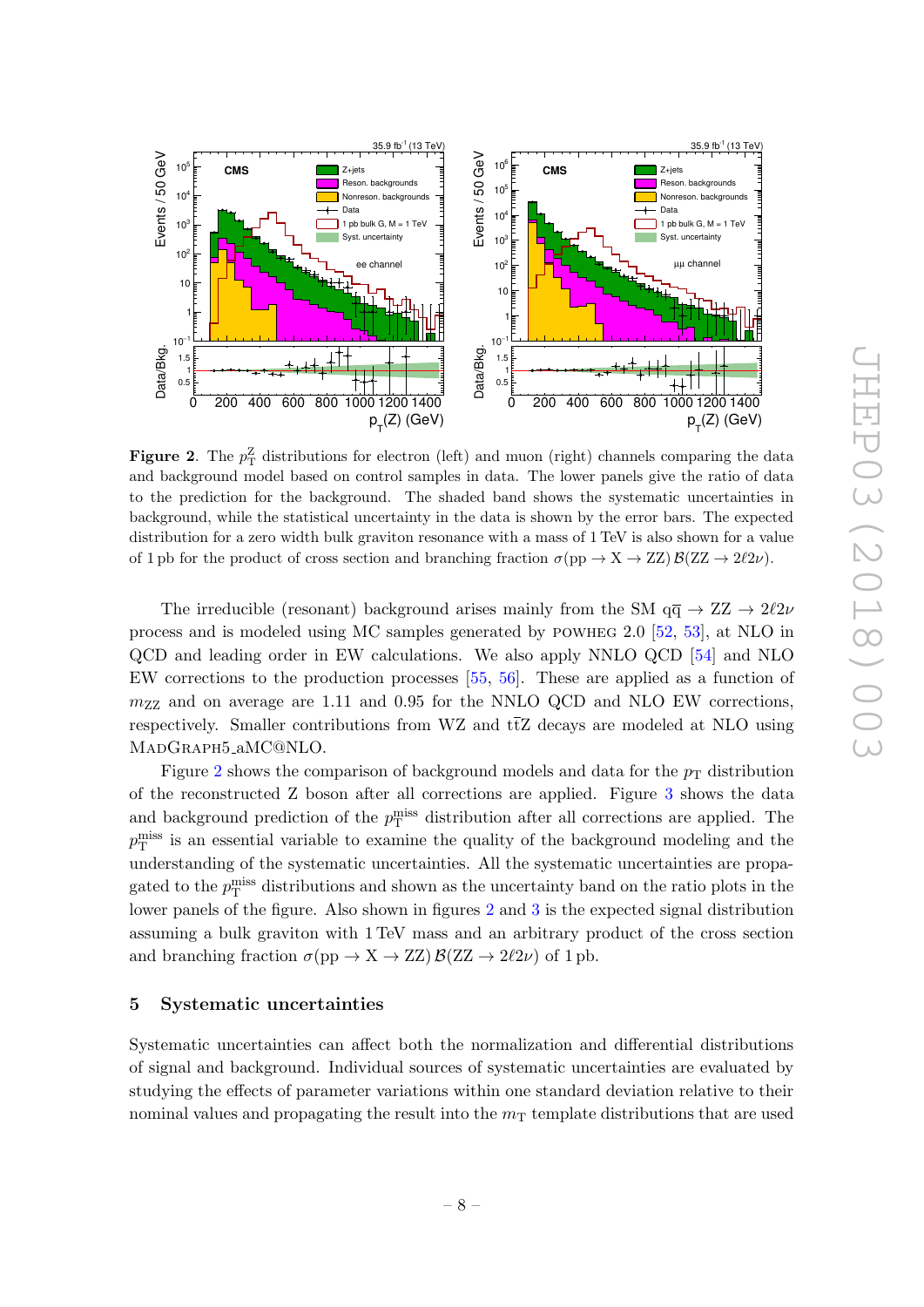

<span id="page-8-1"></span>**Figure 2.** The  $p_T^Z$  distributions for electron (left) and muon (right) channels comparing the data and background model based on control samples in data. The lower panels give the ratio of data to the prediction for the background. The shaded band shows the systematic uncertainties in background, while the statistical uncertainty in the data is shown by the error bars. The expected distribution for a zero width bulk graviton resonance with a mass of 1 TeV is also shown for a value of 1 pb for the product of cross section and branching fraction  $\sigma(pp \to X \to ZZ) \mathcal{B}(ZZ \to 2\ell 2\nu)$ .

The irreducible (resonant) background arises mainly from the SM  $q\bar{q} \to ZZ \to 2\ell 2\nu$ process and is modeled using MC samples generated by powheg 2.0 [\[52,](#page-18-10) [53\]](#page-18-11), at NLO in QCD and leading order in EW calculations. We also apply NNLO QCD [\[54\]](#page-18-12) and NLO EW corrections to the production processes [\[55,](#page-18-13) [56\]](#page-18-14). These are applied as a function of  $m_{ZZ}$  and on average are 1.11 and 0.95 for the NNLO QCD and NLO EW corrections, respectively. Smaller contributions from WZ and  $t\bar{t}Z$  decays are modeled at NLO using MADGRAPH5\_aMC@NLO.

Figure [2](#page-8-1) shows the comparison of background models and data for the  $p_T$  distribution of the reconstructed Z boson after all corrections are applied. Figure [3](#page-9-0) shows the data and background prediction of the  $p_T^{\text{miss}}$  distribution after all corrections are applied. The  $p_T^{\text{miss}}$  is an essential variable to examine the quality of the background modeling and the understanding of the systematic uncertainties. All the systematic uncertainties are propagated to the  $p_T^{\text{miss}}$  distributions and shown as the uncertainty band on the ratio plots in the lower panels of the figure. Also shown in figures [2](#page-8-1) and [3](#page-9-0) is the expected signal distribution assuming a bulk graviton with 1 TeV mass and an arbitrary product of the cross section and branching fraction  $\sigma(pp \to X \to ZZ) \mathcal{B}(ZZ \to 2\ell 2\nu)$  of 1 pb.

### <span id="page-8-0"></span>5 Systematic uncertainties

Systematic uncertainties can affect both the normalization and differential distributions of signal and background. Individual sources of systematic uncertainties are evaluated by studying the effects of parameter variations within one standard deviation relative to their nominal values and propagating the result into the  $m<sub>T</sub>$  template distributions that are used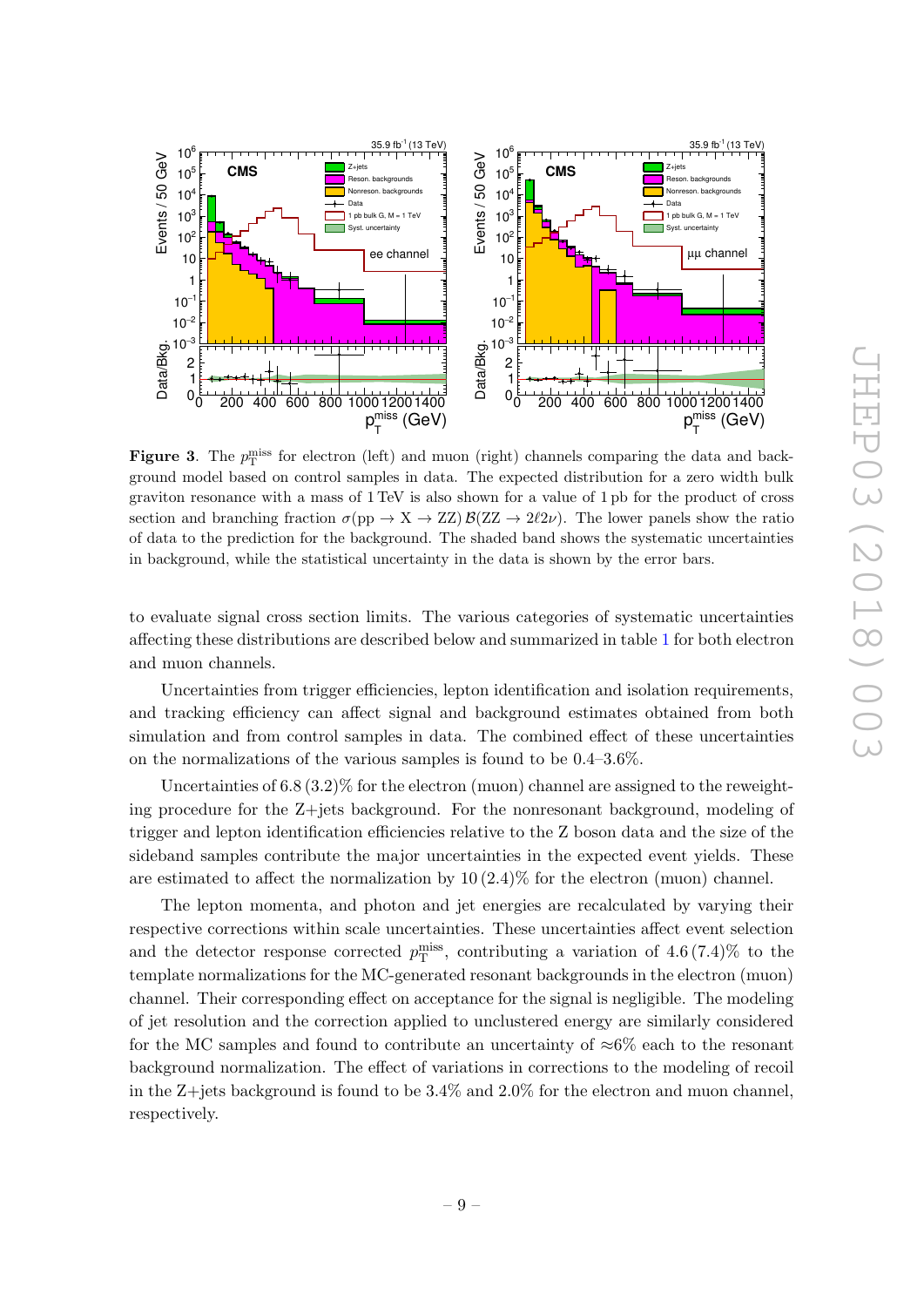

<span id="page-9-0"></span>**Figure 3.** The  $p_T^{\text{miss}}$  for electron (left) and muon (right) channels comparing the data and background model based on control samples in data. The expected distribution for a zero width bulk graviton resonance with a mass of 1 TeV is also shown for a value of 1 pb for the product of cross section and branching fraction  $\sigma(pp \to X \to ZZ) \mathcal{B}(ZZ \to 2\ell 2\nu)$ . The lower panels show the ratio of data to the prediction for the background. The shaded band shows the systematic uncertainties in background, while the statistical uncertainty in the data is shown by the error bars.

to evaluate signal cross section limits. The various categories of systematic uncertainties affecting these distributions are described below and summarized in table [1](#page-10-0) for both electron and muon channels.

Uncertainties from trigger efficiencies, lepton identification and isolation requirements, and tracking efficiency can affect signal and background estimates obtained from both simulation and from control samples in data. The combined effect of these uncertainties on the normalizations of the various samples is found to be 0.4–3.6%.

Uncertainties of 6.8  $(3.2)$ % for the electron (muon) channel are assigned to the reweighting procedure for the Z+jets background. For the nonresonant background, modeling of trigger and lepton identification efficiencies relative to the Z boson data and the size of the sideband samples contribute the major uncertainties in the expected event yields. These are estimated to affect the normalization by  $10 (2.4)$ % for the electron (muon) channel.

The lepton momenta, and photon and jet energies are recalculated by varying their respective corrections within scale uncertainties. These uncertainties affect event selection and the detector response corrected  $p_T^{\text{miss}}$ , contributing a variation of 4.6 (7.4)% to the template normalizations for the MC-generated resonant backgrounds in the electron (muon) channel. Their corresponding effect on acceptance for the signal is negligible. The modeling of jet resolution and the correction applied to unclustered energy are similarly considered for the MC samples and found to contribute an uncertainty of  $\approx 6\%$  each to the resonant background normalization. The effect of variations in corrections to the modeling of recoil in the Z+jets background is found to be 3.4% and 2.0% for the electron and muon channel, respectively.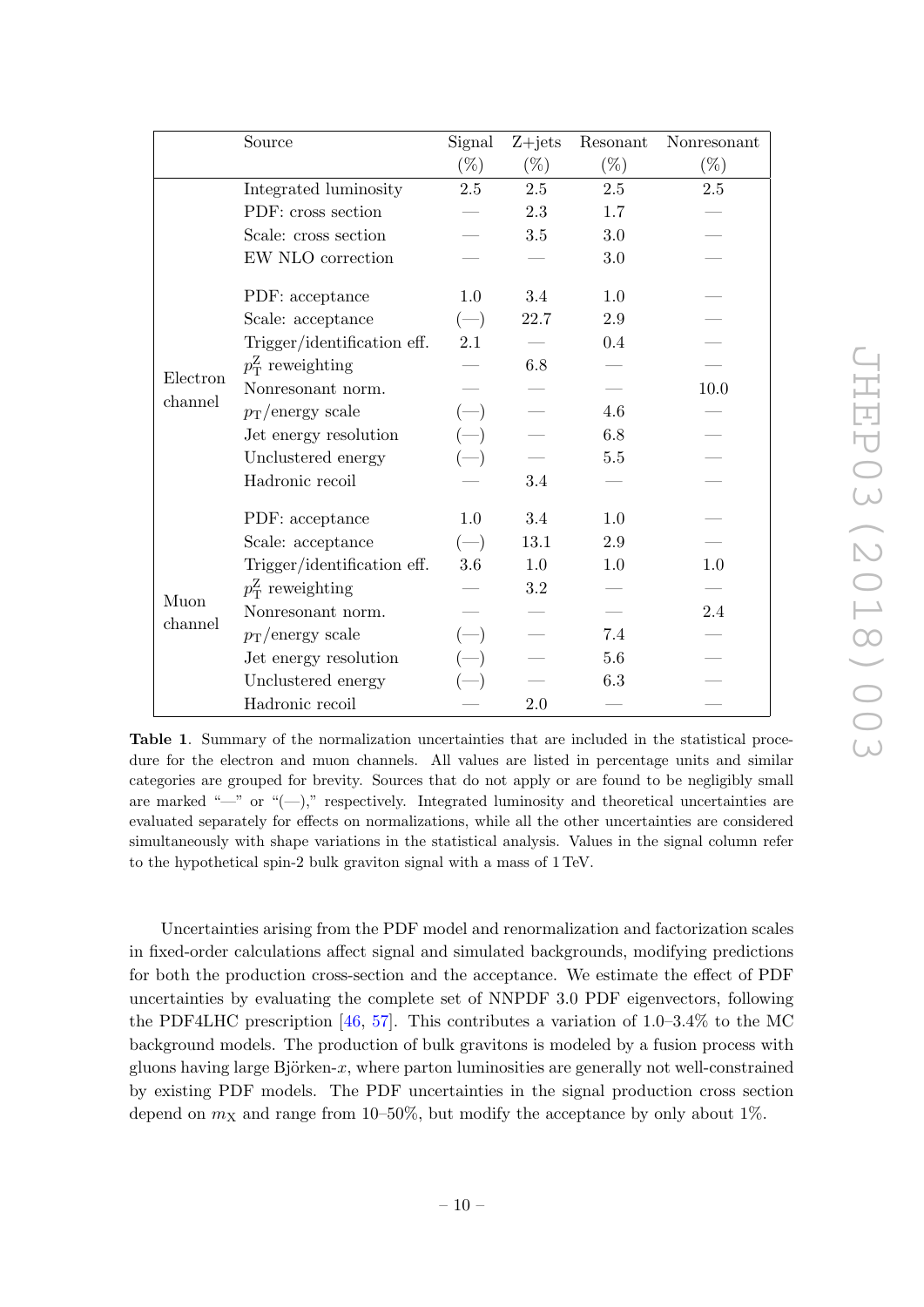|          | Source                          | Signal | $Z + jets$ | Resonant | Nonresonant |
|----------|---------------------------------|--------|------------|----------|-------------|
|          |                                 | $(\%)$ | $(\%)$     | $(\%)$   | $(\%)$      |
|          | Integrated luminosity           | 2.5    | 2.5        | 2.5      | 2.5         |
|          | PDF: cross section              |        | 2.3        | 1.7      |             |
|          | Scale: cross section            |        | 3.5        | 3.0      |             |
|          | EW NLO correction               |        |            | 3.0      |             |
|          | PDF: acceptance                 | 1.0    | 3.4        | 1.0      |             |
|          | Scale: acceptance               | $(-)$  | 22.7       | 2.9      |             |
|          | Trigger/identification eff.     | 2.1    |            | 0.4      |             |
|          | $p_T^{\rm Z}$ reweighting       |        | 6.8        |          |             |
| Electron | Nonresonant norm.               |        |            |          | 10.0        |
| channel  | $p_{\rm T}/\text{energy}$ scale |        |            | 4.6      |             |
|          | Jet energy resolution           | $(-)$  |            | 6.8      |             |
|          | Unclustered energy              | $(-)$  |            | 5.5      |             |
|          | Hadronic recoil                 |        | 3.4        |          |             |
|          | PDF: acceptance                 | 1.0    | 3.4        | 1.0      |             |
|          | Scale: acceptance               | $(-)$  | 13.1       | 2.9      |             |
|          | Trigger/identification eff.     | 3.6    | 1.0        | 1.0      | 1.0         |
|          | $p_T^{\rm Z}$ reweighting       |        | 3.2        |          |             |
| Muon     | Nonresonant norm.               |        |            |          | 2.4         |
| channel  | $p_T$ /energy scale             |        |            | 7.4      |             |
|          | Jet energy resolution           |        |            | 5.6      |             |
|          | Unclustered energy              |        |            | 6.3      |             |
|          | Hadronic recoil                 |        | 2.0        |          |             |

<span id="page-10-0"></span>Table 1. Summary of the normalization uncertainties that are included in the statistical procedure for the electron and muon channels. All values are listed in percentage units and similar categories are grouped for brevity. Sources that do not apply or are found to be negligibly small are marked "-" or "(-)," respectively. Integrated luminosity and theoretical uncertainties are evaluated separately for effects on normalizations, while all the other uncertainties are considered simultaneously with shape variations in the statistical analysis. Values in the signal column refer to the hypothetical spin-2 bulk graviton signal with a mass of 1 TeV.

Uncertainties arising from the PDF model and renormalization and factorization scales in fixed-order calculations affect signal and simulated backgrounds, modifying predictions for both the production cross-section and the acceptance. We estimate the effect of PDF uncertainties by evaluating the complete set of NNPDF 3.0 PDF eigenvectors, following the PDF4LHC prescription [\[46,](#page-18-5) [57\]](#page-18-15). This contributes a variation of 1.0–3.4% to the MC background models. The production of bulk gravitons is modeled by a fusion process with gluons having large Björken-x, where parton luminosities are generally not well-constrained by existing PDF models. The PDF uncertainties in the signal production cross section depend on  $m<sub>X</sub>$  and range from 10–50%, but modify the acceptance by only about 1%.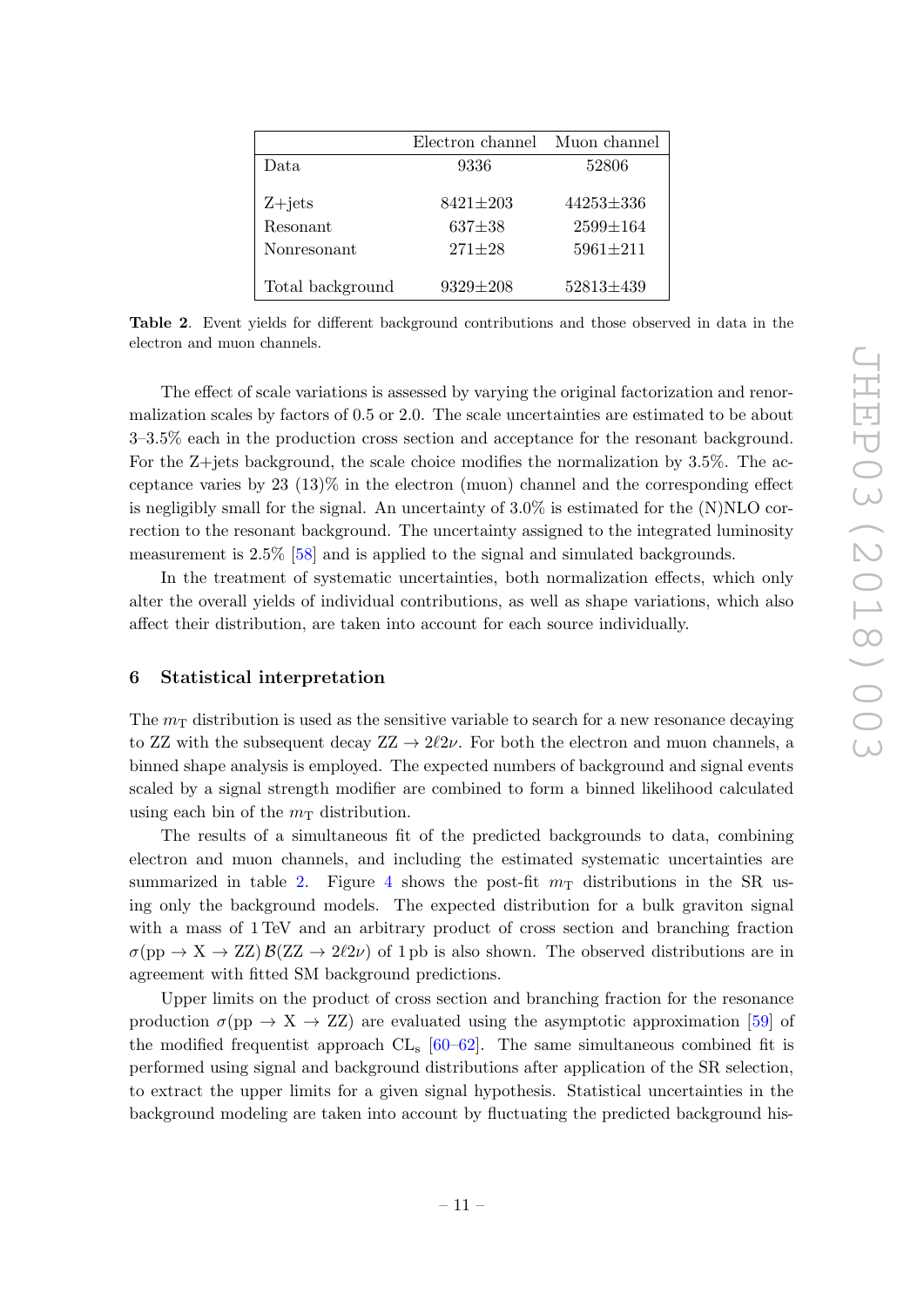|                  | Electron channel Muon channel |                 |
|------------------|-------------------------------|-----------------|
| Data.            | 9336                          | 52806           |
|                  |                               |                 |
| $Z + jets$       | $8421 \pm 203$                | $44253 \pm 336$ |
| Resonant         | $637 + 38$                    | $2599 \pm 164$  |
| Nonresonant      | $271 + 28$                    | $5961 \pm 211$  |
|                  |                               |                 |
| Total background | $9329 \pm 208$                | $52813 \pm 439$ |

<span id="page-11-1"></span>Table 2. Event yields for different background contributions and those observed in data in the electron and muon channels.

The effect of scale variations is assessed by varying the original factorization and renormalization scales by factors of 0.5 or 2.0. The scale uncertainties are estimated to be about 3–3.5% each in the production cross section and acceptance for the resonant background. For the Z+jets background, the scale choice modifies the normalization by 3.5%. The acceptance varies by 23 (13)% in the electron (muon) channel and the corresponding effect is negligibly small for the signal. An uncertainty of  $3.0\%$  is estimated for the (N)NLO correction to the resonant background. The uncertainty assigned to the integrated luminosity measurement is 2.5% [\[58\]](#page-18-16) and is applied to the signal and simulated backgrounds.

In the treatment of systematic uncertainties, both normalization effects, which only alter the overall yields of individual contributions, as well as shape variations, which also affect their distribution, are taken into account for each source individually.

### <span id="page-11-0"></span>6 Statistical interpretation

The  $m<sub>T</sub>$  distribution is used as the sensitive variable to search for a new resonance decaying to ZZ with the subsequent decay  $ZZ \rightarrow 2\ell 2\nu$ . For both the electron and muon channels, a binned shape analysis is employed. The expected numbers of background and signal events scaled by a signal strength modifier are combined to form a binned likelihood calculated using each bin of the  $m<sub>T</sub>$  distribution.

The results of a simultaneous fit of the predicted backgrounds to data, combining electron and muon channels, and including the estimated systematic uncertainties are summarized in table [2.](#page-11-1) Figure [4](#page-12-1) shows the post-fit  $m<sub>T</sub>$  distributions in the SR using only the background models. The expected distribution for a bulk graviton signal with a mass of 1 TeV and an arbitrary product of cross section and branching fraction  $\sigma(pp \to X \to ZZ) \mathcal{B}(ZZ \to 2\ell2\nu)$  of 1 pb is also shown. The observed distributions are in agreement with fitted SM background predictions.

Upper limits on the product of cross section and branching fraction for the resonance production  $\sigma$ (pp  $\rightarrow$  X  $\rightarrow$  ZZ) are evaluated using the asymptotic approximation [\[59\]](#page-18-17) of the modified frequentist approach  $CL_s$  [\[60–](#page-19-0)[62\]](#page-19-1). The same simultaneous combined fit is performed using signal and background distributions after application of the SR selection, to extract the upper limits for a given signal hypothesis. Statistical uncertainties in the background modeling are taken into account by fluctuating the predicted background his-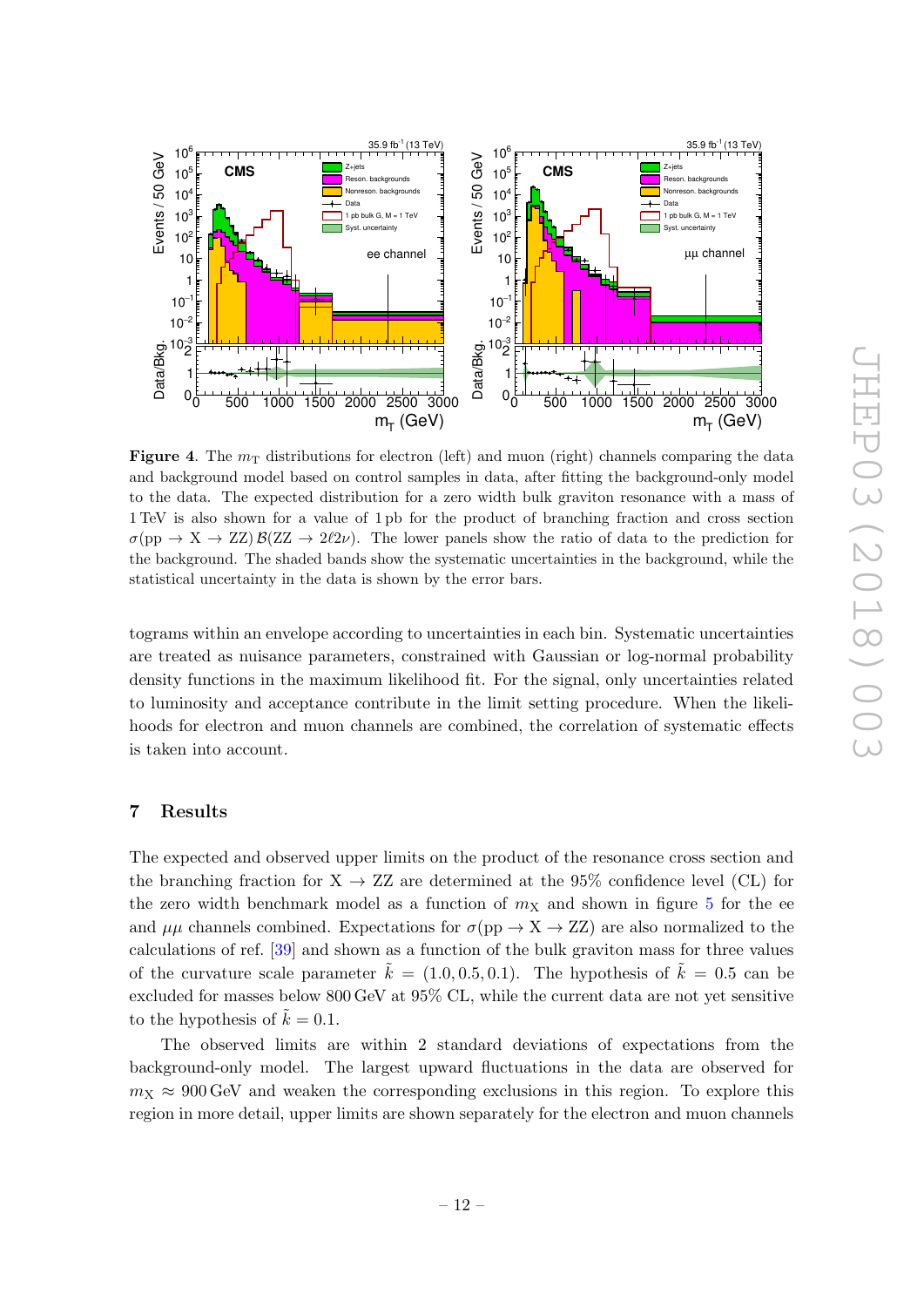

<span id="page-12-1"></span>**Figure 4.** The  $m<sub>T</sub>$  distributions for electron (left) and muon (right) channels comparing the data and background model based on control samples in data, after fitting the background-only model to the data. The expected distribution for a zero width bulk graviton resonance with a mass of 1 TeV is also shown for a value of 1 pb for the product of branching fraction and cross section  $\sigma$ (pp  $\rightarrow X \rightarrow ZZ$ )  $\mathcal{B}(ZZ \rightarrow 2\ell 2\nu)$ . The lower panels show the ratio of data to the prediction for the background. The shaded bands show the systematic uncertainties in the background, while the statistical uncertainty in the data is shown by the error bars.

tograms within an envelope according to uncertainties in each bin. Systematic uncertainties are treated as nuisance parameters, constrained with Gaussian or log-normal probability density functions in the maximum likelihood fit. For the signal, only uncertainties related to luminosity and acceptance contribute in the limit setting procedure. When the likelihoods for electron and muon channels are combined, the correlation of systematic effects is taken into account.

# <span id="page-12-0"></span>7 Results

The expected and observed upper limits on the product of the resonance cross section and the branching fraction for  $X \rightarrow ZZ$  are determined at the 95% confidence level (CL) for the zero width benchmark model as a function of  $m<sub>X</sub>$  and shown in figure [5](#page-13-1) for the ee and  $\mu\mu$  channels combined. Expectations for  $\sigma(pp \to X \to ZZ)$  are also normalized to the calculations of ref. [\[39\]](#page-17-13) and shown as a function of the bulk graviton mass for three values of the curvature scale parameter  $\tilde{k} = (1.0, 0.5, 0.1)$ . The hypothesis of  $\tilde{k} = 0.5$  can be excluded for masses below 800 GeV at 95% CL, while the current data are not yet sensitive to the hypothesis of  $k = 0.1$ .

The observed limits are within 2 standard deviations of expectations from the background-only model. The largest upward fluctuations in the data are observed for  $m<sub>X</sub> \approx 900$  GeV and weaken the corresponding exclusions in this region. To explore this region in more detail, upper limits are shown separately for the electron and muon channels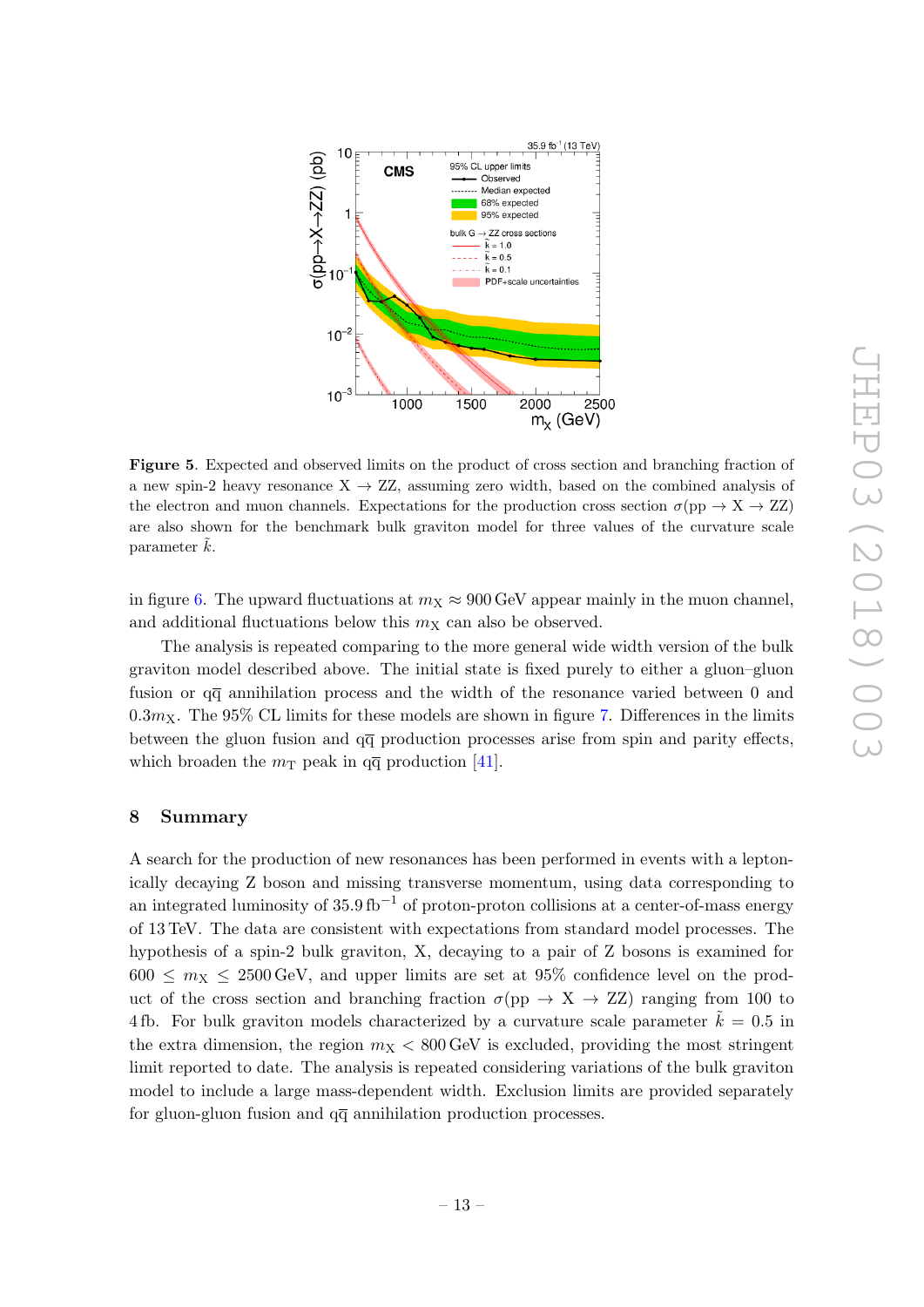

<span id="page-13-1"></span>Figure 5. Expected and observed limits on the product of cross section and branching fraction of a new spin-2 heavy resonance  $X \rightarrow ZZ$ , assuming zero width, based on the combined analysis of the electron and muon channels. Expectations for the production cross section  $\sigma(pp \to X \to ZZ)$ are also shown for the benchmark bulk graviton model for three values of the curvature scale parameter  $k$ .

in figure [6.](#page-14-0) The upward fluctuations at  $m_X \approx 900$  GeV appear mainly in the muon channel, and additional fluctuations below this  $m<sub>X</sub>$  can also be observed.

The analysis is repeated comparing to the more general wide width version of the bulk graviton model described above. The initial state is fixed purely to either a gluon–gluon fusion or  $q\bar{q}$  annihilation process and the width of the resonance varied between 0 and 0.3 $m<sub>X</sub>$ . The 95% CL limits for these models are shown in figure [7.](#page-14-1) Differences in the limits between the gluon fusion and  $q\bar{q}$  production processes arise from spin and parity effects, which broaden the  $m<sub>T</sub>$  peak in  $q\bar{q}$  production [\[41\]](#page-18-18).

### <span id="page-13-0"></span>8 Summary

A search for the production of new resonances has been performed in events with a leptonically decaying Z boson and missing transverse momentum, using data corresponding to an integrated luminosity of  $35.9 \text{ fb}^{-1}$  of proton-proton collisions at a center-of-mass energy of 13 TeV. The data are consistent with expectations from standard model processes. The hypothesis of a spin-2 bulk graviton, X, decaying to a pair of Z bosons is examined for  $600 \leq m_{\rm X} \leq 2500 \,\text{GeV}$ , and upper limits are set at 95% confidence level on the product of the cross section and branching fraction  $\sigma(pp \to X \to ZZ)$  ranging from 100 to 4 fb. For bulk graviton models characterized by a curvature scale parameter  $\tilde{k} = 0.5$  in the extra dimension, the region  $m<sub>X</sub> < 800$  GeV is excluded, providing the most stringent limit reported to date. The analysis is repeated considering variations of the bulk graviton model to include a large mass-dependent width. Exclusion limits are provided separately for gluon-gluon fusion and  $q\bar{q}$  annihilation production processes.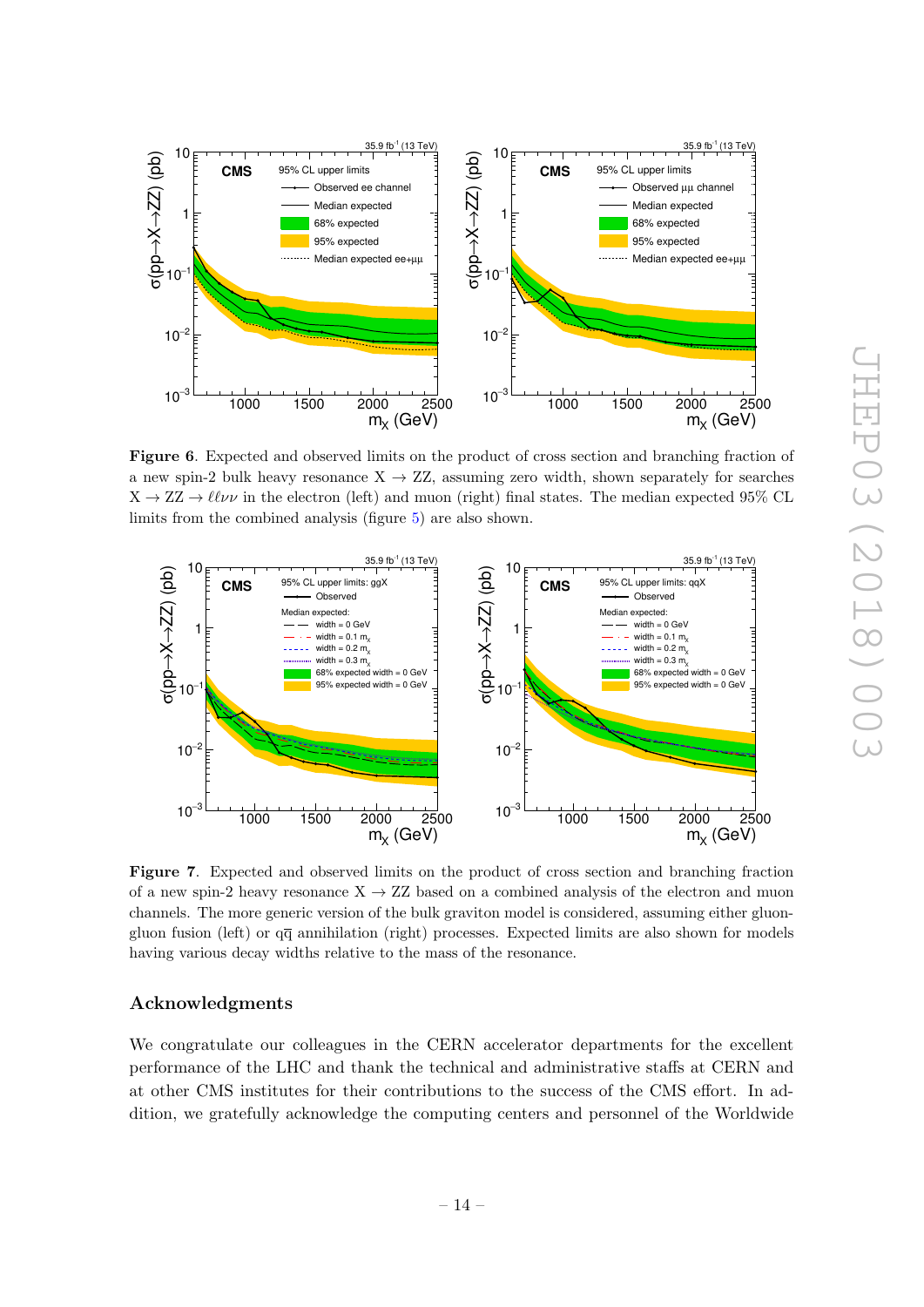

<span id="page-14-0"></span>Figure 6. Expected and observed limits on the product of cross section and branching fraction of a new spin-2 bulk heavy resonance  $X \rightarrow ZZ$ , assuming zero width, shown separately for searches  $X \to ZZ \to \ell\ell\nu\nu$  in the electron (left) and muon (right) final states. The median expected 95% CL limits from the combined analysis (figure [5\)](#page-13-1) are also shown.



<span id="page-14-1"></span>Figure 7. Expected and observed limits on the product of cross section and branching fraction of a new spin-2 heavy resonance  $X \rightarrow ZZ$  based on a combined analysis of the electron and muon channels. The more generic version of the bulk graviton model is considered, assuming either gluongluon fusion (left) or  $q\bar{q}$  annihilation (right) processes. Expected limits are also shown for models having various decay widths relative to the mass of the resonance.

### Acknowledgments

We congratulate our colleagues in the CERN accelerator departments for the excellent performance of the LHC and thank the technical and administrative staffs at CERN and at other CMS institutes for their contributions to the success of the CMS effort. In addition, we gratefully acknowledge the computing centers and personnel of the Worldwide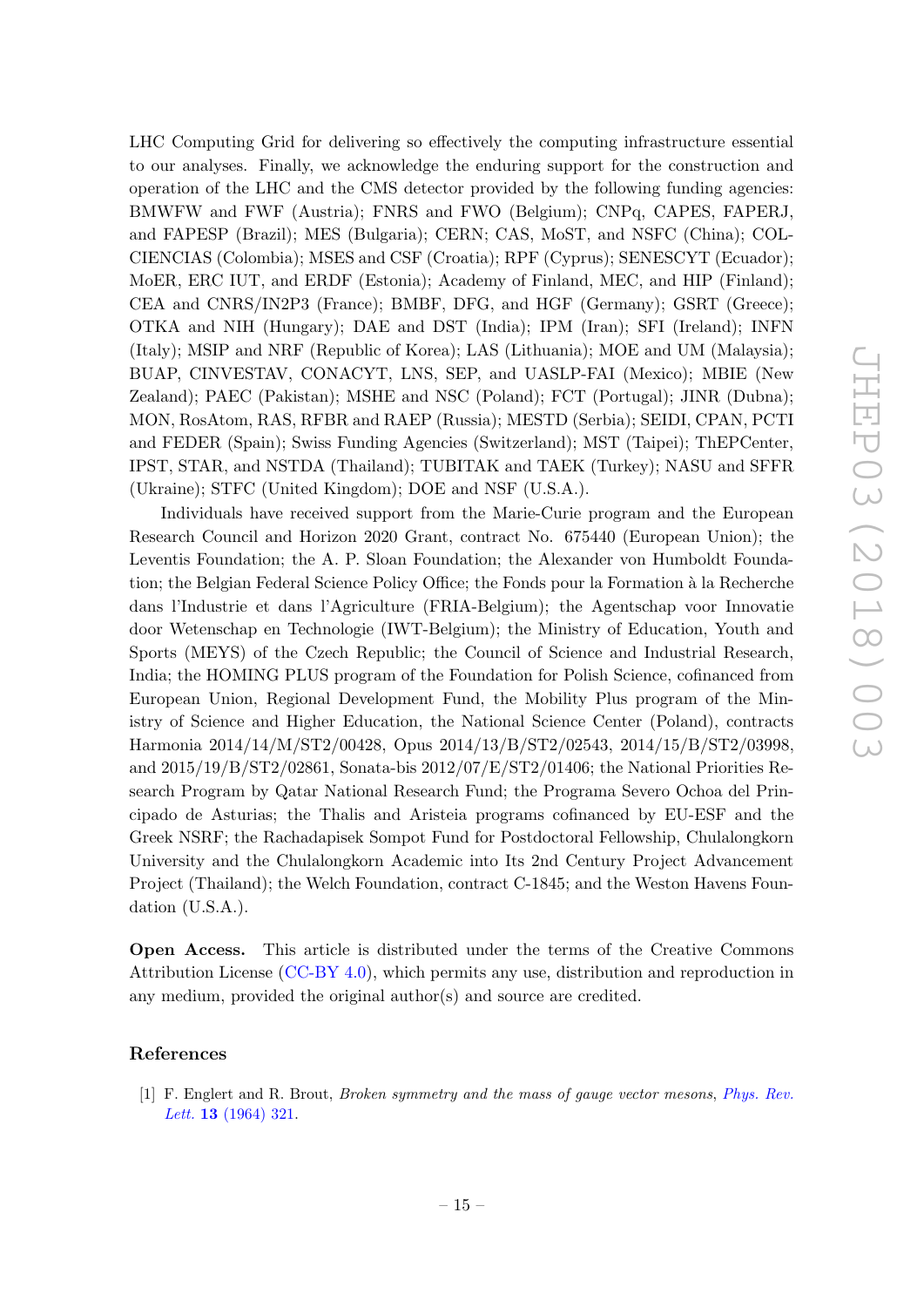LHC Computing Grid for delivering so effectively the computing infrastructure essential to our analyses. Finally, we acknowledge the enduring support for the construction and operation of the LHC and the CMS detector provided by the following funding agencies: BMWFW and FWF (Austria); FNRS and FWO (Belgium); CNPq, CAPES, FAPERJ, and FAPESP (Brazil); MES (Bulgaria); CERN; CAS, MoST, and NSFC (China); COL-CIENCIAS (Colombia); MSES and CSF (Croatia); RPF (Cyprus); SENESCYT (Ecuador); MoER, ERC IUT, and ERDF (Estonia); Academy of Finland, MEC, and HIP (Finland); CEA and CNRS/IN2P3 (France); BMBF, DFG, and HGF (Germany); GSRT (Greece); OTKA and NIH (Hungary); DAE and DST (India); IPM (Iran); SFI (Ireland); INFN (Italy); MSIP and NRF (Republic of Korea); LAS (Lithuania); MOE and UM (Malaysia); BUAP, CINVESTAV, CONACYT, LNS, SEP, and UASLP-FAI (Mexico); MBIE (New Zealand); PAEC (Pakistan); MSHE and NSC (Poland); FCT (Portugal); JINR (Dubna); MON, RosAtom, RAS, RFBR and RAEP (Russia); MESTD (Serbia); SEIDI, CPAN, PCTI and FEDER (Spain); Swiss Funding Agencies (Switzerland); MST (Taipei); ThEPCenter, IPST, STAR, and NSTDA (Thailand); TUBITAK and TAEK (Turkey); NASU and SFFR (Ukraine); STFC (United Kingdom); DOE and NSF (U.S.A.).

Individuals have received support from the Marie-Curie program and the European Research Council and Horizon 2020 Grant, contract No. 675440 (European Union); the Leventis Foundation; the A. P. Sloan Foundation; the Alexander von Humboldt Foundation; the Belgian Federal Science Policy Office; the Fonds pour la Formation à la Recherche dans l'Industrie et dans l'Agriculture (FRIA-Belgium); the Agentschap voor Innovatie door Wetenschap en Technologie (IWT-Belgium); the Ministry of Education, Youth and Sports (MEYS) of the Czech Republic; the Council of Science and Industrial Research, India; the HOMING PLUS program of the Foundation for Polish Science, cofinanced from European Union, Regional Development Fund, the Mobility Plus program of the Ministry of Science and Higher Education, the National Science Center (Poland), contracts Harmonia 2014/14/M/ST2/00428, Opus 2014/13/B/ST2/02543, 2014/15/B/ST2/03998, and 2015/19/B/ST2/02861, Sonata-bis 2012/07/E/ST2/01406; the National Priorities Research Program by Qatar National Research Fund; the Programa Severo Ochoa del Principado de Asturias; the Thalis and Aristeia programs cofinanced by EU-ESF and the Greek NSRF; the Rachadapisek Sompot Fund for Postdoctoral Fellowship, Chulalongkorn University and the Chulalongkorn Academic into Its 2nd Century Project Advancement Project (Thailand); the Welch Foundation, contract C-1845; and the Weston Havens Foundation (U.S.A.).

Open Access. This article is distributed under the terms of the Creative Commons Attribution License [\(CC-BY 4.0\)](https://creativecommons.org/licenses/by/4.0/), which permits any use, distribution and reproduction in any medium, provided the original author(s) and source are credited.

### References

<span id="page-15-0"></span>[1] F. Englert and R. Brout, Broken symmetry and the mass of gauge vector mesons, [Phys. Rev.](https://doi.org/10.1103/PhysRevLett.13.321) Lett. 13 [\(1964\) 321.](https://doi.org/10.1103/PhysRevLett.13.321)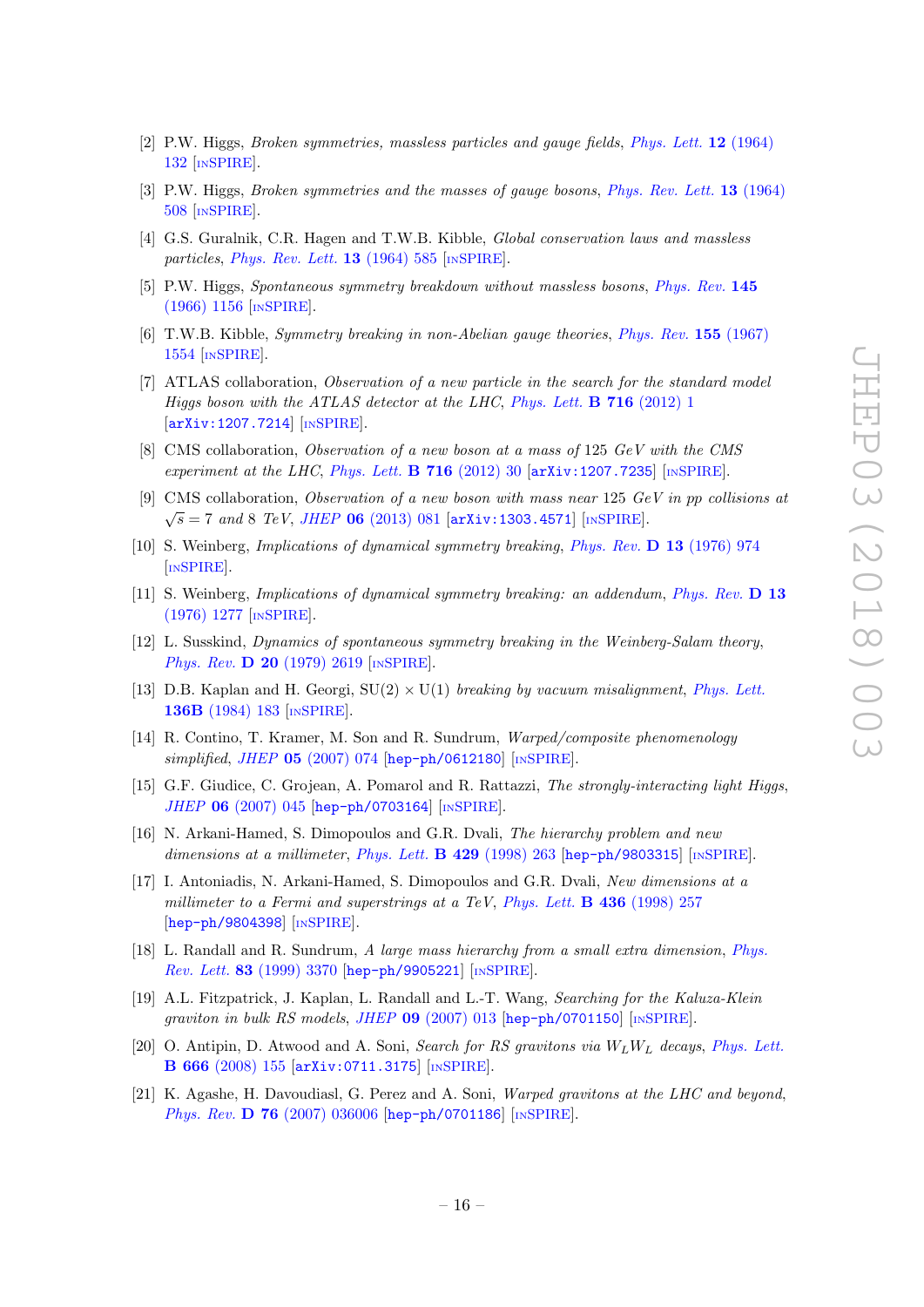- [2] P.W. Higgs, Broken symmetries, massless particles and gauge fields, [Phys. Lett.](https://doi.org/10.1016/0031-9163(64)91136-9) 12 (1964) [132](https://doi.org/10.1016/0031-9163(64)91136-9) [IN[SPIRE](https://inspirehep.net/search?p=find+J+%22Phys.Lett.,12,132%22)].
- [3] P.W. Higgs, *Broken symmetries and the masses of gauge bosons*, *[Phys. Rev. Lett.](https://doi.org/10.1103/PhysRevLett.13.508)* **13** (1964) [508](https://doi.org/10.1103/PhysRevLett.13.508) [IN[SPIRE](https://inspirehep.net/search?p=find+J+%22Phys.Rev.Lett.,13,508%22)].
- [4] G.S. Guralnik, C.R. Hagen and T.W.B. Kibble, Global conservation laws and massless particles, [Phys. Rev. Lett.](https://doi.org/10.1103/PhysRevLett.13.585) **13** (1964) 585 [IN[SPIRE](https://inspirehep.net/search?p=find+J+%22Phys.Rev.Lett.,13,585%22)].
- [5] P.W. Higgs, Spontaneous symmetry breakdown without massless bosons, [Phys. Rev.](https://doi.org/10.1103/PhysRev.145.1156) 145 [\(1966\) 1156](https://doi.org/10.1103/PhysRev.145.1156) [IN[SPIRE](https://inspirehep.net/search?p=find+J+%22Phys.Rev.,145,1156%22)].
- <span id="page-16-0"></span>[6] T.W.B. Kibble, Symmetry breaking in non-Abelian gauge theories, [Phys. Rev.](https://doi.org/10.1103/PhysRev.155.1554) 155 (1967) [1554](https://doi.org/10.1103/PhysRev.155.1554) [IN[SPIRE](https://inspirehep.net/search?p=find+J+%22Phys.Rev.,155,1554%22)].
- <span id="page-16-1"></span>[7] ATLAS collaboration, Observation of a new particle in the search for the standard model Higgs boson with the ATLAS detector at the LHC, [Phys. Lett.](https://doi.org/10.1016/j.physletb.2012.08.020) **B** 716 (2012) 1 [[arXiv:1207.7214](https://arxiv.org/abs/1207.7214)] [IN[SPIRE](https://inspirehep.net/search?p=find+EPRINT+arXiv:1207.7214)].
- [8] CMS collaboration, Observation of a new boson at a mass of 125 GeV with the CMS experiment at the LHC, [Phys. Lett.](https://doi.org/10.1016/j.physletb.2012.08.021) **B** 716 (2012) 30  $\left[\text{arXiv:1207.7235}\right]$  $\left[\text{arXiv:1207.7235}\right]$  $\left[\text{arXiv:1207.7235}\right]$   $\left[\text{nsPIRE}\right]$ .
- <span id="page-16-2"></span>[9] CMS collaboration, Observation of a new boson with mass near 125  $GeV$  in pp collisions at  $\sqrt{s}$  = 7 and 8 TeV, JHEP 06 [\(2013\) 081](https://doi.org/10.1007/JHEP06(2013)081) [[arXiv:1303.4571](https://arxiv.org/abs/1303.4571)] [IN[SPIRE](https://inspirehep.net/search?p=find+EPRINT+arXiv:1303.4571)].
- <span id="page-16-3"></span>[10] S. Weinberg, Implications of dynamical symmetry breaking, [Phys. Rev.](http://dx.doi.org/10.1103/PhysRevD.13.974) D 13 (1976) 974 [IN[SPIRE](https://inspirehep.net/search?p=find+J+%22Phys.Rev.,D13,974%22)].
- [11] S. Weinberg, *Implications of dynamical symmetry breaking: an addendum, [Phys. Rev.](https://doi.org/10.1103/PhysRevD.19.1277)* **D 13** [\(1976\) 1277](https://doi.org/10.1103/PhysRevD.19.1277) [IN[SPIRE](https://inspirehep.net/search?p=find+J+%22Phys.Rev.,D19,1277%22)].
- <span id="page-16-4"></span>[12] L. Susskind, Dynamics of spontaneous symmetry breaking in the Weinberg-Salam theory, Phys. Rev. **D 20** [\(1979\) 2619](https://doi.org/10.1103/PhysRevD.20.2619) [IN[SPIRE](https://inspirehep.net/search?p=find+J+%22Phys.Rev.,D20,2619%22)].
- <span id="page-16-5"></span>[13] D.B. Kaplan and H. Georgi,  $SU(2) \times U(1)$  breaking by vacuum misalignment, [Phys. Lett.](https://doi.org/10.1016/0370-2693(84)91177-8) 136B [\(1984\) 183](https://doi.org/10.1016/0370-2693(84)91177-8) [IN[SPIRE](https://inspirehep.net/search?p=find+J+%22Phys.Lett.,B136,183%22)].
- [14] R. Contino, T. Kramer, M. Son and R. Sundrum, Warped/composite phenomenology simplified, JHEP 05 [\(2007\) 074](https://doi.org/10.1088/1126-6708/2007/05/074) [[hep-ph/0612180](https://arxiv.org/abs/hep-ph/0612180)] [IN[SPIRE](https://inspirehep.net/search?p=find+EPRINT+hep-ph/0612180)].
- <span id="page-16-6"></span>[15] G.F. Giudice, C. Grojean, A. Pomarol and R. Rattazzi, The strongly-interacting light Higgs, JHEP 06 [\(2007\) 045](https://doi.org/10.1088/1126-6708/2007/06/045) [[hep-ph/0703164](https://arxiv.org/abs/hep-ph/0703164)] [IN[SPIRE](https://inspirehep.net/search?p=find+EPRINT+hep-ph/0703164)].
- <span id="page-16-7"></span>[16] N. Arkani-Hamed, S. Dimopoulos and G.R. Dvali, The hierarchy problem and new dimensions at a millimeter, [Phys. Lett.](https://doi.org/10.1016/S0370-2693(98)00466-3)  $\bf{B}$  429 (1998) 263 [[hep-ph/9803315](https://arxiv.org/abs/hep-ph/9803315)] [IN[SPIRE](https://inspirehep.net/search?p=find+EPRINT+hep-ph/9803315)].
- <span id="page-16-8"></span>[17] I. Antoniadis, N. Arkani-Hamed, S. Dimopoulos and G.R. Dvali, New dimensions at a millimeter to a Fermi and superstrings at a TeV, [Phys. Lett.](https://doi.org/10.1016/S0370-2693(98)00860-0)  $\bf{B}$  436 (1998) 257 [[hep-ph/9804398](https://arxiv.org/abs/hep-ph/9804398)] [IN[SPIRE](https://inspirehep.net/search?p=find+EPRINT+hep-ph/9804398)].
- <span id="page-16-9"></span>[18] L. Randall and R. Sundrum, A large mass hierarchy from a small extra dimension, [Phys.](https://doi.org/10.1103/PhysRevLett.83.3370) Rev. Lett. 83 [\(1999\) 3370](https://doi.org/10.1103/PhysRevLett.83.3370) [[hep-ph/9905221](https://arxiv.org/abs/hep-ph/9905221)] [IN[SPIRE](https://inspirehep.net/search?p=find+EPRINT+hep-ph/9905221)].
- <span id="page-16-10"></span>[19] A.L. Fitzpatrick, J. Kaplan, L. Randall and L.-T. Wang, Searching for the Kaluza-Klein graviton in bulk RS models, JHEP  $09$  [\(2007\) 013](https://doi.org/10.1088/1126-6708/2007/09/013) [[hep-ph/0701150](https://arxiv.org/abs/hep-ph/0701150)] [IN[SPIRE](https://inspirehep.net/search?p=find+EPRINT+hep-ph/0701150)].
- [20] O. Antipin, D. Atwood and A. Soni, Search for RS gravitons via  $W_LW_L$  decays, [Phys. Lett.](https://doi.org/10.1016/j.physletb.2008.07.009) B 666 [\(2008\) 155](https://doi.org/10.1016/j.physletb.2008.07.009) [[arXiv:0711.3175](https://arxiv.org/abs/0711.3175)] [IN[SPIRE](https://inspirehep.net/search?p=find+EPRINT+arXiv:0711.3175)].
- <span id="page-16-11"></span>[21] K. Agashe, H. Davoudiasl, G. Perez and A. Soni, *Warped gravitons at the LHC and beyond*, Phys. Rev. **D 76** [\(2007\) 036006](https://doi.org/10.1103/PhysRevD.76.036006) [[hep-ph/0701186](https://arxiv.org/abs/hep-ph/0701186)] [IN[SPIRE](https://inspirehep.net/search?p=find+EPRINT+hep-ph/0701186)].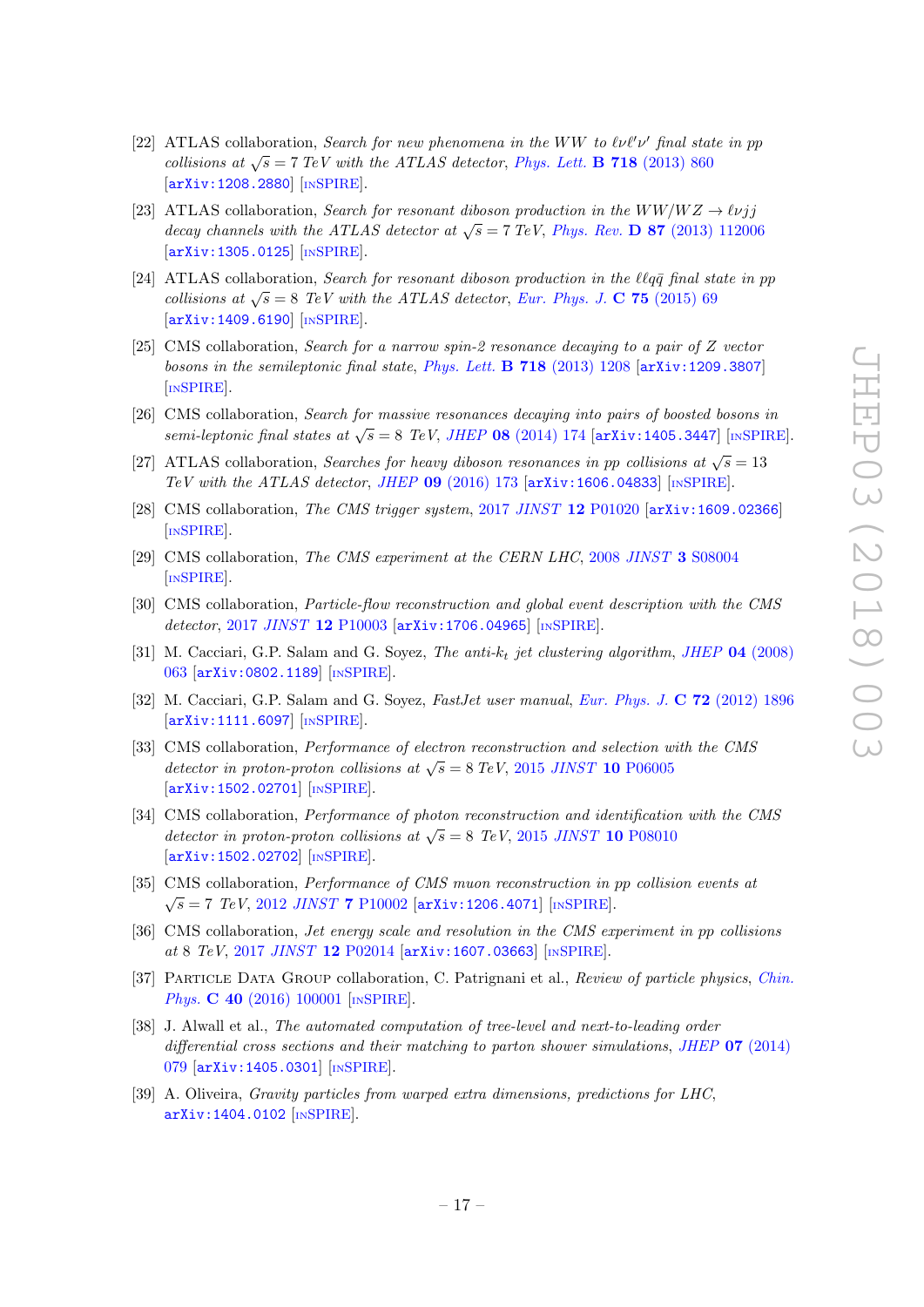- <span id="page-17-0"></span>[22] ATLAS collaboration, Search for new phenomena in the WW to  $\ell \nu \ell' \nu'$  final state in pp collisions at  $\sqrt{s} = 7$  TeV with the ATLAS detector, [Phys. Lett.](https://doi.org/10.1016/j.physletb.2012.11.040) **B** 718 (2013) 860 [[arXiv:1208.2880](https://arxiv.org/abs/1208.2880)] [IN[SPIRE](https://inspirehep.net/search?p=find+EPRINT+arXiv:1208.2880)].
- [23] ATLAS collaboration, Search for resonant diboson production in the  $WW/WZ \rightarrow \ell \nu j j$ decay channels with the ATLAS detector at  $\sqrt{s} = 7$  TeV, Phys. Rev. **D 87** [\(2013\) 112006](https://doi.org/10.1103/PhysRevD.87.112006) [[arXiv:1305.0125](https://arxiv.org/abs/1305.0125)] [IN[SPIRE](https://inspirehep.net/search?p=find+EPRINT+arXiv:1305.0125)].
- [24] ATLAS collaboration, Search for resonant diboson production in the  $\ell \ell q \bar{q}$  final state in pp collisions at  $\sqrt{s} = 8$  TeV with the ATLAS detector, [Eur. Phys. J.](https://doi.org/10.1140/epjc/s10052-015-3261-8) C 75 (2015) 69 [[arXiv:1409.6190](https://arxiv.org/abs/1409.6190)] [IN[SPIRE](https://inspirehep.net/search?p=find+EPRINT+arXiv:1409.6190)].
- [25] CMS collaboration, Search for a narrow spin-2 resonance decaying to a pair of Z vector bosons in the semileptonic final state, Phys. Lett. B 718 [\(2013\) 1208](https://doi.org/10.1016/j.physletb.2012.11.063) [[arXiv:1209.3807](https://arxiv.org/abs/1209.3807)] [IN[SPIRE](https://inspirehep.net/search?p=find+EPRINT+arXiv:1209.3807)].
- [26] CMS collaboration, Search for massive resonances decaying into pairs of boosted bosons in semi-leptonic final states at  $\sqrt{s} = 8$  TeV, JHEP 08 [\(2014\) 174](https://doi.org/10.1007/JHEP08(2014)174) [[arXiv:1405.3447](https://arxiv.org/abs/1405.3447)] [IN[SPIRE](https://inspirehep.net/search?p=find+EPRINT+arXiv:1405.3447)].
- <span id="page-17-1"></span>[27] ATLAS collaboration, Searches for heavy diboson resonances in pp collisions at  $\sqrt{s} = 13$ TeV with the ATLAS detector, JHEP  $09$  [\(2016\) 173](https://doi.org/10.1007/JHEP09(2016)173)  $\text{arXiv:1606.04833}$  $\text{arXiv:1606.04833}$  $\text{arXiv:1606.04833}$  [IN[SPIRE](https://inspirehep.net/search?p=find+EPRINT+arXiv:1606.04833)].
- <span id="page-17-2"></span>[28] CMS collaboration, *The CMS trigger system*, 2017 *JINST* 12 [P01020](https://doi.org/10.1088/1748-0221/12/01/P01020) [[arXiv:1609.02366](https://arxiv.org/abs/1609.02366)] [IN[SPIRE](https://inspirehep.net/search?p=find+EPRINT+arXiv:1609.02366)].
- <span id="page-17-3"></span>[29] CMS collaboration, The CMS experiment at the CERN LHC, 2008 JINST 3 [S08004](https://doi.org/10.1088/1748-0221/3/08/S08004) [IN[SPIRE](https://inspirehep.net/search?p=find+J+%22JINST,3,S08004%22)].
- <span id="page-17-4"></span>[30] CMS collaboration, Particle-flow reconstruction and global event description with the CMS detector, 2017 JINST 12 [P10003](https://doi.org/10.1088/1748-0221/12/10/P10003) [[arXiv:1706.04965](https://arxiv.org/abs/1706.04965)] [IN[SPIRE](https://inspirehep.net/search?p=find+EPRINT+arXiv:1706.04965)].
- <span id="page-17-5"></span>[31] M. Cacciari, G.P. Salam and G. Soyez, The anti- $k_t$  jet clustering algorithm, JHEP 04 [\(2008\)](https://doi.org/10.1088/1126-6708/2008/04/063) [063](https://doi.org/10.1088/1126-6708/2008/04/063) [[arXiv:0802.1189](https://arxiv.org/abs/0802.1189)] [IN[SPIRE](https://inspirehep.net/search?p=find+EPRINT+arXiv:0802.1189)].
- <span id="page-17-6"></span>[32] M. Cacciari, G.P. Salam and G. Soyez, FastJet user manual, [Eur. Phys. J.](https://doi.org/10.1140/epjc/s10052-012-1896-2) C 72 (2012) 1896 [[arXiv:1111.6097](https://arxiv.org/abs/1111.6097)] [IN[SPIRE](https://inspirehep.net/search?p=find+EPRINT+arXiv:1111.6097)].
- <span id="page-17-7"></span>[33] CMS collaboration, Performance of electron reconstruction and selection with the CMS detector in proton-proton collisions at  $\sqrt{s} = 8 \text{ TeV}$ , 2015 JINST 10 [P06005](https://doi.org/10.1088/1748-0221/10/06/P06005) [[arXiv:1502.02701](https://arxiv.org/abs/1502.02701)] [IN[SPIRE](https://inspirehep.net/search?p=find+EPRINT+arXiv:1502.02701)].
- <span id="page-17-8"></span>[34] CMS collaboration, Performance of photon reconstruction and identification with the CMS  $\alpha$  detector in proton-proton collisions at  $\sqrt{s} = 8$  TeV, 2015 JINST 10 [P08010](https://doi.org/10.1088/1748-0221/10/08/P08010) [[arXiv:1502.02702](https://arxiv.org/abs/1502.02702)] [IN[SPIRE](https://inspirehep.net/search?p=find+EPRINT+arXiv:1502.02702)].
- <span id="page-17-9"></span>[35] CMS collaboration, *Performance of CMS muon reconstruction in pp collision events at*  $\sqrt{s} = 7$  TeV, 2012 JINST 7 [P10002](https://doi.org/10.1088/1748-0221/7/10/P10002) [[arXiv:1206.4071](https://arxiv.org/abs/1206.4071)] [IN[SPIRE](https://inspirehep.net/search?p=find+EPRINT+arXiv:1206.4071)].
- <span id="page-17-10"></span>[36] CMS collaboration, *Jet energy scale and resolution in the CMS experiment in pp collisions* at 8 TeV, 2017 JINST 12 [P02014](https://doi.org/10.1088/1748-0221/12/02/P02014) [[arXiv:1607.03663](https://arxiv.org/abs/1607.03663)] [IN[SPIRE](https://inspirehep.net/search?p=find+EPRINT+arXiv:1607.03663)].
- <span id="page-17-11"></span>[37] PARTICLE DATA GROUP collaboration, C. Patrignani et al., Review of particle physics, [Chin.](https://doi.org/10.1088/1674-1137/40/10/100001) Phys. **C 40** [\(2016\) 100001](https://doi.org/10.1088/1674-1137/40/10/100001) [IN[SPIRE](https://inspirehep.net/search?p=find+J+%22Chin.Phys.,C40,100001%22)].
- <span id="page-17-12"></span>[38] J. Alwall et al., The automated computation of tree-level and next-to-leading order differential cross sections and their matching to parton shower simulations, JHEP 07 [\(2014\)](https://doi.org/10.1007/JHEP07(2014)079) [079](https://doi.org/10.1007/JHEP07(2014)079) [[arXiv:1405.0301](https://arxiv.org/abs/1405.0301)] [IN[SPIRE](https://inspirehep.net/search?p=find+EPRINT+arXiv:1405.0301)].
- <span id="page-17-13"></span>[39] A. Oliveira, Gravity particles from warped extra dimensions, predictions for LHC, [arXiv:1404.0102](https://arxiv.org/abs/1404.0102) [IN[SPIRE](https://inspirehep.net/search?p=find+EPRINT+arXiv:1404.0102)].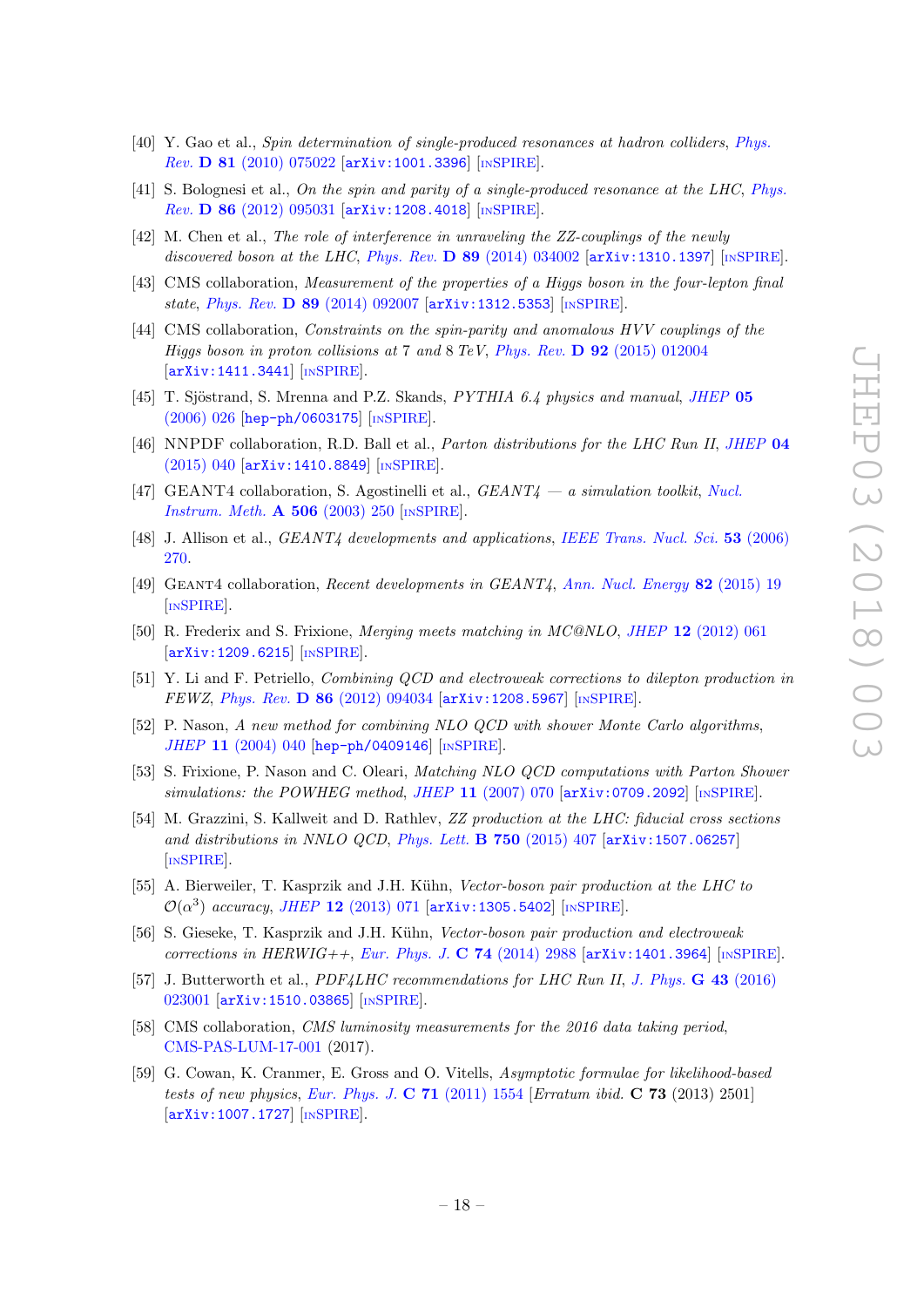- <span id="page-18-0"></span>[40] Y. Gao et al., Spin determination of single-produced resonances at hadron colliders, [Phys.](https://doi.org/10.1103/PhysRevD.81.075022) Rev. D 81 [\(2010\) 075022](https://doi.org/10.1103/PhysRevD.81.075022) [[arXiv:1001.3396](https://arxiv.org/abs/1001.3396)] [IN[SPIRE](https://inspirehep.net/search?p=find+EPRINT+arXiv:1001.3396)].
- <span id="page-18-18"></span>[41] S. Bolognesi et al., On the spin and parity of a single-produced resonance at the LHC, [Phys.](https://doi.org/10.1103/PhysRevD.86.095031) Rev. D 86 [\(2012\) 095031](https://doi.org/10.1103/PhysRevD.86.095031) [[arXiv:1208.4018](https://arxiv.org/abs/1208.4018)] [IN[SPIRE](https://inspirehep.net/search?p=find+EPRINT+arXiv:1208.4018)].
- <span id="page-18-1"></span>[42] M. Chen et al., The role of interference in unraveling the ZZ-couplings of the newly discovered boson at the LHC, Phys. Rev.  $\bf{D}$  89 [\(2014\) 034002](https://doi.org/10.1103/PhysRevD.89.034002) [[arXiv:1310.1397](https://arxiv.org/abs/1310.1397)] [IN[SPIRE](https://inspirehep.net/search?p=find+EPRINT+arXiv:1310.1397)].
- <span id="page-18-2"></span>[43] CMS collaboration, Measurement of the properties of a Higgs boson in the four-lepton final state, Phys. Rev. D 89 [\(2014\) 092007](https://doi.org/10.1103/PhysRevD.89.092007) [[arXiv:1312.5353](https://arxiv.org/abs/1312.5353)] [IN[SPIRE](https://inspirehep.net/search?p=find+EPRINT+arXiv:1312.5353)].
- <span id="page-18-3"></span>[44] CMS collaboration, Constraints on the spin-parity and anomalous HVV couplings of the Higgs boson in proton collisions at 7 and 8 TeV, Phys. Rev.  $\bf{D}$  92 [\(2015\) 012004](https://doi.org/10.1103/PhysRevD.92.012004) [[arXiv:1411.3441](https://arxiv.org/abs/1411.3441)] [IN[SPIRE](https://inspirehep.net/search?p=find+EPRINT+arXiv:1411.3441)].
- <span id="page-18-4"></span>[45] T. Sjöstrand, S. Mrenna and P.Z. Skands,  $PYTHIA$  6.4 physics and manual, [JHEP](https://doi.org/10.1088/1126-6708/2006/05/026) 05 [\(2006\) 026](https://doi.org/10.1088/1126-6708/2006/05/026) [[hep-ph/0603175](https://arxiv.org/abs/hep-ph/0603175)] [IN[SPIRE](https://inspirehep.net/search?p=find+EPRINT+hep-ph/0603175)].
- <span id="page-18-5"></span>[46] NNPDF collaboration, R.D. Ball et al., Parton distributions for the LHC Run II, [JHEP](https://doi.org/10.1007/JHEP04(2015)040) 04 [\(2015\) 040](https://doi.org/10.1007/JHEP04(2015)040) [[arXiv:1410.8849](https://arxiv.org/abs/1410.8849)] [IN[SPIRE](https://inspirehep.net/search?p=find+EPRINT+arXiv:1410.8849)].
- <span id="page-18-6"></span>[47] GEANT4 collaboration, S. Agostinelli et al.,  $GEANT4 - a simulation toolkit$ , [Nucl.](https://doi.org/10.1016/S0168-9002(03)01368-8) [Instrum. Meth.](https://doi.org/10.1016/S0168-9002(03)01368-8) A 506 (2003) 250 [IN[SPIRE](https://inspirehep.net/search?p=find+J+%22Nucl.Instrum.Meth.,A506,250%22)].
- [48] J. Allison et al., *GEANT4* developments and applications, *[IEEE Trans. Nucl. Sci.](https://doi.org/10.1109/TNS.2006.869826)* 53 (2006) [270.](https://doi.org/10.1109/TNS.2006.869826)
- <span id="page-18-7"></span>[49] GEANT4 collaboration, Recent developments in GEANT4, [Ann. Nucl. Energy](https://doi.org/10.1016/j.anucene.2014.08.021) 82 (2015) 19 [IN[SPIRE](https://inspirehep.net/search?p=find+J+ANEND,82,19)].
- <span id="page-18-8"></span>[50] R. Frederix and S. Frixione, Merging meets matching in MC@NLO, JHEP 12 [\(2012\) 061](https://doi.org/10.1007/JHEP12(2012)061) [[arXiv:1209.6215](https://arxiv.org/abs/1209.6215)] [IN[SPIRE](https://inspirehep.net/search?p=find+EPRINT+arXiv:1209.6215)].
- <span id="page-18-9"></span>[51] Y. Li and F. Petriello, Combining QCD and electroweak corrections to dilepton production in FEWZ, Phys. Rev. D 86 [\(2012\) 094034](https://doi.org/10.1103/PhysRevD.86.094034) [[arXiv:1208.5967](https://arxiv.org/abs/1208.5967)] [IN[SPIRE](https://inspirehep.net/search?p=find+EPRINT+arXiv:1208.5967)].
- <span id="page-18-10"></span>[52] P. Nason, A new method for combining NLO QCD with shower Monte Carlo algorithms, JHEP 11 [\(2004\) 040](https://doi.org/10.1088/1126-6708/2004/11/040) [[hep-ph/0409146](https://arxiv.org/abs/hep-ph/0409146)] [IN[SPIRE](https://inspirehep.net/search?p=find+EPRINT+hep-ph/0409146)].
- <span id="page-18-11"></span>[53] S. Frixione, P. Nason and C. Oleari, Matching NLO QCD computations with Parton Shower simulations: the POWHEG method, JHEP  $11$  [\(2007\) 070](https://doi.org/10.1088/1126-6708/2007/11/070) [[arXiv:0709.2092](https://arxiv.org/abs/0709.2092)] [IN[SPIRE](https://inspirehep.net/search?p=find+EPRINT+arXiv:0709.2092)].
- <span id="page-18-12"></span>[54] M. Grazzini, S. Kallweit and D. Rathlev, ZZ production at the LHC: fiducial cross sections and distributions in NNLO QCD, [Phys. Lett.](https://doi.org/10.1016/j.physletb.2015.09.055) B 750 (2015) 407 [[arXiv:1507.06257](https://arxiv.org/abs/1507.06257)] [IN[SPIRE](https://inspirehep.net/search?p=find+EPRINT+arXiv:1507.06257)].
- <span id="page-18-13"></span>[55] A. Bierweiler, T. Kasprzik and J.H. Kühn, Vector-boson pair production at the LHC to  $\mathcal{O}(\alpha^3)$  accuracy, JHEP 12 [\(2013\) 071](https://doi.org/10.1007/JHEP12(2013)071) [[arXiv:1305.5402](https://arxiv.org/abs/1305.5402)] [IN[SPIRE](https://inspirehep.net/search?p=find+EPRINT+arXiv:1305.5402)].
- <span id="page-18-14"></span>[56] S. Gieseke, T. Kasprzik and J.H. Kühn, Vector-boson pair production and electroweak corrections in HERWIG++, [Eur. Phys. J.](https://doi.org/10.1140/epjc/s10052-014-2988-y) C 74 (2014) 2988  $\left[$ [arXiv:1401.3964](https://arxiv.org/abs/1401.3964) $\right]$  [IN[SPIRE](https://inspirehep.net/search?p=find+EPRINT+arXiv:1401.3964)].
- <span id="page-18-15"></span>[57] J. Butterworth et al., *PDF4LHC recommendations for LHC Run II, [J. Phys.](https://doi.org/10.1088/0954-3899/43/2/023001)* **G 43** (2016) [023001](https://doi.org/10.1088/0954-3899/43/2/023001) [[arXiv:1510.03865](https://arxiv.org/abs/1510.03865)] [IN[SPIRE](https://inspirehep.net/search?p=find+EPRINT+arXiv:1510.03865)].
- <span id="page-18-16"></span>[58] CMS collaboration, *CMS luminosity measurements for the 2016 data taking period*, [CMS-PAS-LUM-17-001](http://cds.cern.ch/record/2257069) (2017).
- <span id="page-18-17"></span>[59] G. Cowan, K. Cranmer, E. Gross and O. Vitells, Asymptotic formulae for likelihood-based tests of new physics, [Eur. Phys. J.](https://doi.org/10.1140/epjc/s10052-011-1554-0) C 71 (2011) 1554 [Erratum ibid. C 73 (2013) 2501] [[arXiv:1007.1727](https://arxiv.org/abs/1007.1727)] [IN[SPIRE](https://inspirehep.net/search?p=find+EPRINT+arXiv:1007.1727)].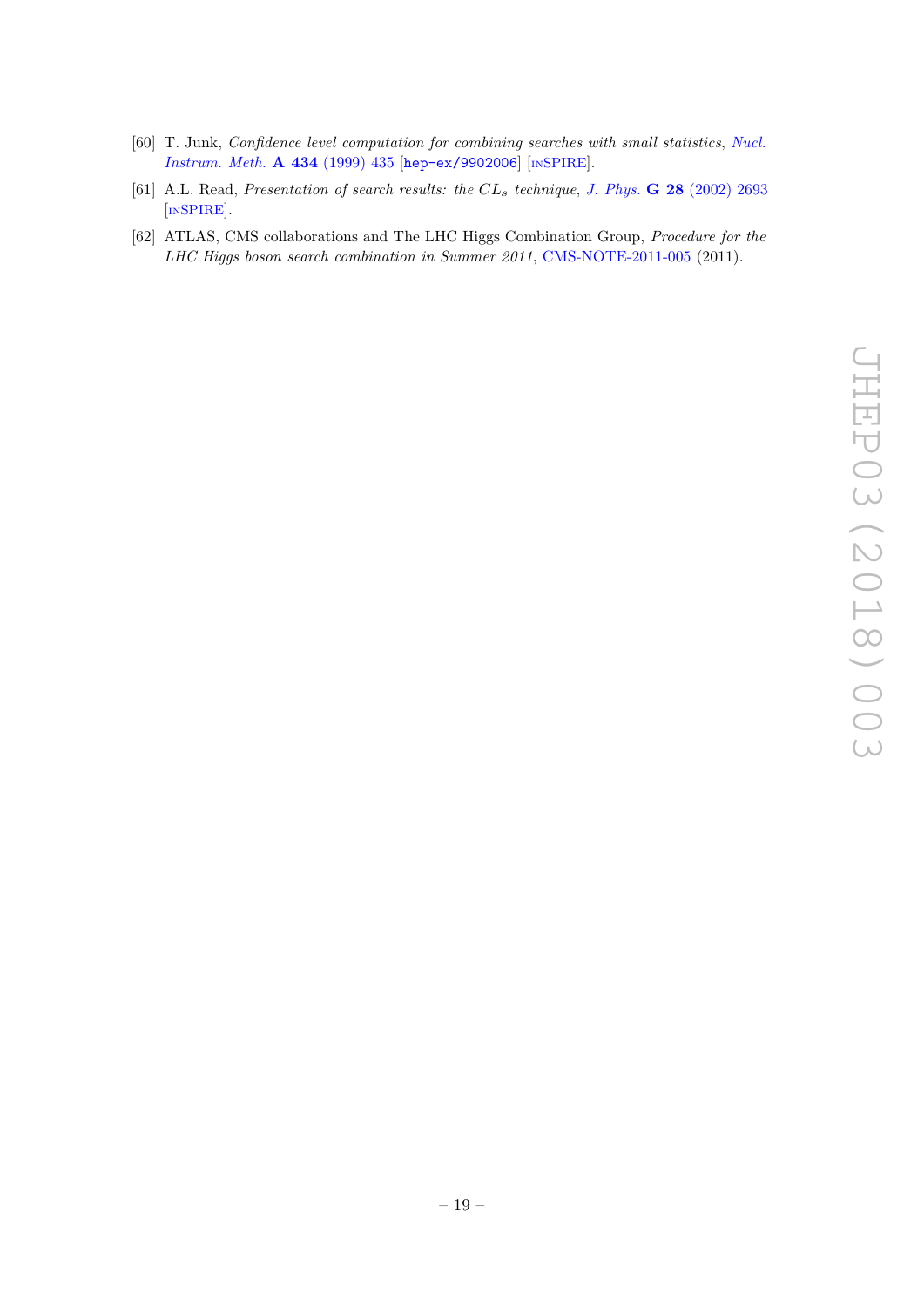- <span id="page-19-0"></span>[60] T. Junk, Confidence level computation for combining searches with small statistics, [Nucl.](https://doi.org/10.1016/S0168-9002(99)00498-2) [Instrum. Meth.](https://doi.org/10.1016/S0168-9002(99)00498-2) A 434 (1999) 435 [[hep-ex/9902006](https://arxiv.org/abs/hep-ex/9902006)] [IN[SPIRE](https://inspirehep.net/search?p=find+EPRINT+hep-ex/9902006)].
- [61] A.L. Read, Presentation of search results: the CL<sub>s</sub> technique, J. Phys. **G 28** [\(2002\) 2693](https://doi.org/10.1088/0954-3899/28/10/313) [IN[SPIRE](https://inspirehep.net/search?p=find+J+%22J.Phys.,G28,2693%22)].
- <span id="page-19-1"></span>[62] ATLAS, CMS collaborations and The LHC Higgs Combination Group, Procedure for the LHC Higgs boson search combination in Summer 2011, [CMS-NOTE-2011-005](http://cds.cern.ch/record/1379837) (2011).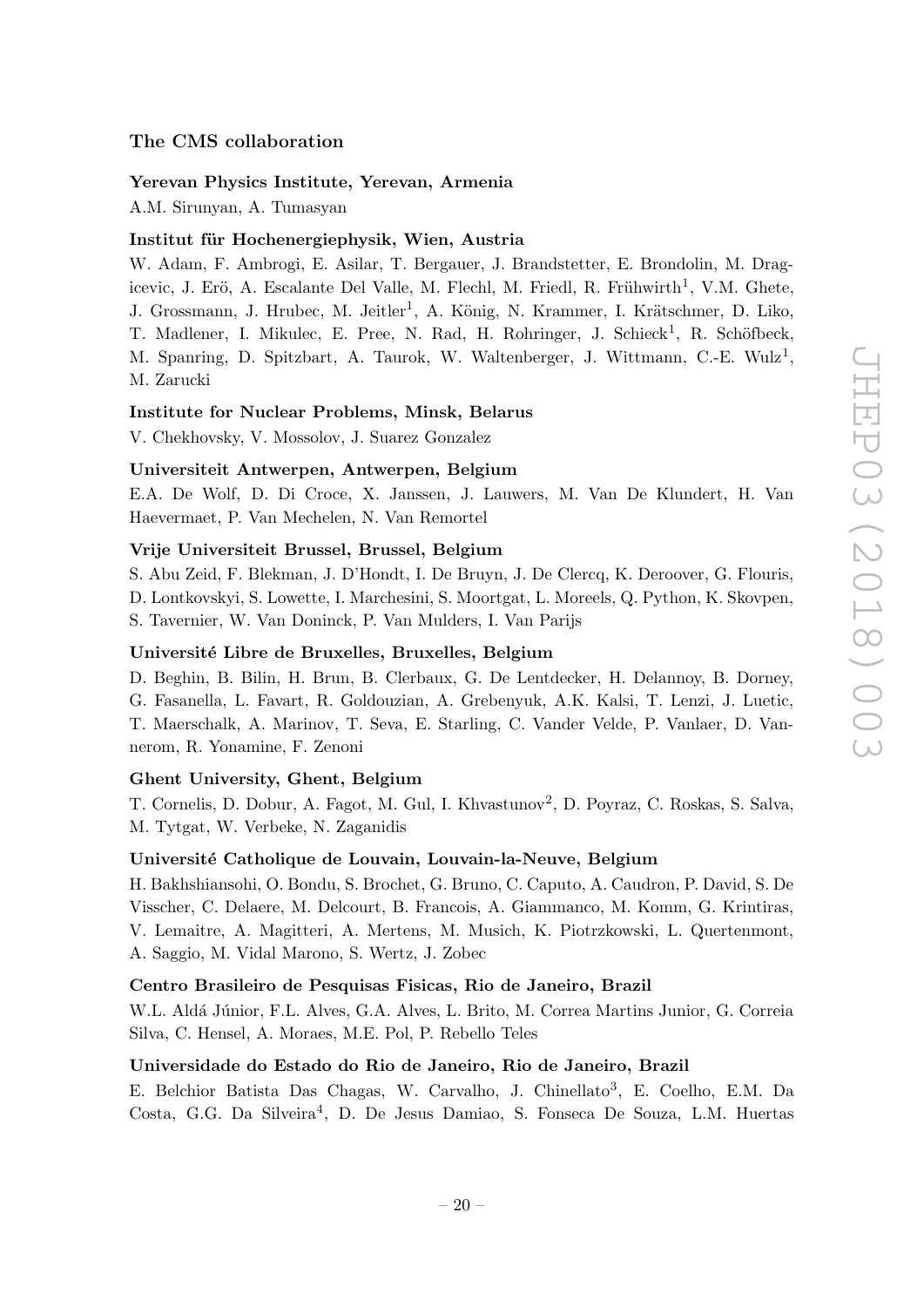### The CMS collaboration

### <span id="page-20-0"></span>Yerevan Physics Institute, Yerevan, Armenia

A.M. Sirunyan, A. Tumasyan

#### Institut für Hochenergiephysik, Wien, Austria

W. Adam, F. Ambrogi, E. Asilar, T. Bergauer, J. Brandstetter, E. Brondolin, M. Dragicevic, J. Erö, A. Escalante Del Valle, M. Flechl, M. Friedl, R. Frühwirth<sup>1</sup>, V.M. Ghete, J. Grossmann, J. Hrubec, M. Jeitler<sup>1</sup>, A. König, N. Krammer, I. Krätschmer, D. Liko, T. Madlener, I. Mikulec, E. Pree, N. Rad, H. Rohringer, J. Schieck<sup>1</sup>, R. Schöfbeck, M. Spanring, D. Spitzbart, A. Taurok, W. Waltenberger, J. Wittmann, C.-E. Wulz<sup>1</sup>, M. Zarucki

#### Institute for Nuclear Problems, Minsk, Belarus

V. Chekhovsky, V. Mossolov, J. Suarez Gonzalez

#### Universiteit Antwerpen, Antwerpen, Belgium

E.A. De Wolf, D. Di Croce, X. Janssen, J. Lauwers, M. Van De Klundert, H. Van Haevermaet, P. Van Mechelen, N. Van Remortel

### Vrije Universiteit Brussel, Brussel, Belgium

S. Abu Zeid, F. Blekman, J. D'Hondt, I. De Bruyn, J. De Clercq, K. Deroover, G. Flouris, D. Lontkovskyi, S. Lowette, I. Marchesini, S. Moortgat, L. Moreels, Q. Python, K. Skovpen, S. Tavernier, W. Van Doninck, P. Van Mulders, I. Van Parijs

### Université Libre de Bruxelles, Bruxelles, Belgium

D. Beghin, B. Bilin, H. Brun, B. Clerbaux, G. De Lentdecker, H. Delannoy, B. Dorney, G. Fasanella, L. Favart, R. Goldouzian, A. Grebenyuk, A.K. Kalsi, T. Lenzi, J. Luetic, T. Maerschalk, A. Marinov, T. Seva, E. Starling, C. Vander Velde, P. Vanlaer, D. Vannerom, R. Yonamine, F. Zenoni

### Ghent University, Ghent, Belgium

T. Cornelis, D. Dobur, A. Fagot, M. Gul, I. Khvastunov<sup>2</sup>, D. Poyraz, C. Roskas, S. Salva, M. Tytgat, W. Verbeke, N. Zaganidis

### Université Catholique de Louvain, Louvain-la-Neuve, Belgium

H. Bakhshiansohi, O. Bondu, S. Brochet, G. Bruno, C. Caputo, A. Caudron, P. David, S. De Visscher, C. Delaere, M. Delcourt, B. Francois, A. Giammanco, M. Komm, G. Krintiras, V. Lemaitre, A. Magitteri, A. Mertens, M. Musich, K. Piotrzkowski, L. Quertenmont, A. Saggio, M. Vidal Marono, S. Wertz, J. Zobec

#### Centro Brasileiro de Pesquisas Fisicas, Rio de Janeiro, Brazil

W.L. Aldá Júnior, F.L. Alves, G.A. Alves, L. Brito, M. Correa Martins Junior, G. Correia Silva, C. Hensel, A. Moraes, M.E. Pol, P. Rebello Teles

# Universidade do Estado do Rio de Janeiro, Rio de Janeiro, Brazil

E. Belchior Batista Das Chagas, W. Carvalho, J. Chinellato<sup>3</sup>, E. Coelho, E.M. Da Costa, G.G. Da Silveira<sup>4</sup>, D. De Jesus Damiao, S. Fonseca De Souza, L.M. Huertas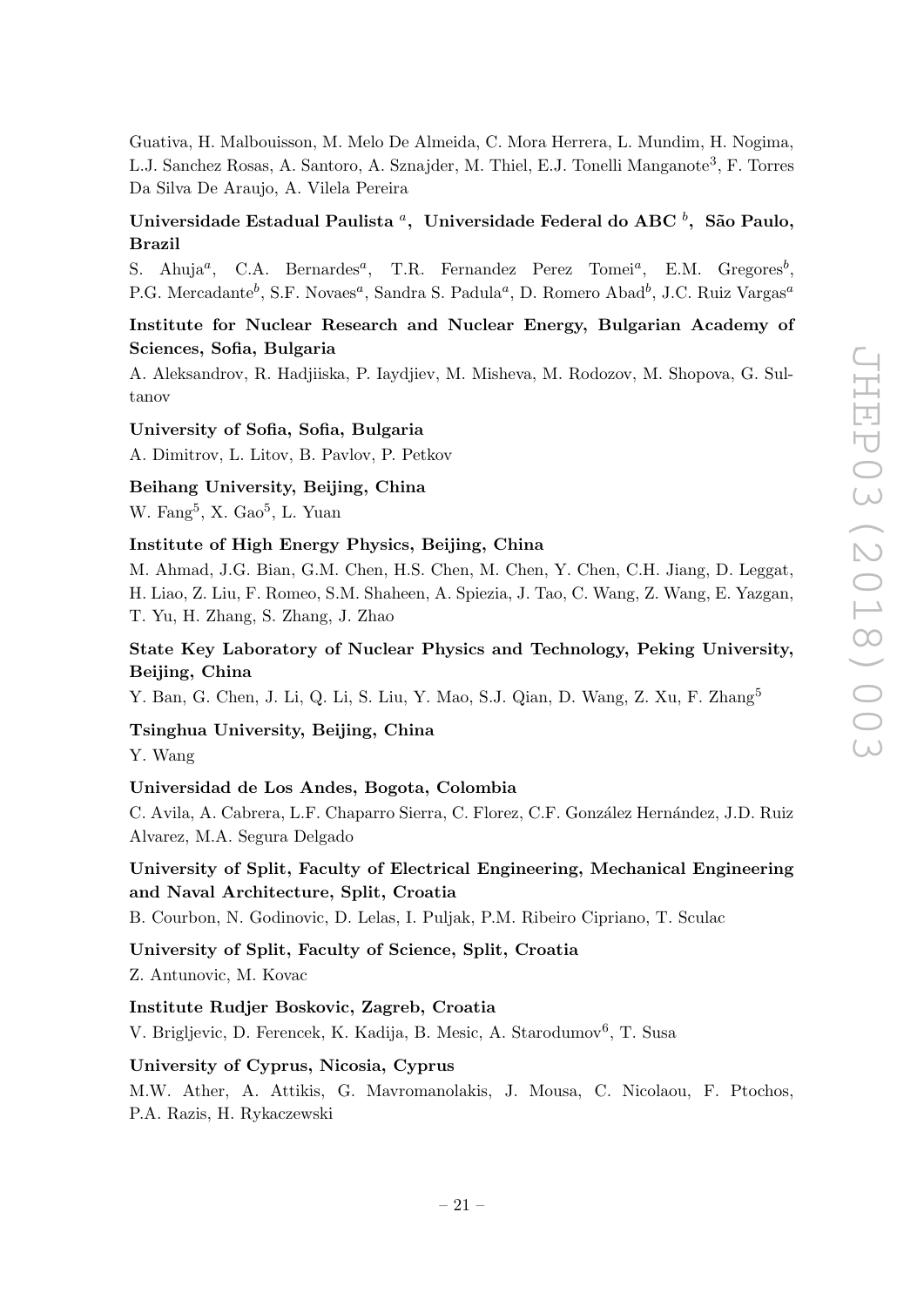Guativa, H. Malbouisson, M. Melo De Almeida, C. Mora Herrera, L. Mundim, H. Nogima, L.J. Sanchez Rosas, A. Santoro, A. Sznajder, M. Thiel, E.J. Tonelli Manganote<sup>3</sup>, F. Torres Da Silva De Araujo, A. Vilela Pereira

# Universidade Estadual Paulista <sup>a</sup>, Universidade Federal do ABC  $^b$ , São Paulo, Brazil

S. Ahuja<sup>a</sup>, C.A. Bernardes<sup>a</sup>, T.R. Fernandez Perez Tomei<sup>a</sup>, E.M. Gregores<sup>b</sup>, P.G. Mercadante<sup>b</sup>, S.F. Novaes<sup>a</sup>, Sandra S. Padula<sup>a</sup>, D. Romero Abad<sup>b</sup>, J.C. Ruiz Vargas<sup>a</sup>

# Institute for Nuclear Research and Nuclear Energy, Bulgarian Academy of Sciences, Sofia, Bulgaria

A. Aleksandrov, R. Hadjiiska, P. Iaydjiev, M. Misheva, M. Rodozov, M. Shopova, G. Sultanov

### University of Sofia, Sofia, Bulgaria

A. Dimitrov, L. Litov, B. Pavlov, P. Petkov

# Beihang University, Beijing, China

W. Fang<sup>5</sup>, X. Gao<sup>5</sup>, L. Yuan

# Institute of High Energy Physics, Beijing, China

M. Ahmad, J.G. Bian, G.M. Chen, H.S. Chen, M. Chen, Y. Chen, C.H. Jiang, D. Leggat, H. Liao, Z. Liu, F. Romeo, S.M. Shaheen, A. Spiezia, J. Tao, C. Wang, Z. Wang, E. Yazgan, T. Yu, H. Zhang, S. Zhang, J. Zhao

# State Key Laboratory of Nuclear Physics and Technology, Peking University, Beijing, China

Y. Ban, G. Chen, J. Li, Q. Li, S. Liu, Y. Mao, S.J. Qian, D. Wang, Z. Xu, F. Zhang<sup>5</sup>

### Tsinghua University, Beijing, China

Y. Wang

### Universidad de Los Andes, Bogota, Colombia

C. Avila, A. Cabrera, L.F. Chaparro Sierra, C. Florez, C.F. González Hernández, J.D. Ruiz Alvarez, M.A. Segura Delgado

# University of Split, Faculty of Electrical Engineering, Mechanical Engineering and Naval Architecture, Split, Croatia

B. Courbon, N. Godinovic, D. Lelas, I. Puljak, P.M. Ribeiro Cipriano, T. Sculac

### University of Split, Faculty of Science, Split, Croatia

Z. Antunovic, M. Kovac

### Institute Rudjer Boskovic, Zagreb, Croatia

V. Brigljevic, D. Ferencek, K. Kadija, B. Mesic, A. Starodumov<sup>6</sup>, T. Susa

### University of Cyprus, Nicosia, Cyprus

M.W. Ather, A. Attikis, G. Mavromanolakis, J. Mousa, C. Nicolaou, F. Ptochos, P.A. Razis, H. Rykaczewski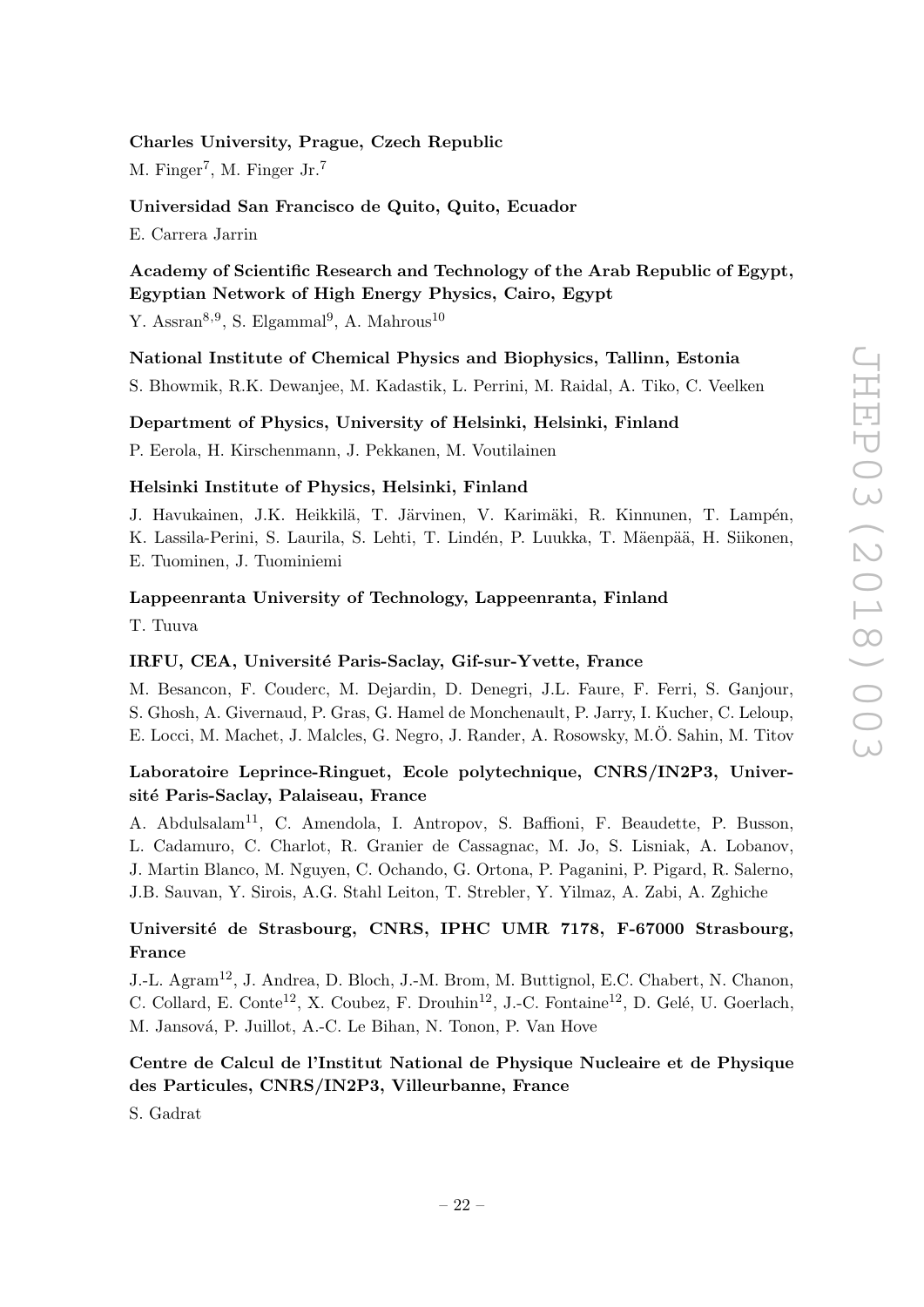### Charles University, Prague, Czech Republic

M. Finger<sup>7</sup>, M. Finger Jr.<sup>7</sup>

### Universidad San Francisco de Quito, Quito, Ecuador

E. Carrera Jarrin

# Academy of Scientific Research and Technology of the Arab Republic of Egypt, Egyptian Network of High Energy Physics, Cairo, Egypt

Y. Assran $8.9$ , S. Elgammal<sup>9</sup>, A. Mahrous<sup>10</sup>

### National Institute of Chemical Physics and Biophysics, Tallinn, Estonia

S. Bhowmik, R.K. Dewanjee, M. Kadastik, L. Perrini, M. Raidal, A. Tiko, C. Veelken

### Department of Physics, University of Helsinki, Helsinki, Finland

P. Eerola, H. Kirschenmann, J. Pekkanen, M. Voutilainen

#### Helsinki Institute of Physics, Helsinki, Finland

J. Havukainen, J.K. Heikkilä, T. Järvinen, V. Karimäki, R. Kinnunen, T. Lampén, K. Lassila-Perini, S. Laurila, S. Lehti, T. Lindén, P. Luukka, T. Mäenpää, H. Siikonen, E. Tuominen, J. Tuominiemi

#### Lappeenranta University of Technology, Lappeenranta, Finland

T. Tuuva

### IRFU, CEA, Université Paris-Saclay, Gif-sur-Yvette, France

M. Besancon, F. Couderc, M. Dejardin, D. Denegri, J.L. Faure, F. Ferri, S. Ganjour, S. Ghosh, A. Givernaud, P. Gras, G. Hamel de Monchenault, P. Jarry, I. Kucher, C. Leloup, E. Locci, M. Machet, J. Malcles, G. Negro, J. Rander, A. Rosowsky, M.O. Sahin, M. Titov ¨

# Laboratoire Leprince-Ringuet, Ecole polytechnique, CNRS/IN2P3, Université Paris-Saclay, Palaiseau, France

A. Abdulsalam11, C. Amendola, I. Antropov, S. Baffioni, F. Beaudette, P. Busson, L. Cadamuro, C. Charlot, R. Granier de Cassagnac, M. Jo, S. Lisniak, A. Lobanov, J. Martin Blanco, M. Nguyen, C. Ochando, G. Ortona, P. Paganini, P. Pigard, R. Salerno, J.B. Sauvan, Y. Sirois, A.G. Stahl Leiton, T. Strebler, Y. Yilmaz, A. Zabi, A. Zghiche

# Université de Strasbourg, CNRS, IPHC UMR 7178, F-67000 Strasbourg, France

J.-L. Agram<sup>12</sup>, J. Andrea, D. Bloch, J.-M. Brom, M. Buttignol, E.C. Chabert, N. Chanon, C. Collard, E. Conte<sup>12</sup>, X. Coubez, F. Drouhin<sup>12</sup>, J.-C. Fontaine<sup>12</sup>, D. Gelé, U. Goerlach, M. Jansová, P. Juillot, A.-C. Le Bihan, N. Tonon, P. Van Hove

# Centre de Calcul de l'Institut National de Physique Nucleaire et de Physique des Particules, CNRS/IN2P3, Villeurbanne, France

S. Gadrat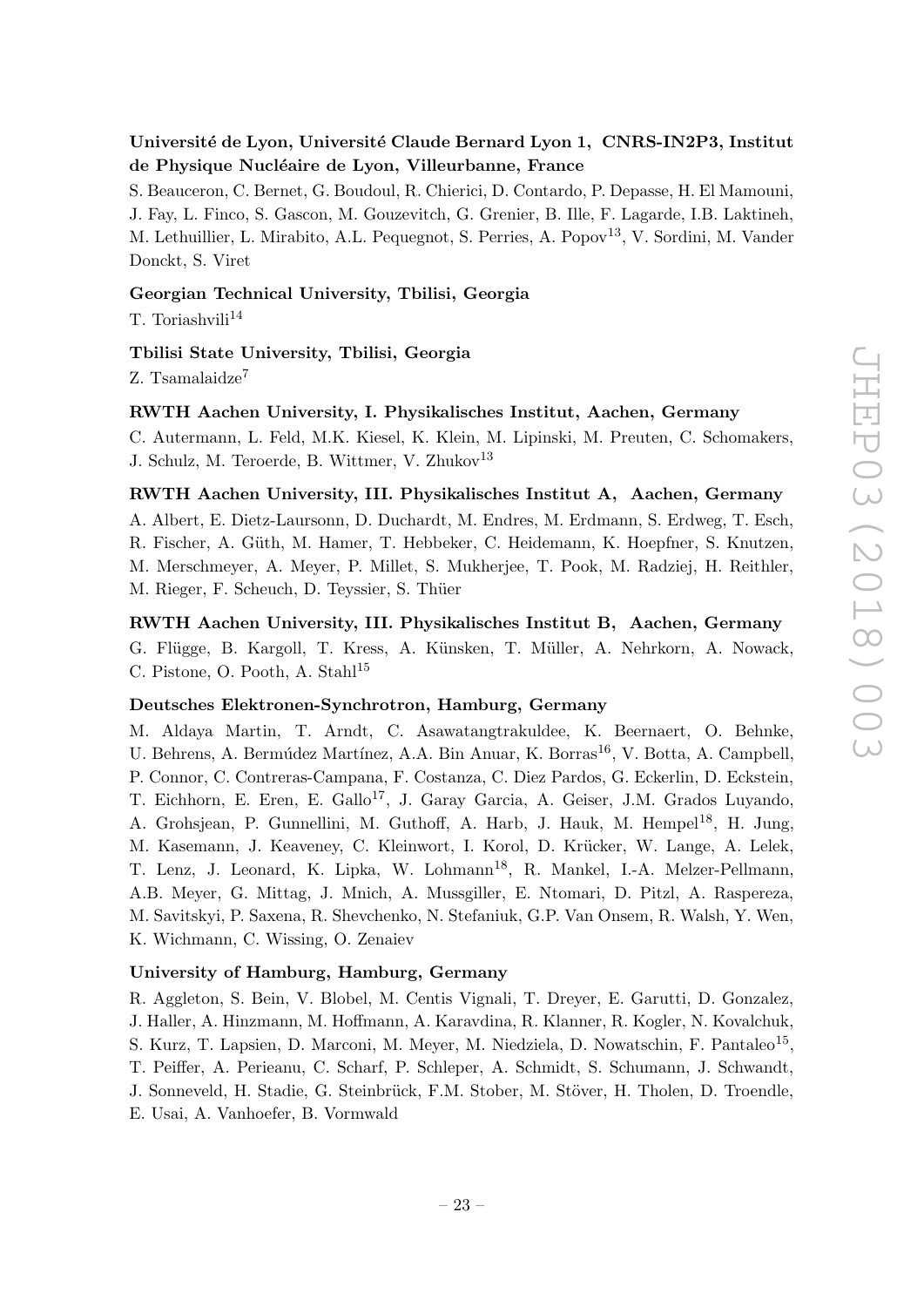# Université de Lyon, Université Claude Bernard Lyon 1, CNRS-IN2P3, Institut de Physique Nucléaire de Lyon, Villeurbanne, France

S. Beauceron, C. Bernet, G. Boudoul, R. Chierici, D. Contardo, P. Depasse, H. El Mamouni, J. Fay, L. Finco, S. Gascon, M. Gouzevitch, G. Grenier, B. Ille, F. Lagarde, I.B. Laktineh, M. Lethuillier, L. Mirabito, A.L. Pequegnot, S. Perries, A. Popov<sup>13</sup>, V. Sordini, M. Vander Donckt, S. Viret

### Georgian Technical University, Tbilisi, Georgia

 $T.$  Toriashvili $^{14}$ 

### Tbilisi State University, Tbilisi, Georgia

Z. Tsamalaidze<sup>7</sup>

### RWTH Aachen University, I. Physikalisches Institut, Aachen, Germany

C. Autermann, L. Feld, M.K. Kiesel, K. Klein, M. Lipinski, M. Preuten, C. Schomakers, J. Schulz, M. Teroerde, B. Wittmer, V. Zhukov<sup>13</sup>

#### RWTH Aachen University, III. Physikalisches Institut A, Aachen, Germany

A. Albert, E. Dietz-Laursonn, D. Duchardt, M. Endres, M. Erdmann, S. Erdweg, T. Esch, R. Fischer, A. Güth, M. Hamer, T. Hebbeker, C. Heidemann, K. Hoepfner, S. Knutzen, M. Merschmeyer, A. Meyer, P. Millet, S. Mukherjee, T. Pook, M. Radziej, H. Reithler, M. Rieger, F. Scheuch, D. Teyssier, S. Thüer

### RWTH Aachen University, III. Physikalisches Institut B, Aachen, Germany

G. Flügge, B. Kargoll, T. Kress, A. Künsken, T. Müller, A. Nehrkorn, A. Nowack, C. Pistone, O. Pooth, A. Stahl<sup>15</sup>

### Deutsches Elektronen-Synchrotron, Hamburg, Germany

M. Aldaya Martin, T. Arndt, C. Asawatangtrakuldee, K. Beernaert, O. Behnke, U. Behrens, A. Bermúdez Martínez, A.A. Bin Anuar, K. Borras<sup>16</sup>, V. Botta, A. Campbell, P. Connor, C. Contreras-Campana, F. Costanza, C. Diez Pardos, G. Eckerlin, D. Eckstein, T. Eichhorn, E. Eren, E. Gallo<sup>17</sup>, J. Garay Garcia, A. Geiser, J.M. Grados Luyando, A. Grohsjean, P. Gunnellini, M. Guthoff, A. Harb, J. Hauk, M. Hempel<sup>18</sup>, H. Jung, M. Kasemann, J. Keaveney, C. Kleinwort, I. Korol, D. Krücker, W. Lange, A. Lelek, T. Lenz, J. Leonard, K. Lipka, W. Lohmann<sup>18</sup>, R. Mankel, I.-A. Melzer-Pellmann, A.B. Meyer, G. Mittag, J. Mnich, A. Mussgiller, E. Ntomari, D. Pitzl, A. Raspereza, M. Savitskyi, P. Saxena, R. Shevchenko, N. Stefaniuk, G.P. Van Onsem, R. Walsh, Y. Wen, K. Wichmann, C. Wissing, O. Zenaiev

### University of Hamburg, Hamburg, Germany

R. Aggleton, S. Bein, V. Blobel, M. Centis Vignali, T. Dreyer, E. Garutti, D. Gonzalez, J. Haller, A. Hinzmann, M. Hoffmann, A. Karavdina, R. Klanner, R. Kogler, N. Kovalchuk, S. Kurz, T. Lapsien, D. Marconi, M. Meyer, M. Niedziela, D. Nowatschin, F. Pantaleo<sup>15</sup>, T. Peiffer, A. Perieanu, C. Scharf, P. Schleper, A. Schmidt, S. Schumann, J. Schwandt, J. Sonneveld, H. Stadie, G. Steinbrück, F.M. Stober, M. Stöver, H. Tholen, D. Troendle, E. Usai, A. Vanhoefer, B. Vormwald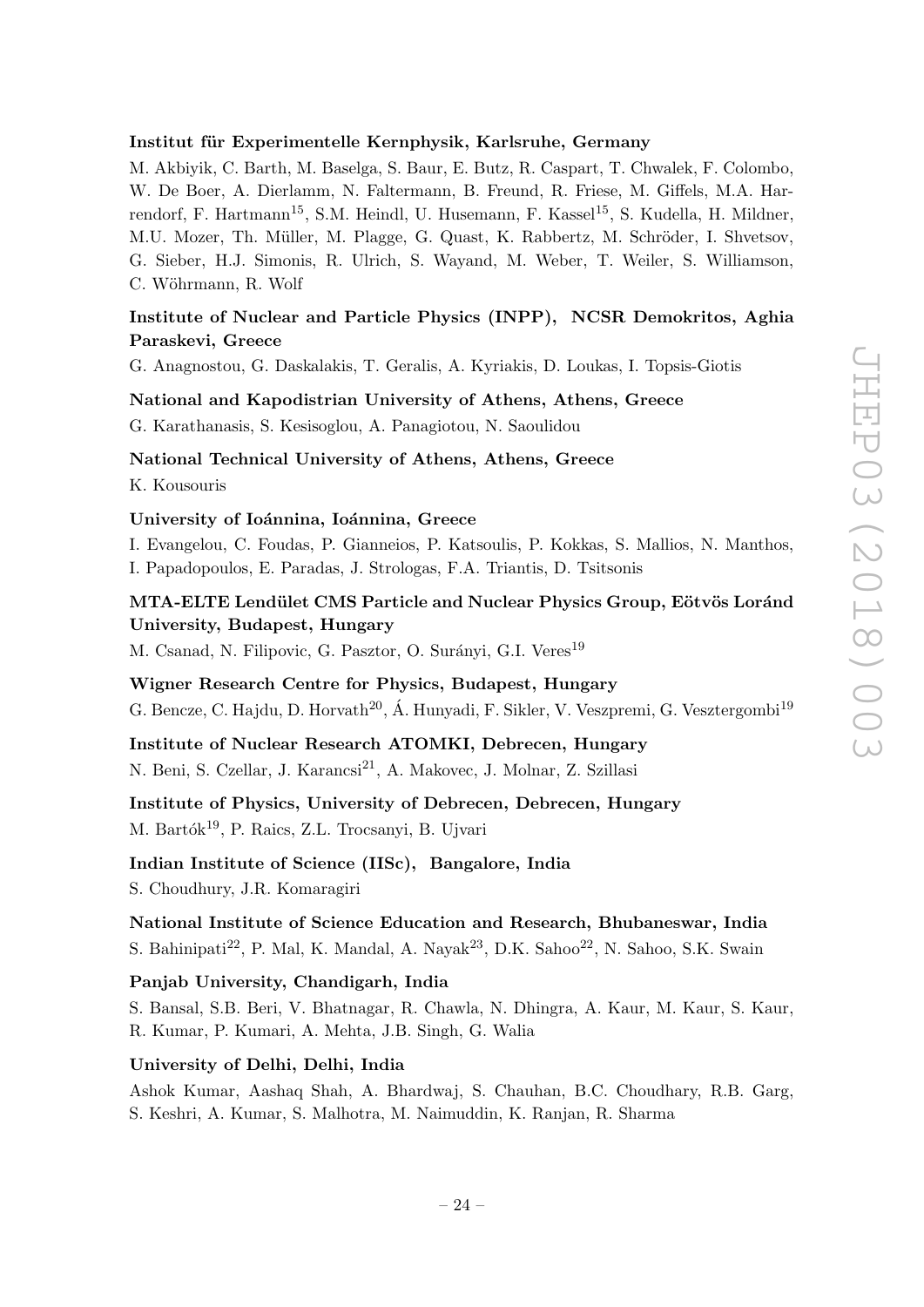### Institut für Experimentelle Kernphysik, Karlsruhe, Germany

M. Akbiyik, C. Barth, M. Baselga, S. Baur, E. Butz, R. Caspart, T. Chwalek, F. Colombo, W. De Boer, A. Dierlamm, N. Faltermann, B. Freund, R. Friese, M. Giffels, M.A. Harrendorf, F. Hartmann<sup>15</sup>, S.M. Heindl, U. Husemann, F. Kassel<sup>15</sup>, S. Kudella, H. Mildner, M.U. Mozer, Th. Müller, M. Plagge, G. Quast, K. Rabbertz, M. Schröder, I. Shvetsov, G. Sieber, H.J. Simonis, R. Ulrich, S. Wayand, M. Weber, T. Weiler, S. Williamson, C. Wöhrmann, R. Wolf

# Institute of Nuclear and Particle Physics (INPP), NCSR Demokritos, Aghia Paraskevi, Greece

G. Anagnostou, G. Daskalakis, T. Geralis, A. Kyriakis, D. Loukas, I. Topsis-Giotis

### National and Kapodistrian University of Athens, Athens, Greece

G. Karathanasis, S. Kesisoglou, A. Panagiotou, N. Saoulidou

# National Technical University of Athens, Athens, Greece

K. Kousouris

### University of Ioánnina, Ioánnina, Greece

I. Evangelou, C. Foudas, P. Gianneios, P. Katsoulis, P. Kokkas, S. Mallios, N. Manthos, I. Papadopoulos, E. Paradas, J. Strologas, F.A. Triantis, D. Tsitsonis

# MTA-ELTE Lendület CMS Particle and Nuclear Physics Group, Eötvös Loránd University, Budapest, Hungary

M. Csanad, N. Filipovic, G. Pasztor, O. Surányi, G.I. Veres<sup>19</sup>

Wigner Research Centre for Physics, Budapest, Hungary G. Bencze, C. Hajdu, D. Horvath<sup>20</sup>, Á. Hunyadi, F. Sikler, V. Veszpremi, G. Vesztergombi<sup>19</sup>

Institute of Nuclear Research ATOMKI, Debrecen, Hungary N. Beni, S. Czellar, J. Karancsi<sup>21</sup>, A. Makovec, J. Molnar, Z. Szillasi

# Institute of Physics, University of Debrecen, Debrecen, Hungary

M. Bartók<sup>19</sup>, P. Raics, Z.L. Trocsanyi, B. Ujvari

# Indian Institute of Science (IISc), Bangalore, India

S. Choudhury, J.R. Komaragiri

### National Institute of Science Education and Research, Bhubaneswar, India

S. Bahinipati<sup>22</sup>, P. Mal, K. Mandal, A. Nayak<sup>23</sup>, D.K. Sahoo<sup>22</sup>, N. Sahoo, S.K. Swain

### Panjab University, Chandigarh, India

S. Bansal, S.B. Beri, V. Bhatnagar, R. Chawla, N. Dhingra, A. Kaur, M. Kaur, S. Kaur, R. Kumar, P. Kumari, A. Mehta, J.B. Singh, G. Walia

### University of Delhi, Delhi, India

Ashok Kumar, Aashaq Shah, A. Bhardwaj, S. Chauhan, B.C. Choudhary, R.B. Garg, S. Keshri, A. Kumar, S. Malhotra, M. Naimuddin, K. Ranjan, R. Sharma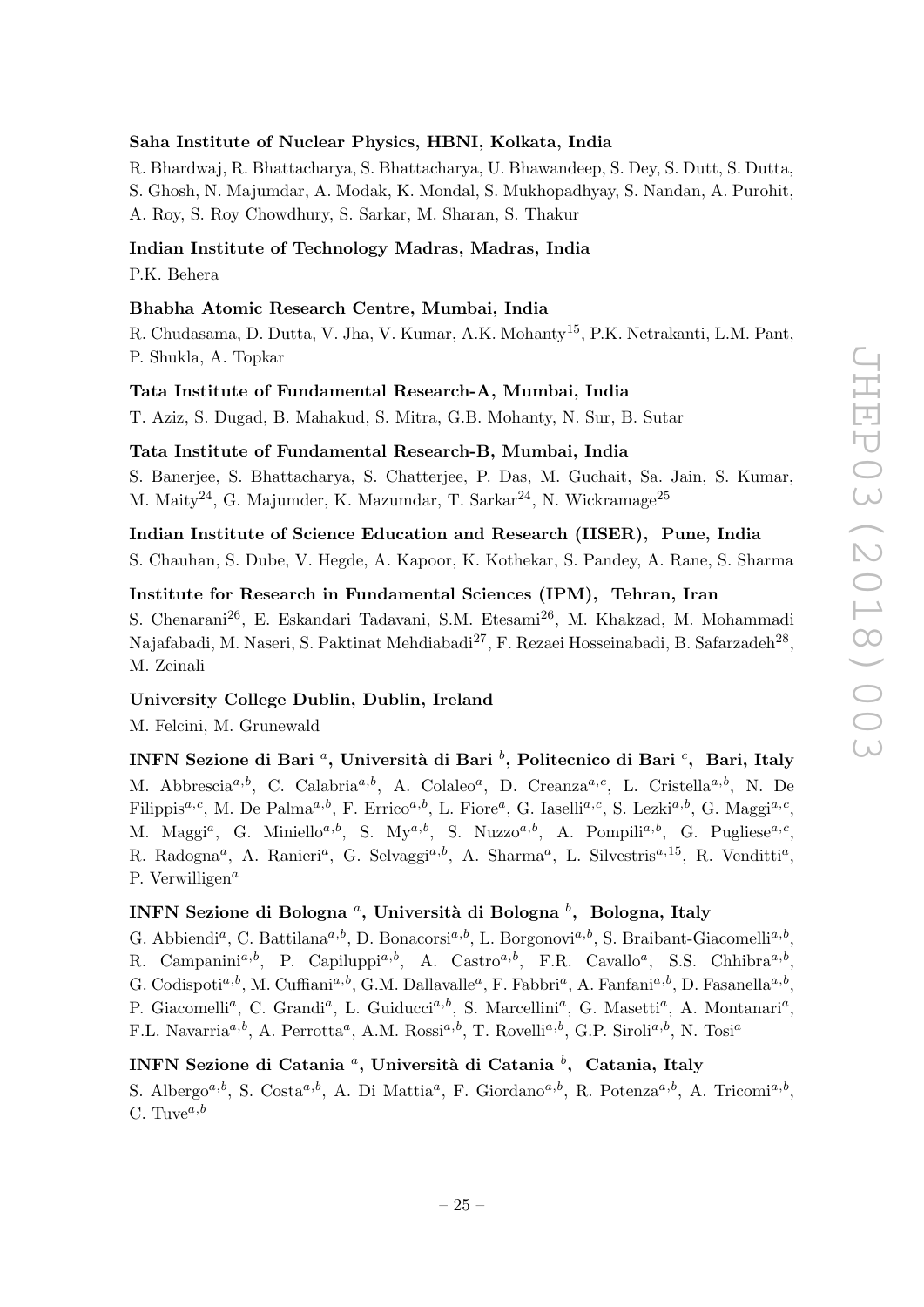### Saha Institute of Nuclear Physics, HBNI, Kolkata, India

R. Bhardwaj, R. Bhattacharya, S. Bhattacharya, U. Bhawandeep, S. Dey, S. Dutt, S. Dutta, S. Ghosh, N. Majumdar, A. Modak, K. Mondal, S. Mukhopadhyay, S. Nandan, A. Purohit, A. Roy, S. Roy Chowdhury, S. Sarkar, M. Sharan, S. Thakur

### Indian Institute of Technology Madras, Madras, India

P.K. Behera

#### Bhabha Atomic Research Centre, Mumbai, India

R. Chudasama, D. Dutta, V. Jha, V. Kumar, A.K. Mohanty15, P.K. Netrakanti, L.M. Pant, P. Shukla, A. Topkar

#### Tata Institute of Fundamental Research-A, Mumbai, India

T. Aziz, S. Dugad, B. Mahakud, S. Mitra, G.B. Mohanty, N. Sur, B. Sutar

#### Tata Institute of Fundamental Research-B, Mumbai, India

S. Banerjee, S. Bhattacharya, S. Chatterjee, P. Das, M. Guchait, Sa. Jain, S. Kumar, M. Maity<sup>24</sup>, G. Majumder, K. Mazumdar, T. Sarkar<sup>24</sup>, N. Wickramage<sup>25</sup>

Indian Institute of Science Education and Research (IISER), Pune, India

S. Chauhan, S. Dube, V. Hegde, A. Kapoor, K. Kothekar, S. Pandey, A. Rane, S. Sharma

### Institute for Research in Fundamental Sciences (IPM), Tehran, Iran

S. Chenarani26, E. Eskandari Tadavani, S.M. Etesami26, M. Khakzad, M. Mohammadi Najafabadi, M. Naseri, S. Paktinat Mehdiabadi<sup>27</sup>, F. Rezaei Hosseinabadi, B. Safarzadeh<sup>28</sup>, M. Zeinali

#### University College Dublin, Dublin, Ireland

M. Felcini, M. Grunewald

INFN Sezione di Bari <sup>a</sup>, Università di Bari  $^b$ , Politecnico di Bari  $^c$ , Bari, Italy M. Abbrescia<sup>a,b</sup>, C. Calabria<sup>a,b</sup>, A. Colaleo<sup>a</sup>, D. Creanza<sup>a,c</sup>, L. Cristella<sup>a,b</sup>, N. De Filippis<sup>a,c</sup>, M. De Palma<sup>a,b</sup>, F. Errico<sup>a,b</sup>, L. Fiore<sup>a</sup>, G. Iaselli<sup>a,c</sup>, S. Lezki<sup>a,b</sup>, G. Maggi<sup>a,c</sup>, M. Maggi<sup>a</sup>, G. Miniello<sup>a,b</sup>, S. My<sup>a,b</sup>, S. Nuzzo<sup>a,b</sup>, A. Pompili<sup>a,b</sup>, G. Pugliese<sup>a,c</sup>, R. Radogna<sup>a</sup>, A. Ranieri<sup>a</sup>, G. Selvaggi<sup>a,b</sup>, A. Sharma<sup>a</sup>, L. Silvestris<sup>a,15</sup>, R. Venditti<sup>a</sup>, P. Verwilligen<sup> $a$ </sup>

# INFN Sezione di Bologna <sup>a</sup>, Università di Bologna  $^b$ , Bologna, Italy

G. Abbiendi<sup>a</sup>, C. Battilana<sup>a,b</sup>, D. Bonacorsi<sup>a,b</sup>, L. Borgonovi<sup>a,b</sup>, S. Braibant-Giacomelli<sup>a,b</sup>, R. Campanini<sup>a,b</sup>, P. Capiluppi<sup>a,b</sup>, A. Castro<sup>a,b</sup>, F.R. Cavallo<sup>a</sup>, S.S. Chhibra<sup>a,b</sup>, G. Codispoti<sup>a,b</sup>, M. Cuffiani<sup>a,b</sup>, G.M. Dallavalle<sup>a</sup>, F. Fabbri<sup>a</sup>, A. Fanfani<sup>a,b</sup>, D. Fasanella<sup>a,b</sup>, P. Giacomelli<sup>a</sup>, C. Grandi<sup>a</sup>, L. Guiducci<sup>a,b</sup>, S. Marcellini<sup>a</sup>, G. Masetti<sup>a</sup>, A. Montanari<sup>a</sup>, F.L. Navarria<sup>a,b</sup>, A. Perrotta<sup>a</sup>, A.M. Rossi<sup>a,b</sup>, T. Rovelli<sup>a,b</sup>, G.P. Siroli<sup>a,b</sup>, N. Tosi<sup>a</sup>

# INFN Sezione di Catania <sup>a</sup>, Università di Catania  $^b$ , Catania, Italy

S. Albergo<sup>a,b</sup>, S. Costa<sup>a,b</sup>, A. Di Mattia<sup>a</sup>, F. Giordano<sup>a,b</sup>, R. Potenza<sup>a,b</sup>, A. Tricomi<sup>a,b</sup>, C. Tuve<sup> $a,b$ </sup>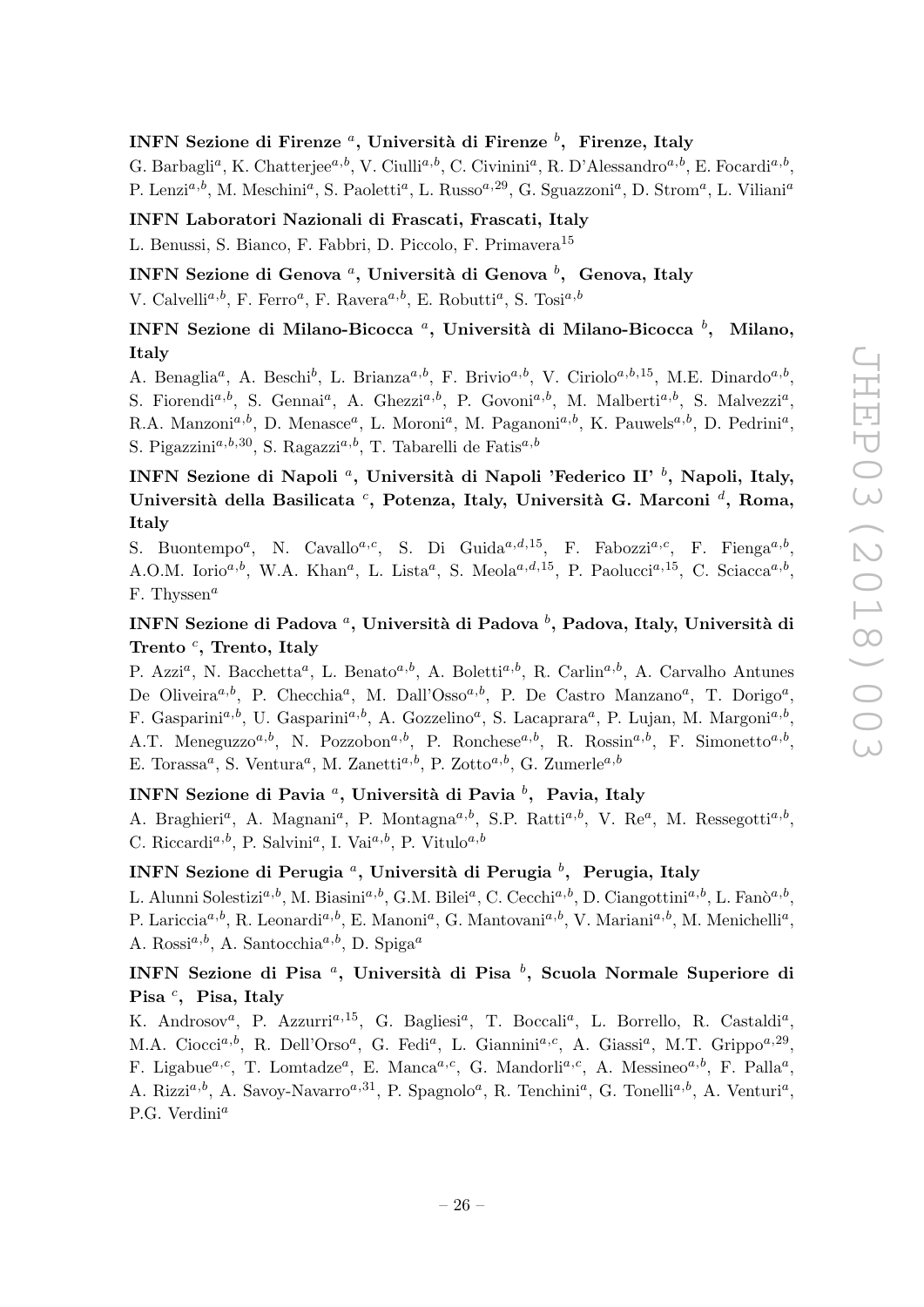# INFN Sezione di Firenze  $^a,$  Università di Firenze  $^b, \,$  Firenze, Italy

G. Barbagli<sup>a</sup>, K. Chatterjee<sup>a,b</sup>, V. Ciulli<sup>a,b</sup>, C. Civinini<sup>a</sup>, R. D'Alessandro<sup>a,b</sup>, E. Focardi<sup>a,b</sup>, P. Lenzi<sup>a,b</sup>, M. Meschini<sup>a</sup>, S. Paoletti<sup>a</sup>, L. Russo<sup>a, 29</sup>, G. Sguazzoni<sup>a</sup>, D. Strom<sup>a</sup>, L. Viliani<sup>a</sup>

# INFN Laboratori Nazionali di Frascati, Frascati, Italy

L. Benussi, S. Bianco, F. Fabbri, D. Piccolo, F. Primavera<sup>15</sup>

# INFN Sezione di Genova  $^a,$  Università di Genova  $^b, \,$  Genova, Italy

V. Calvelli<sup>a,b</sup>, F. Ferro<sup>a</sup>, F. Ravera<sup>a,b</sup>, E. Robutti<sup>a</sup>, S. Tosi<sup>a,b</sup>

# INFN Sezione di Milano-Bicocca <sup>a</sup>, Università di Milano-Bicocca <sup>b</sup>, Milano, Italy

A. Benaglia<sup>a</sup>, A. Beschi<sup>b</sup>, L. Brianza<sup>a,b</sup>, F. Brivio<sup>a,b</sup>, V. Ciriolo<sup>a,b,15</sup>, M.E. Dinardo<sup>a,b</sup>, S. Fiorendi<sup>a,b</sup>, S. Gennai<sup>a</sup>, A. Ghezzi<sup>a,b</sup>, P. Govoni<sup>a,b</sup>, M. Malberti<sup>a,b</sup>, S. Malvezzi<sup>a</sup>, R.A. Manzoni<sup>a,b</sup>, D. Menasce<sup>a</sup>, L. Moroni<sup>a</sup>, M. Paganoni<sup>a,b</sup>, K. Pauwels<sup>a,b</sup>, D. Pedrini<sup>a</sup>, S. Pigazzini<sup>a,b,30</sup>, S. Ragazzi<sup>a,b</sup>, T. Tabarelli de Fatis<sup>a,b</sup>

# INFN Sezione di Napoli <sup>a</sup>, Università di Napoli 'Federico II'  $^b$ , Napoli, Italy, Università della Basilicata  $^c$ , Potenza, Italy, Università G. Marconi  $^d$ , Roma, Italy

S. Buontempo<sup>a</sup>, N. Cavallo<sup>a,c</sup>, S. Di Guida<sup>a,d,15</sup>, F. Fabozzi<sup>a,c</sup>, F. Fienga<sup>a,b</sup>, A.O.M. Iorio<sup>a,b</sup>, W.A. Khan<sup>a</sup>, L. Lista<sup>a</sup>, S. Meola<sup>a,d,15</sup>, P. Paolucci<sup>a,15</sup>, C. Sciacca<sup>a,b</sup>, F. Thyssen<sup>a</sup>

# INFN Sezione di Padova <sup>a</sup>, Università di Padova  $^b$ , Padova, Italy, Università di  $Trento<sup>c</sup>$ , Trento, Italy

P. Azzi<sup>a</sup>, N. Bacchetta<sup>a</sup>, L. Benato<sup>a,b</sup>, A. Boletti<sup>a,b</sup>, R. Carlin<sup>a,b</sup>, A. Carvalho Antunes De Oliveira<sup>a,b</sup>, P. Checchia<sup>a</sup>, M. Dall'Osso<sup>a,b</sup>, P. De Castro Manzano<sup>a</sup>, T. Dorigo<sup>a</sup>, F. Gasparini<sup>a,b</sup>, U. Gasparini<sup>a,b</sup>, A. Gozzelino<sup>a</sup>, S. Lacaprara<sup>a</sup>, P. Lujan, M. Margoni<sup>a,b</sup>, A.T. Meneguzzo<sup>a,b</sup>, N. Pozzobon<sup>a,b</sup>, P. Ronchese<sup>a,b</sup>, R. Rossin<sup>a,b</sup>, F. Simonetto<sup>a,b</sup>, E. Torassa<sup>a</sup>, S. Ventura<sup>a</sup>, M. Zanetti<sup>a,b</sup>, P. Zotto<sup>a,b</sup>, G. Zumerle<sup>a,b</sup>

# INFN Sezione di Pavia <sup>a</sup>, Università di Pavia  $^b$ , Pavia, Italy

A. Braghieri<sup>a</sup>, A. Magnani<sup>a</sup>, P. Montagna<sup>a,b</sup>, S.P. Ratti<sup>a,b</sup>, V. Re<sup>a</sup>, M. Ressegotti<sup>a,b</sup>, C. Riccardi<sup>a,b</sup>, P. Salvini<sup>a</sup>, I. Vai<sup>a,b</sup>, P. Vitulo<sup>a,b</sup>

# INFN Sezione di Perugia  $^a,$  Università di Perugia  $^b, \,$  Perugia, Italy

L. Alunni Solestizi<sup>a,b</sup>, M. Biasini<sup>a,b</sup>, G.M. Bilei<sup>a</sup>, C. Cecchi<sup>a,b</sup>, D. Ciangottini<sup>a,b</sup>, L. Fanò<sup>a,b</sup>, P. Lariccia<sup>a,b</sup>, R. Leonardi<sup>a,b</sup>, E. Manoni<sup>a</sup>, G. Mantovani<sup>a,b</sup>, V. Mariani<sup>a,b</sup>, M. Menichelli<sup>a</sup>, A. Rossi<sup>a,b</sup>, A. Santocchia<sup>a,b</sup>, D. Spiga<sup>a</sup>

# INFN Sezione di Pisa <sup>a</sup>, Università di Pisa <sup>b</sup>, Scuola Normale Superiore di Pisa<sup>c</sup>, Pisa, Italy

K. Androsov<sup>a</sup>, P. Azzurri<sup>a, 15</sup>, G. Bagliesi<sup>a</sup>, T. Boccali<sup>a</sup>, L. Borrello, R. Castaldi<sup>a</sup>, M.A. Ciocci<sup>a,b</sup>, R. Dell'Orso<sup>a</sup>, G. Fedi<sup>a</sup>, L. Giannini<sup>a,c</sup>, A. Giassi<sup>a</sup>, M.T. Grippo<sup>a,29</sup>, F. Ligabue<sup>a,c</sup>, T. Lomtadze<sup>a</sup>, E. Manca<sup>a,c</sup>, G. Mandorli<sup>a,c</sup>, A. Messineo<sup>a,b</sup>, F. Palla<sup>a</sup>, A. Rizzi<sup>a,b</sup>, A. Savoy-Navarro<sup>a,31</sup>, P. Spagnolo<sup>a</sup>, R. Tenchini<sup>a</sup>, G. Tonelli<sup>a,b</sup>, A. Venturi<sup>a</sup>, P.G. Verdini $^a$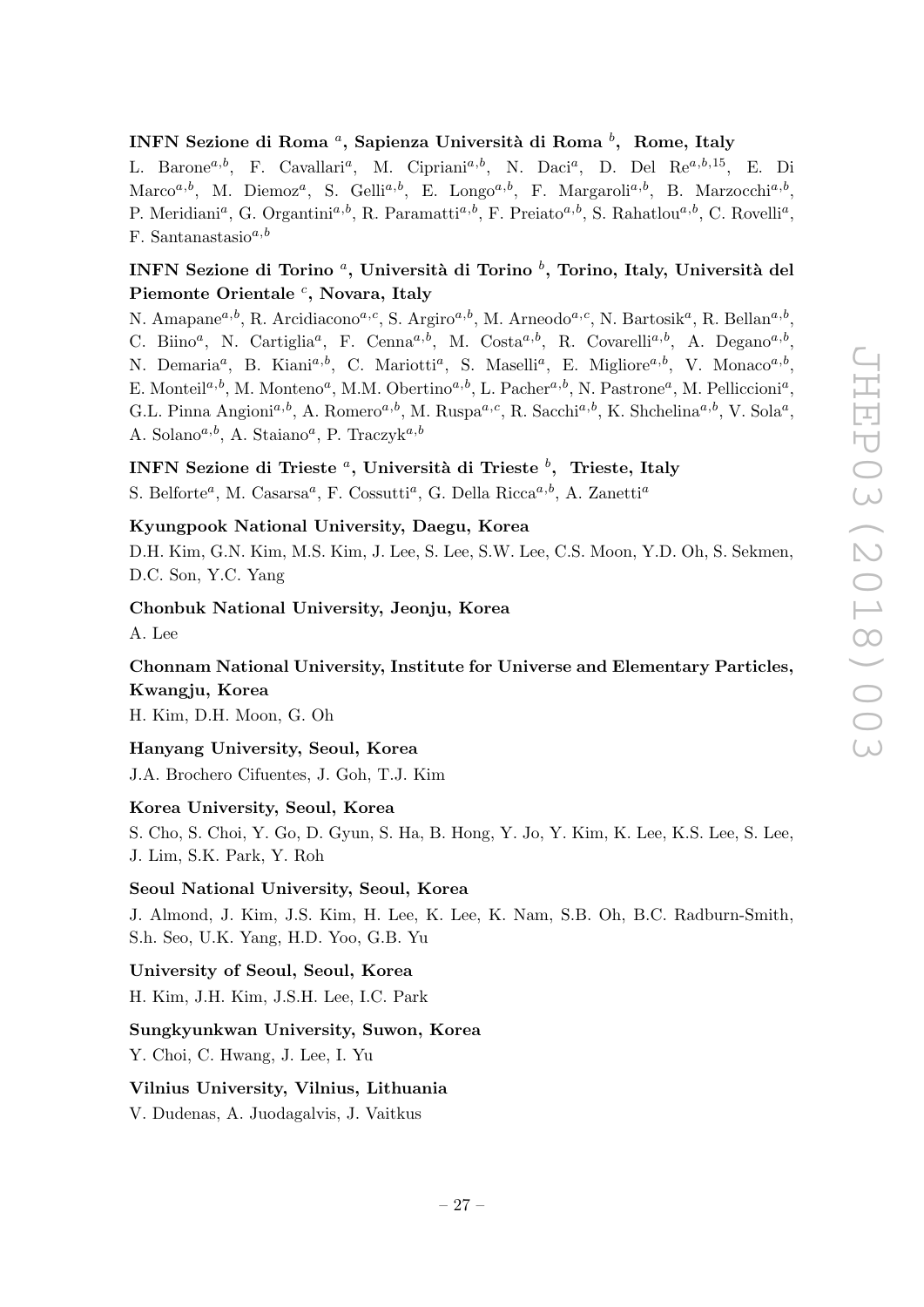# INFN Sezione di Roma <sup>a</sup>, Sapienza Università di Roma  $^b$ , Rome, Italy

L. Barone<sup>a,b</sup>, F. Cavallari<sup>a</sup>, M. Cipriani<sup>a,b</sup>, N. Daci<sup>a</sup>, D. Del Re<sup>a,b,15</sup>, E. Di Marco<sup>a,b</sup>, M. Diemoz<sup>a</sup>, S. Gelli<sup>a,b</sup>, E. Longo<sup>a,b</sup>, F. Margaroli<sup>a,b</sup>, B. Marzocchi<sup>a,b</sup>, P. Meridiani<sup>a</sup>, G. Organtini<sup>a,b</sup>, R. Paramatti<sup>a,b</sup>, F. Preiato<sup>a,b</sup>, S. Rahatlou<sup>a,b</sup>, C. Rovelli<sup>a</sup>, F. Santanastasio<sup> $a,b$ </sup>

# INFN Sezione di Torino <sup>a</sup>, Università di Torino  $^b,$  Torino, Italy, Università del Piemonte Orientale  $^c$ , Novara, Italy

N. Amapane<sup>a,b</sup>, R. Arcidiacono<sup>a,c</sup>, S. Argiro<sup>a,b</sup>, M. Arneodo<sup>a,c</sup>, N. Bartosik<sup>a</sup>, R. Bellan<sup>a,b</sup>, C. Biino<sup>a</sup>, N. Cartiglia<sup>a</sup>, F. Cenna<sup>a,b</sup>, M. Costa<sup>a,b</sup>, R. Covarelli<sup>a,b</sup>, A. Degano<sup>a,b</sup>, N. Demaria<sup>a</sup>, B. Kiani<sup>a,b</sup>, C. Mariotti<sup>a</sup>, S. Maselli<sup>a</sup>, E. Migliore<sup>a,b</sup>, V. Monaco<sup>a,b</sup>, E. Monteil<sup>a,b</sup>, M. Monteno<sup>a</sup>, M.M. Obertino<sup>a,b</sup>, L. Pacher<sup>a,b</sup>, N. Pastrone<sup>a</sup>, M. Pelliccioni<sup>a</sup>, G.L. Pinna Angioni<sup>a, b</sup>, A. Romero<sup>a, b</sup>, M. Ruspa<sup>a, c</sup>, R. Sacchi<sup>a, b</sup>, K. Shchelina<sup>a, b</sup>, V. Sola<sup>a</sup>, A. Solano<sup>a,b</sup>, A. Staiano<sup>a</sup>, P. Traczyk<sup>a,b</sup>

# INFN Sezione di Trieste <sup>a</sup>, Università di Trieste  $^b$ , Trieste, Italy

S. Belforte<sup>a</sup>, M. Casarsa<sup>a</sup>, F. Cossutti<sup>a</sup>, G. Della Ricca<sup>a,b</sup>, A. Zanetti<sup>a</sup>

### Kyungpook National University, Daegu, Korea

D.H. Kim, G.N. Kim, M.S. Kim, J. Lee, S. Lee, S.W. Lee, C.S. Moon, Y.D. Oh, S. Sekmen, D.C. Son, Y.C. Yang

Chonbuk National University, Jeonju, Korea

A. Lee

# Chonnam National University, Institute for Universe and Elementary Particles, Kwangju, Korea

H. Kim, D.H. Moon, G. Oh

Hanyang University, Seoul, Korea J.A. Brochero Cifuentes, J. Goh, T.J. Kim

### Korea University, Seoul, Korea

S. Cho, S. Choi, Y. Go, D. Gyun, S. Ha, B. Hong, Y. Jo, Y. Kim, K. Lee, K.S. Lee, S. Lee, J. Lim, S.K. Park, Y. Roh

### Seoul National University, Seoul, Korea

J. Almond, J. Kim, J.S. Kim, H. Lee, K. Lee, K. Nam, S.B. Oh, B.C. Radburn-Smith, S.h. Seo, U.K. Yang, H.D. Yoo, G.B. Yu

University of Seoul, Seoul, Korea H. Kim, J.H. Kim, J.S.H. Lee, I.C. Park

### Sungkyunkwan University, Suwon, Korea

Y. Choi, C. Hwang, J. Lee, I. Yu

### Vilnius University, Vilnius, Lithuania

V. Dudenas, A. Juodagalvis, J. Vaitkus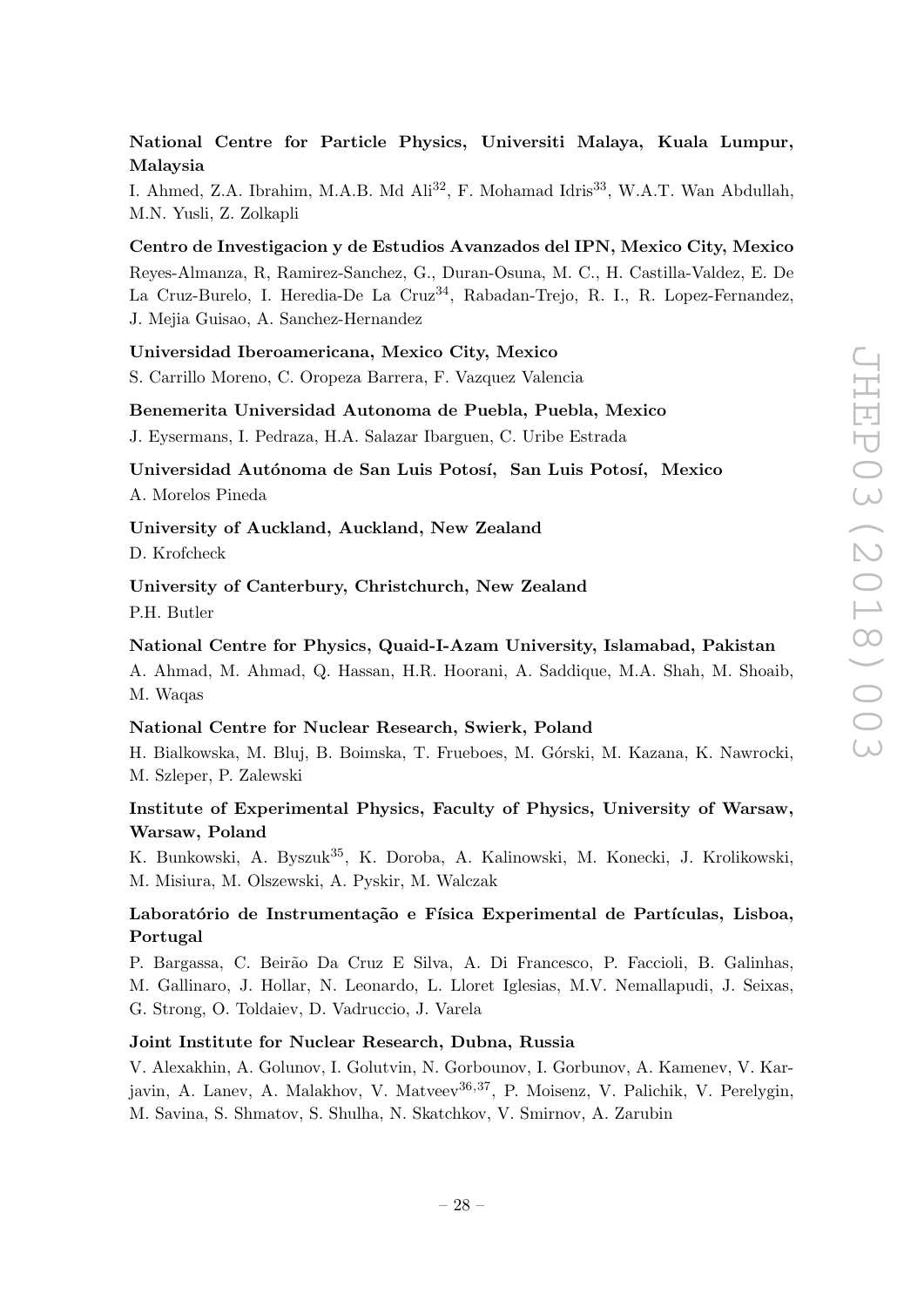# National Centre for Particle Physics, Universiti Malaya, Kuala Lumpur, Malaysia

I. Ahmed, Z.A. Ibrahim, M.A.B. Md Ali<sup>32</sup>, F. Mohamad Idris<sup>33</sup>, W.A.T. Wan Abdullah, M.N. Yusli, Z. Zolkapli

Centro de Investigacion y de Estudios Avanzados del IPN, Mexico City, Mexico Reyes-Almanza, R, Ramirez-Sanchez, G., Duran-Osuna, M. C., H. Castilla-Valdez, E. De La Cruz-Burelo, I. Heredia-De La Cruz<sup>34</sup>, Rabadan-Trejo, R. I., R. Lopez-Fernandez, J. Mejia Guisao, A. Sanchez-Hernandez

### Universidad Iberoamericana, Mexico City, Mexico

S. Carrillo Moreno, C. Oropeza Barrera, F. Vazquez Valencia

### Benemerita Universidad Autonoma de Puebla, Puebla, Mexico

J. Eysermans, I. Pedraza, H.A. Salazar Ibarguen, C. Uribe Estrada

Universidad Autónoma de San Luis Potosí, San Luis Potosí, Mexico A. Morelos Pineda

University of Auckland, Auckland, New Zealand D. Krofcheck

University of Canterbury, Christchurch, New Zealand P.H. Butler

### National Centre for Physics, Quaid-I-Azam University, Islamabad, Pakistan

A. Ahmad, M. Ahmad, Q. Hassan, H.R. Hoorani, A. Saddique, M.A. Shah, M. Shoaib, M. Waqas

### National Centre for Nuclear Research, Swierk, Poland

H. Bialkowska, M. Bluj, B. Boimska, T. Frueboes, M. G´orski, M. Kazana, K. Nawrocki, M. Szleper, P. Zalewski

# Institute of Experimental Physics, Faculty of Physics, University of Warsaw, Warsaw, Poland

K. Bunkowski, A. Byszuk35, K. Doroba, A. Kalinowski, M. Konecki, J. Krolikowski, M. Misiura, M. Olszewski, A. Pyskir, M. Walczak

# Laboratório de Instrumentação e Física Experimental de Partículas, Lisboa, Portugal

P. Bargassa, C. Beirão Da Cruz E Silva, A. Di Francesco, P. Faccioli, B. Galinhas, M. Gallinaro, J. Hollar, N. Leonardo, L. Lloret Iglesias, M.V. Nemallapudi, J. Seixas, G. Strong, O. Toldaiev, D. Vadruccio, J. Varela

# Joint Institute for Nuclear Research, Dubna, Russia

V. Alexakhin, A. Golunov, I. Golutvin, N. Gorbounov, I. Gorbunov, A. Kamenev, V. Karjavin, A. Lanev, A. Malakhov, V. Matveev<sup>36,37</sup>, P. Moisenz, V. Palichik, V. Perelygin, M. Savina, S. Shmatov, S. Shulha, N. Skatchkov, V. Smirnov, A. Zarubin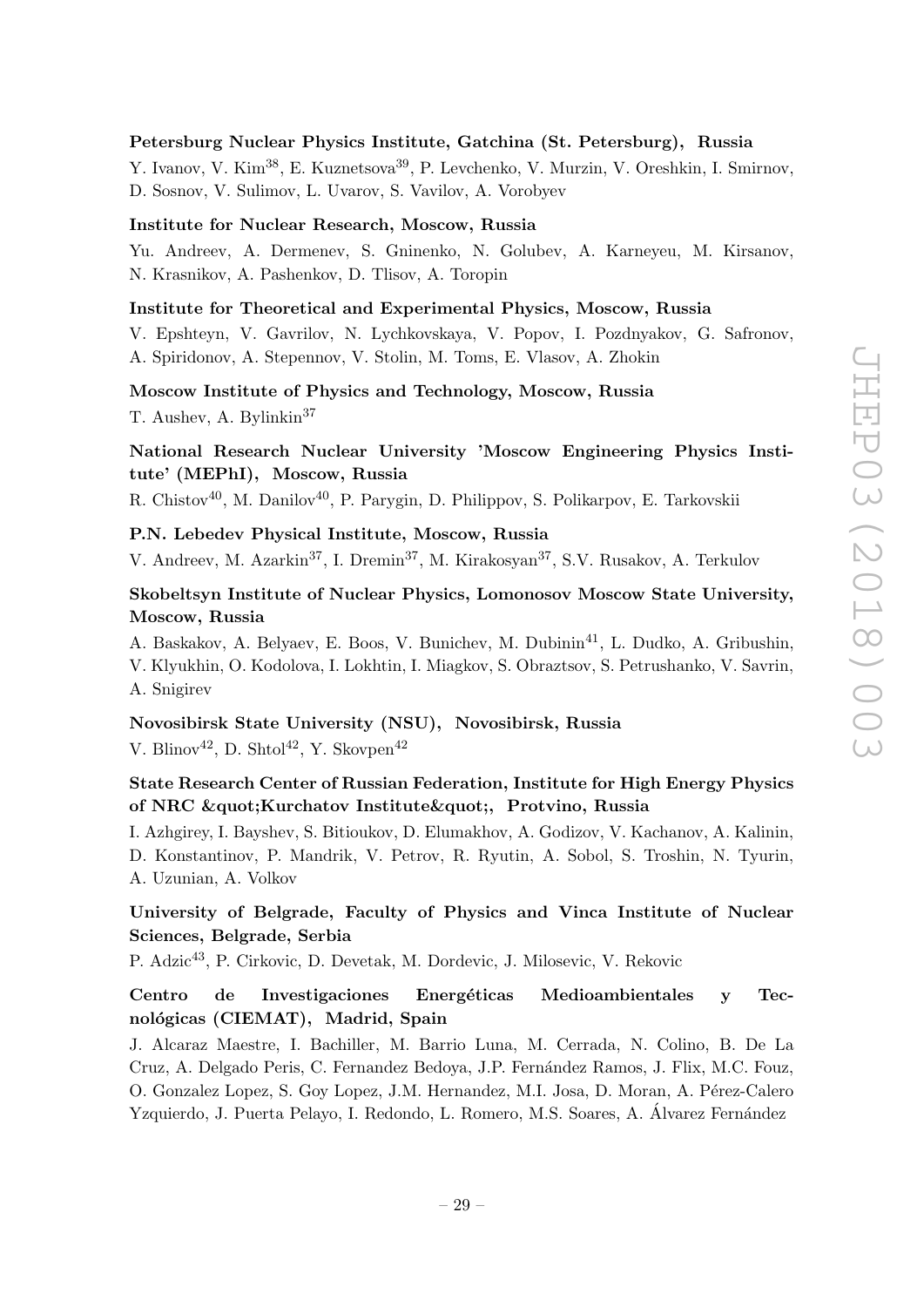#### Petersburg Nuclear Physics Institute, Gatchina (St. Petersburg), Russia

Y. Ivanov, V. Kim<sup>38</sup>, E. Kuznetsova<sup>39</sup>, P. Levchenko, V. Murzin, V. Oreshkin, I. Smirnov, D. Sosnov, V. Sulimov, L. Uvarov, S. Vavilov, A. Vorobyev

#### Institute for Nuclear Research, Moscow, Russia

Yu. Andreev, A. Dermenev, S. Gninenko, N. Golubev, A. Karneyeu, M. Kirsanov, N. Krasnikov, A. Pashenkov, D. Tlisov, A. Toropin

#### Institute for Theoretical and Experimental Physics, Moscow, Russia

V. Epshteyn, V. Gavrilov, N. Lychkovskaya, V. Popov, I. Pozdnyakov, G. Safronov, A. Spiridonov, A. Stepennov, V. Stolin, M. Toms, E. Vlasov, A. Zhokin

Moscow Institute of Physics and Technology, Moscow, Russia

T. Aushev, A. Bylinkin<sup>37</sup>

# National Research Nuclear University 'Moscow Engineering Physics Institute' (MEPhI), Moscow, Russia

R. Chistov<sup>40</sup>, M. Danilov<sup>40</sup>, P. Parygin, D. Philippov, S. Polikarpov, E. Tarkovskii

### P.N. Lebedev Physical Institute, Moscow, Russia

V. Andreev, M. Azarkin<sup>37</sup>, I. Dremin<sup>37</sup>, M. Kirakosyan<sup>37</sup>, S.V. Rusakov, A. Terkulov

# Skobeltsyn Institute of Nuclear Physics, Lomonosov Moscow State University, Moscow, Russia

A. Baskakov, A. Belyaev, E. Boos, V. Bunichev, M. Dubinin<sup>41</sup>, L. Dudko, A. Gribushin, V. Klyukhin, O. Kodolova, I. Lokhtin, I. Miagkov, S. Obraztsov, S. Petrushanko, V. Savrin, A. Snigirev

# Novosibirsk State University (NSU), Novosibirsk, Russia

V. Blinov<sup>42</sup>, D. Shtol<sup>42</sup>, Y. Skovpen<sup>42</sup>

# State Research Center of Russian Federation, Institute for High Energy Physics of NRC " Kurchatov Institute ", Protvino, Russia

I. Azhgirey, I. Bayshev, S. Bitioukov, D. Elumakhov, A. Godizov, V. Kachanov, A. Kalinin, D. Konstantinov, P. Mandrik, V. Petrov, R. Ryutin, A. Sobol, S. Troshin, N. Tyurin, A. Uzunian, A. Volkov

# University of Belgrade, Faculty of Physics and Vinca Institute of Nuclear Sciences, Belgrade, Serbia

P. Adzic<sup>43</sup>, P. Cirkovic, D. Devetak, M. Dordevic, J. Milosevic, V. Rekovic

# Centro de Investigaciones Energéticas Medioambientales y Tecnológicas (CIEMAT), Madrid, Spain

J. Alcaraz Maestre, I. Bachiller, M. Barrio Luna, M. Cerrada, N. Colino, B. De La Cruz, A. Delgado Peris, C. Fernandez Bedoya, J.P. Fern´andez Ramos, J. Flix, M.C. Fouz, O. Gonzalez Lopez, S. Goy Lopez, J.M. Hernandez, M.I. Josa, D. Moran, A. Pérez-Calero Yzquierdo, J. Puerta Pelayo, I. Redondo, L. Romero, M.S. Soares, A. Álvarez Fernández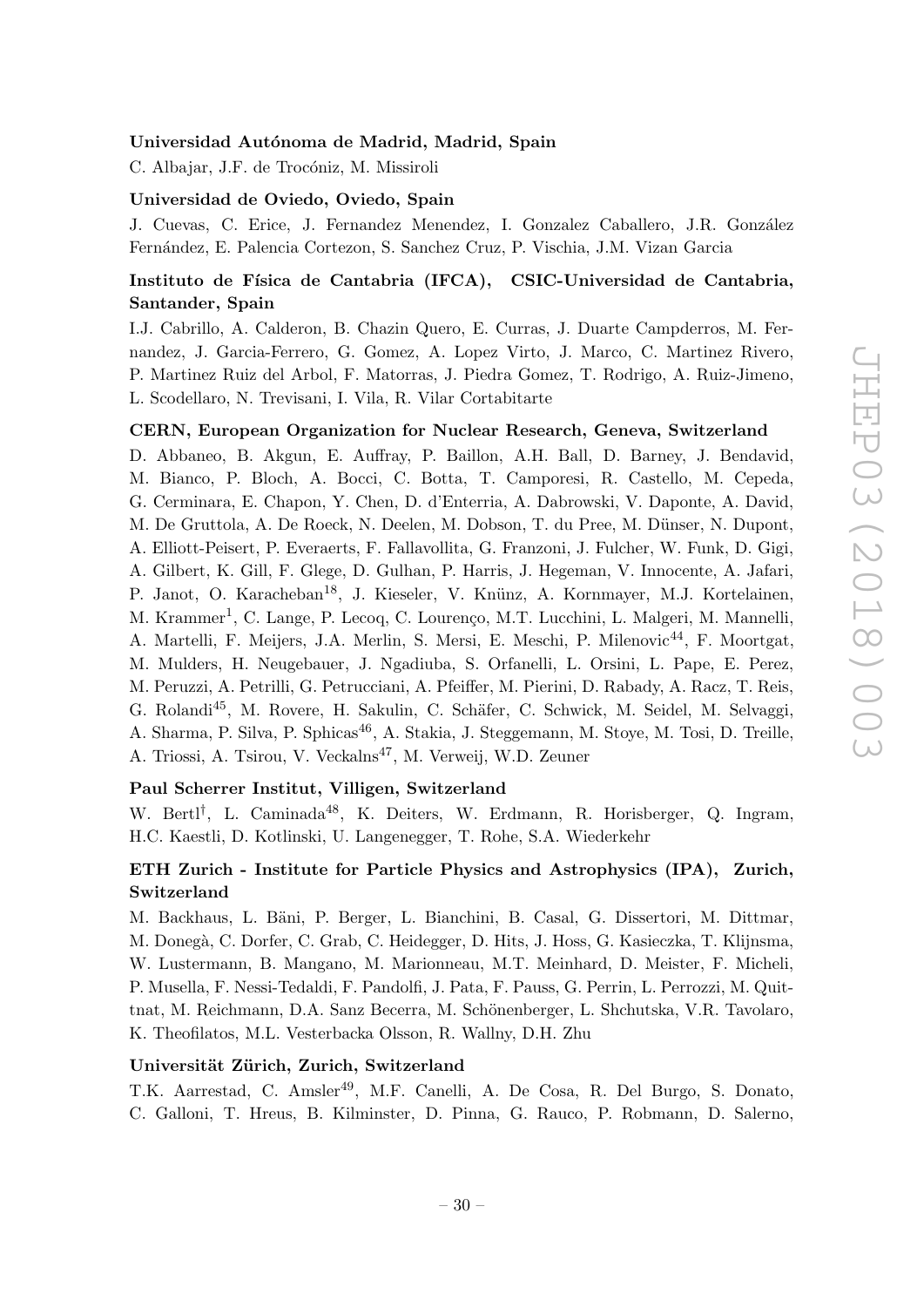### Universidad Autónoma de Madrid, Madrid, Spain

C. Albajar, J.F. de Trocóniz, M. Missiroli

#### Universidad de Oviedo, Oviedo, Spain

J. Cuevas, C. Erice, J. Fernandez Menendez, I. Gonzalez Caballero, J.R. González Fern´andez, E. Palencia Cortezon, S. Sanchez Cruz, P. Vischia, J.M. Vizan Garcia

# Instituto de Física de Cantabria (IFCA), CSIC-Universidad de Cantabria, Santander, Spain

I.J. Cabrillo, A. Calderon, B. Chazin Quero, E. Curras, J. Duarte Campderros, M. Fernandez, J. Garcia-Ferrero, G. Gomez, A. Lopez Virto, J. Marco, C. Martinez Rivero, P. Martinez Ruiz del Arbol, F. Matorras, J. Piedra Gomez, T. Rodrigo, A. Ruiz-Jimeno, L. Scodellaro, N. Trevisani, I. Vila, R. Vilar Cortabitarte

### CERN, European Organization for Nuclear Research, Geneva, Switzerland

D. Abbaneo, B. Akgun, E. Auffray, P. Baillon, A.H. Ball, D. Barney, J. Bendavid, M. Bianco, P. Bloch, A. Bocci, C. Botta, T. Camporesi, R. Castello, M. Cepeda, G. Cerminara, E. Chapon, Y. Chen, D. d'Enterria, A. Dabrowski, V. Daponte, A. David, M. De Gruttola, A. De Roeck, N. Deelen, M. Dobson, T. du Pree, M. Dünser, N. Dupont, A. Elliott-Peisert, P. Everaerts, F. Fallavollita, G. Franzoni, J. Fulcher, W. Funk, D. Gigi, A. Gilbert, K. Gill, F. Glege, D. Gulhan, P. Harris, J. Hegeman, V. Innocente, A. Jafari, P. Janot, O. Karacheban<sup>18</sup>, J. Kieseler, V. Knünz, A. Kornmayer, M.J. Kortelainen, M. Krammer<sup>1</sup>, C. Lange, P. Lecoq, C. Lourenço, M.T. Lucchini, L. Malgeri, M. Mannelli, A. Martelli, F. Meijers, J.A. Merlin, S. Mersi, E. Meschi, P. Milenovic<sup>44</sup>, F. Moortgat, M. Mulders, H. Neugebauer, J. Ngadiuba, S. Orfanelli, L. Orsini, L. Pape, E. Perez, M. Peruzzi, A. Petrilli, G. Petrucciani, A. Pfeiffer, M. Pierini, D. Rabady, A. Racz, T. Reis, G. Rolandi<sup>45</sup>, M. Rovere, H. Sakulin, C. Schäfer, C. Schwick, M. Seidel, M. Selvaggi, A. Sharma, P. Silva, P. Sphicas<sup>46</sup>, A. Stakia, J. Steggemann, M. Stoye, M. Tosi, D. Treille, A. Triossi, A. Tsirou, V. Veckalns<sup>47</sup>, M. Verweij, W.D. Zeuner

# Paul Scherrer Institut, Villigen, Switzerland

W. Bertl<sup>†</sup>, L. Caminada<sup>48</sup>, K. Deiters, W. Erdmann, R. Horisberger, Q. Ingram, H.C. Kaestli, D. Kotlinski, U. Langenegger, T. Rohe, S.A. Wiederkehr

# ETH Zurich - Institute for Particle Physics and Astrophysics (IPA), Zurich, Switzerland

M. Backhaus, L. Bäni, P. Berger, L. Bianchini, B. Casal, G. Dissertori, M. Dittmar, M. Doneg`a, C. Dorfer, C. Grab, C. Heidegger, D. Hits, J. Hoss, G. Kasieczka, T. Klijnsma, W. Lustermann, B. Mangano, M. Marionneau, M.T. Meinhard, D. Meister, F. Micheli, P. Musella, F. Nessi-Tedaldi, F. Pandolfi, J. Pata, F. Pauss, G. Perrin, L. Perrozzi, M. Quittnat, M. Reichmann, D.A. Sanz Becerra, M. Schönenberger, L. Shchutska, V.R. Tavolaro, K. Theofilatos, M.L. Vesterbacka Olsson, R. Wallny, D.H. Zhu

### Universität Zürich, Zurich, Switzerland

T.K. Aarrestad, C. Amsler<sup>49</sup>, M.F. Canelli, A. De Cosa, R. Del Burgo, S. Donato, C. Galloni, T. Hreus, B. Kilminster, D. Pinna, G. Rauco, P. Robmann, D. Salerno,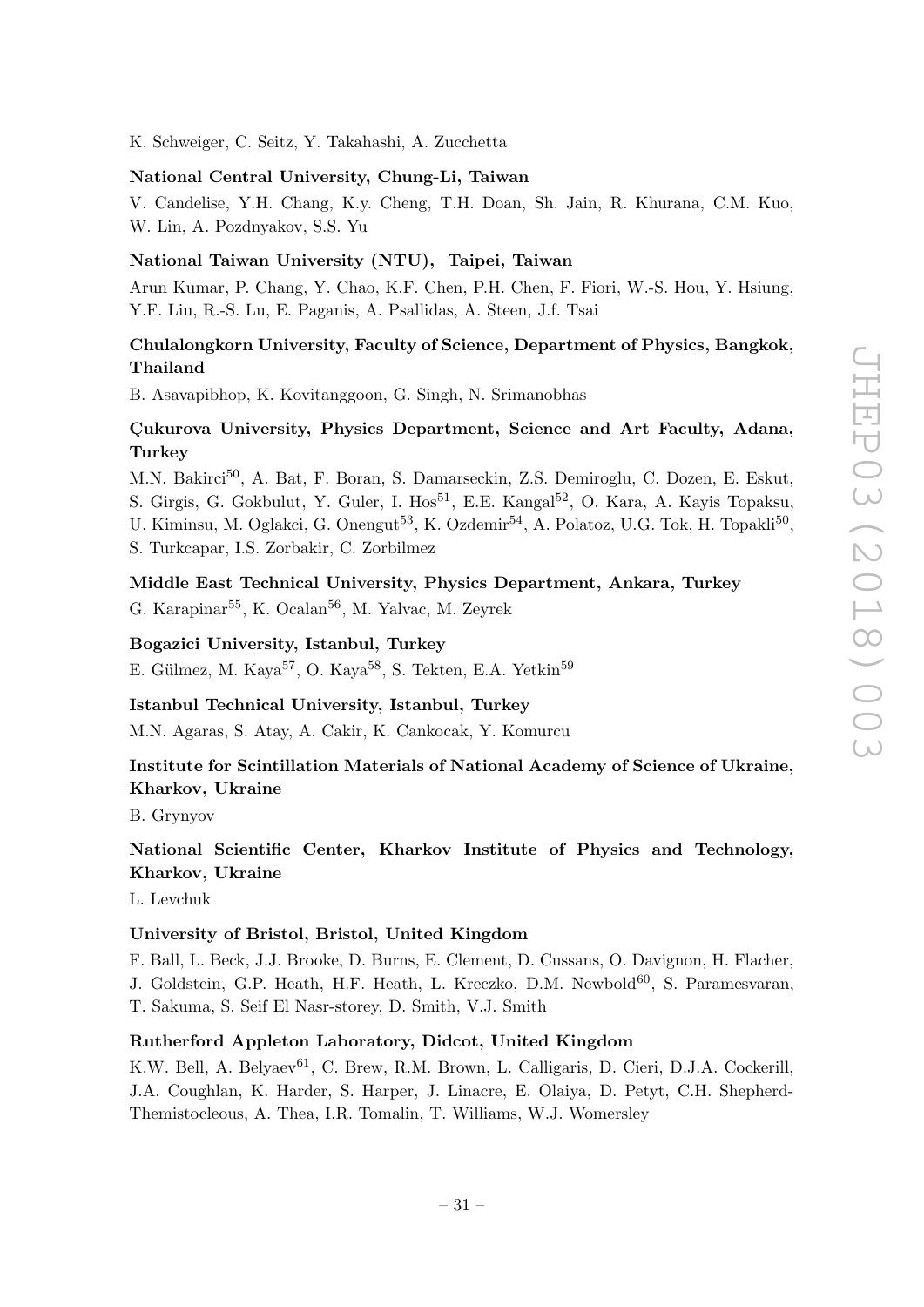K. Schweiger, C. Seitz, Y. Takahashi, A. Zucchetta

### National Central University, Chung-Li, Taiwan

V. Candelise, Y.H. Chang, K.y. Cheng, T.H. Doan, Sh. Jain, R. Khurana, C.M. Kuo, W. Lin, A. Pozdnyakov, S.S. Yu

### National Taiwan University (NTU), Taipei, Taiwan

Arun Kumar, P. Chang, Y. Chao, K.F. Chen, P.H. Chen, F. Fiori, W.-S. Hou, Y. Hsiung, Y.F. Liu, R.-S. Lu, E. Paganis, A. Psallidas, A. Steen, J.f. Tsai

# Chulalongkorn University, Faculty of Science, Department of Physics, Bangkok, Thailand

B. Asavapibhop, K. Kovitanggoon, G. Singh, N. Srimanobhas

# Cukurova University, Physics Department, Science and Art Faculty, Adana, **Turkey**

M.N. Bakirci<sup>50</sup>, A. Bat, F. Boran, S. Damarseckin, Z.S. Demiroglu, C. Dozen, E. Eskut, S. Girgis, G. Gokbulut, Y. Guler, I. Hos<sup>51</sup>, E.E. Kangal<sup>52</sup>, O. Kara, A. Kavis Topaksu, U. Kiminsu, M. Oglakci, G. Onengut<sup>53</sup>, K. Ozdemir<sup>54</sup>, A. Polatoz, U.G. Tok, H. Topakli<sup>50</sup>, S. Turkcapar, I.S. Zorbakir, C. Zorbilmez

### Middle East Technical University, Physics Department, Ankara, Turkey

G. Karapinar55, K. Ocalan56, M. Yalvac, M. Zeyrek

### Bogazici University, Istanbul, Turkey

E. Gülmez, M. Kaya<sup>57</sup>, O. Kaya<sup>58</sup>, S. Tekten, E.A. Yetkin<sup>59</sup>

#### Istanbul Technical University, Istanbul, Turkey

M.N. Agaras, S. Atay, A. Cakir, K. Cankocak, Y. Komurcu

# Institute for Scintillation Materials of National Academy of Science of Ukraine, Kharkov, Ukraine

B. Grynyov

# National Scientific Center, Kharkov Institute of Physics and Technology, Kharkov, Ukraine

L. Levchuk

### University of Bristol, Bristol, United Kingdom

F. Ball, L. Beck, J.J. Brooke, D. Burns, E. Clement, D. Cussans, O. Davignon, H. Flacher, J. Goldstein, G.P. Heath, H.F. Heath, L. Kreczko, D.M. Newbold<sup>60</sup>, S. Paramesvaran, T. Sakuma, S. Seif El Nasr-storey, D. Smith, V.J. Smith

### Rutherford Appleton Laboratory, Didcot, United Kingdom

K.W. Bell, A. Belyaev<sup>61</sup>, C. Brew, R.M. Brown, L. Calligaris, D. Cieri, D.J.A. Cockerill, J.A. Coughlan, K. Harder, S. Harper, J. Linacre, E. Olaiya, D. Petyt, C.H. Shepherd-Themistocleous, A. Thea, I.R. Tomalin, T. Williams, W.J. Womersley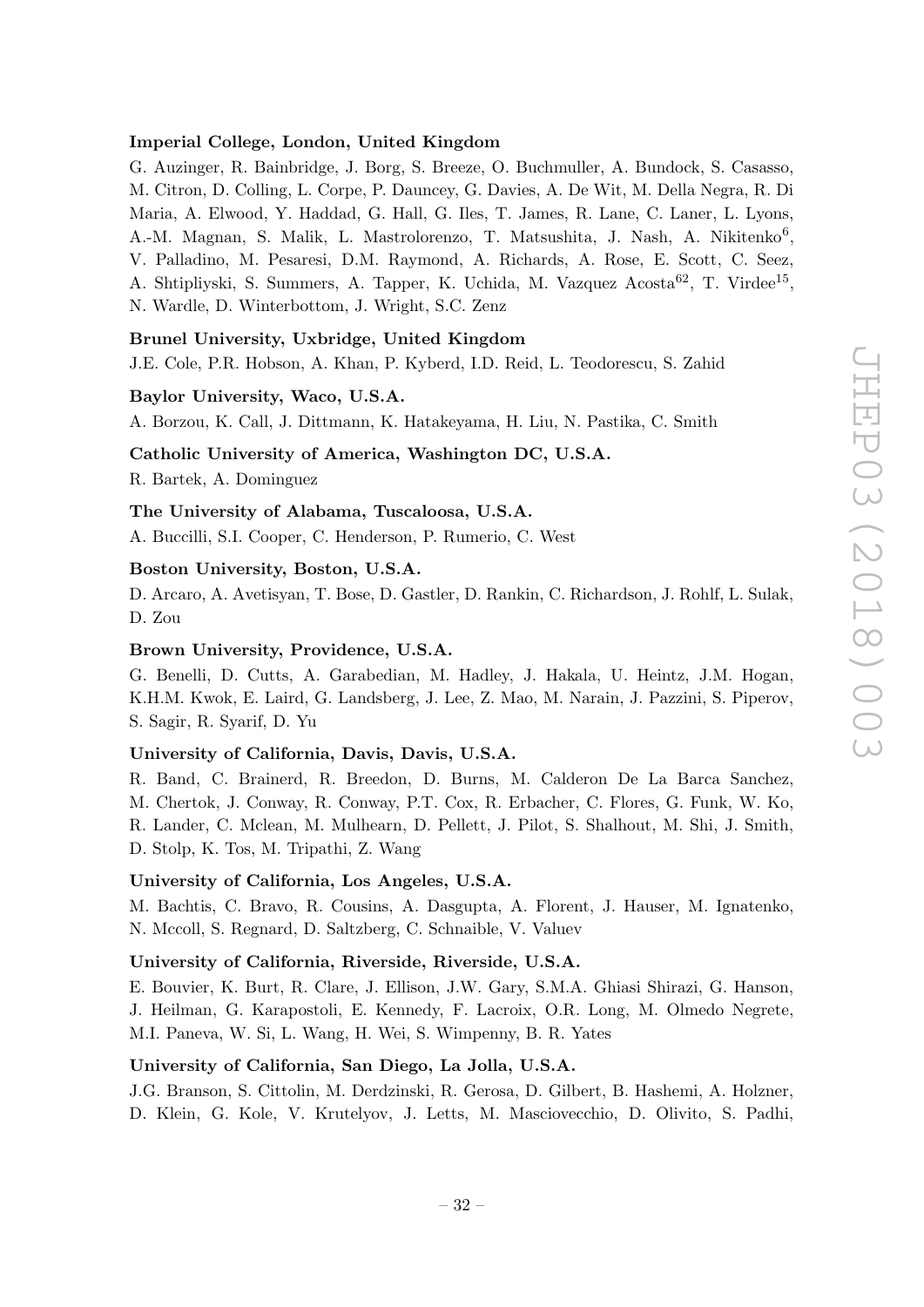### Imperial College, London, United Kingdom

G. Auzinger, R. Bainbridge, J. Borg, S. Breeze, O. Buchmuller, A. Bundock, S. Casasso, M. Citron, D. Colling, L. Corpe, P. Dauncey, G. Davies, A. De Wit, M. Della Negra, R. Di Maria, A. Elwood, Y. Haddad, G. Hall, G. Iles, T. James, R. Lane, C. Laner, L. Lyons, A.-M. Magnan, S. Malik, L. Mastrolorenzo, T. Matsushita, J. Nash, A. Nikitenko<sup>6</sup>, V. Palladino, M. Pesaresi, D.M. Raymond, A. Richards, A. Rose, E. Scott, C. Seez, A. Shtipliyski, S. Summers, A. Tapper, K. Uchida, M. Vazquez Acosta<sup>62</sup>, T. Virdee<sup>15</sup>, N. Wardle, D. Winterbottom, J. Wright, S.C. Zenz

#### Brunel University, Uxbridge, United Kingdom

J.E. Cole, P.R. Hobson, A. Khan, P. Kyberd, I.D. Reid, L. Teodorescu, S. Zahid

#### Baylor University, Waco, U.S.A.

A. Borzou, K. Call, J. Dittmann, K. Hatakeyama, H. Liu, N. Pastika, C. Smith

#### Catholic University of America, Washington DC, U.S.A.

R. Bartek, A. Dominguez

### The University of Alabama, Tuscaloosa, U.S.A.

A. Buccilli, S.I. Cooper, C. Henderson, P. Rumerio, C. West

### Boston University, Boston, U.S.A.

D. Arcaro, A. Avetisyan, T. Bose, D. Gastler, D. Rankin, C. Richardson, J. Rohlf, L. Sulak, D. Zou

#### Brown University, Providence, U.S.A.

G. Benelli, D. Cutts, A. Garabedian, M. Hadley, J. Hakala, U. Heintz, J.M. Hogan, K.H.M. Kwok, E. Laird, G. Landsberg, J. Lee, Z. Mao, M. Narain, J. Pazzini, S. Piperov, S. Sagir, R. Syarif, D. Yu

### University of California, Davis, Davis, U.S.A.

R. Band, C. Brainerd, R. Breedon, D. Burns, M. Calderon De La Barca Sanchez, M. Chertok, J. Conway, R. Conway, P.T. Cox, R. Erbacher, C. Flores, G. Funk, W. Ko, R. Lander, C. Mclean, M. Mulhearn, D. Pellett, J. Pilot, S. Shalhout, M. Shi, J. Smith, D. Stolp, K. Tos, M. Tripathi, Z. Wang

### University of California, Los Angeles, U.S.A.

M. Bachtis, C. Bravo, R. Cousins, A. Dasgupta, A. Florent, J. Hauser, M. Ignatenko, N. Mccoll, S. Regnard, D. Saltzberg, C. Schnaible, V. Valuev

#### University of California, Riverside, Riverside, U.S.A.

E. Bouvier, K. Burt, R. Clare, J. Ellison, J.W. Gary, S.M.A. Ghiasi Shirazi, G. Hanson, J. Heilman, G. Karapostoli, E. Kennedy, F. Lacroix, O.R. Long, M. Olmedo Negrete, M.I. Paneva, W. Si, L. Wang, H. Wei, S. Wimpenny, B. R. Yates

#### University of California, San Diego, La Jolla, U.S.A.

J.G. Branson, S. Cittolin, M. Derdzinski, R. Gerosa, D. Gilbert, B. Hashemi, A. Holzner, D. Klein, G. Kole, V. Krutelyov, J. Letts, M. Masciovecchio, D. Olivito, S. Padhi,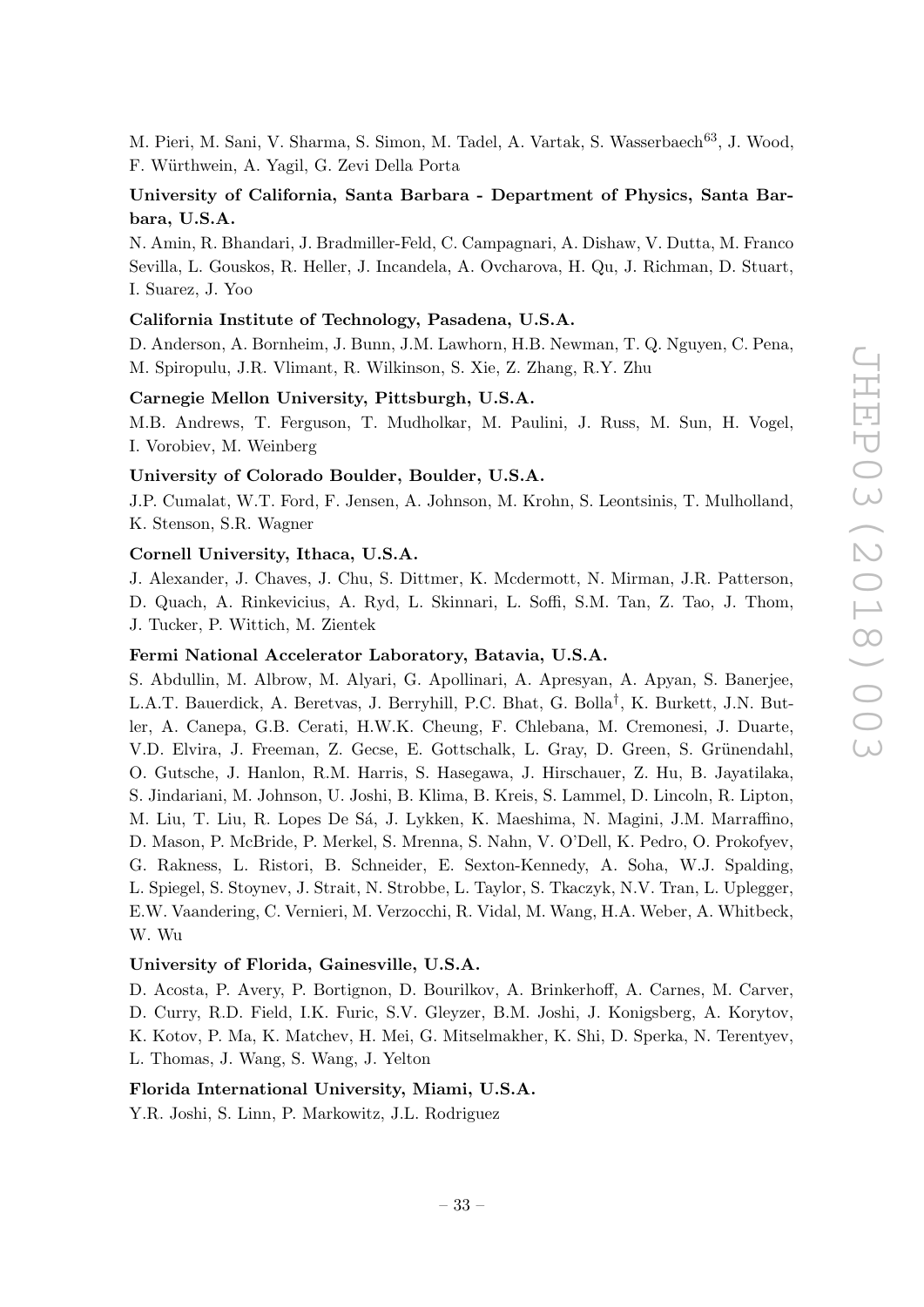M. Pieri, M. Sani, V. Sharma, S. Simon, M. Tadel, A. Vartak, S. Wasserbaech<sup>63</sup>, J. Wood, F. Würthwein, A. Yagil, G. Zevi Della Porta

# University of California, Santa Barbara - Department of Physics, Santa Barbara, U.S.A.

N. Amin, R. Bhandari, J. Bradmiller-Feld, C. Campagnari, A. Dishaw, V. Dutta, M. Franco Sevilla, L. Gouskos, R. Heller, J. Incandela, A. Ovcharova, H. Qu, J. Richman, D. Stuart, I. Suarez, J. Yoo

### California Institute of Technology, Pasadena, U.S.A.

D. Anderson, A. Bornheim, J. Bunn, J.M. Lawhorn, H.B. Newman, T. Q. Nguyen, C. Pena, M. Spiropulu, J.R. Vlimant, R. Wilkinson, S. Xie, Z. Zhang, R.Y. Zhu

### Carnegie Mellon University, Pittsburgh, U.S.A.

M.B. Andrews, T. Ferguson, T. Mudholkar, M. Paulini, J. Russ, M. Sun, H. Vogel, I. Vorobiev, M. Weinberg

### University of Colorado Boulder, Boulder, U.S.A.

J.P. Cumalat, W.T. Ford, F. Jensen, A. Johnson, M. Krohn, S. Leontsinis, T. Mulholland, K. Stenson, S.R. Wagner

# Cornell University, Ithaca, U.S.A.

J. Alexander, J. Chaves, J. Chu, S. Dittmer, K. Mcdermott, N. Mirman, J.R. Patterson, D. Quach, A. Rinkevicius, A. Ryd, L. Skinnari, L. Soffi, S.M. Tan, Z. Tao, J. Thom, J. Tucker, P. Wittich, M. Zientek

### Fermi National Accelerator Laboratory, Batavia, U.S.A.

S. Abdullin, M. Albrow, M. Alyari, G. Apollinari, A. Apresyan, A. Apyan, S. Banerjee, L.A.T. Bauerdick, A. Beretvas, J. Berryhill, P.C. Bhat, G. Bolla<sup>†</sup>, K. Burkett, J.N. Butler, A. Canepa, G.B. Cerati, H.W.K. Cheung, F. Chlebana, M. Cremonesi, J. Duarte, V.D. Elvira, J. Freeman, Z. Gecse, E. Gottschalk, L. Gray, D. Green, S. Grünendahl, O. Gutsche, J. Hanlon, R.M. Harris, S. Hasegawa, J. Hirschauer, Z. Hu, B. Jayatilaka, S. Jindariani, M. Johnson, U. Joshi, B. Klima, B. Kreis, S. Lammel, D. Lincoln, R. Lipton, M. Liu, T. Liu, R. Lopes De Sá, J. Lykken, K. Maeshima, N. Magini, J.M. Marraffino, D. Mason, P. McBride, P. Merkel, S. Mrenna, S. Nahn, V. O'Dell, K. Pedro, O. Prokofyev, G. Rakness, L. Ristori, B. Schneider, E. Sexton-Kennedy, A. Soha, W.J. Spalding, L. Spiegel, S. Stoynev, J. Strait, N. Strobbe, L. Taylor, S. Tkaczyk, N.V. Tran, L. Uplegger, E.W. Vaandering, C. Vernieri, M. Verzocchi, R. Vidal, M. Wang, H.A. Weber, A. Whitbeck, W. Wu

#### University of Florida, Gainesville, U.S.A.

D. Acosta, P. Avery, P. Bortignon, D. Bourilkov, A. Brinkerhoff, A. Carnes, M. Carver, D. Curry, R.D. Field, I.K. Furic, S.V. Gleyzer, B.M. Joshi, J. Konigsberg, A. Korytov, K. Kotov, P. Ma, K. Matchev, H. Mei, G. Mitselmakher, K. Shi, D. Sperka, N. Terentyev, L. Thomas, J. Wang, S. Wang, J. Yelton

### Florida International University, Miami, U.S.A.

Y.R. Joshi, S. Linn, P. Markowitz, J.L. Rodriguez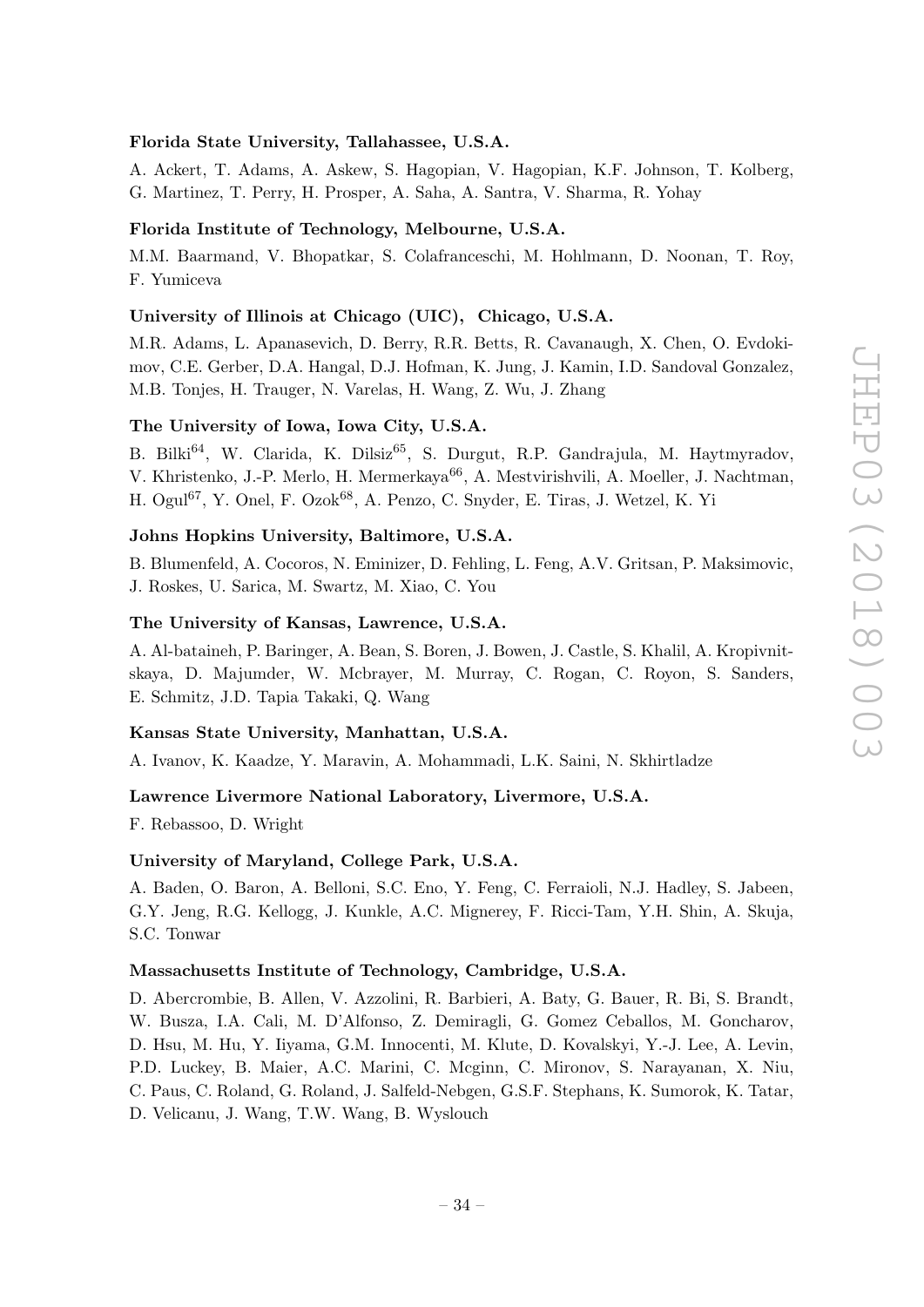#### Florida State University, Tallahassee, U.S.A.

A. Ackert, T. Adams, A. Askew, S. Hagopian, V. Hagopian, K.F. Johnson, T. Kolberg, G. Martinez, T. Perry, H. Prosper, A. Saha, A. Santra, V. Sharma, R. Yohay

### Florida Institute of Technology, Melbourne, U.S.A.

M.M. Baarmand, V. Bhopatkar, S. Colafranceschi, M. Hohlmann, D. Noonan, T. Roy, F. Yumiceva

### University of Illinois at Chicago (UIC), Chicago, U.S.A.

M.R. Adams, L. Apanasevich, D. Berry, R.R. Betts, R. Cavanaugh, X. Chen, O. Evdokimov, C.E. Gerber, D.A. Hangal, D.J. Hofman, K. Jung, J. Kamin, I.D. Sandoval Gonzalez, M.B. Tonjes, H. Trauger, N. Varelas, H. Wang, Z. Wu, J. Zhang

### The University of Iowa, Iowa City, U.S.A.

B. Bilki<sup>64</sup>, W. Clarida, K. Dilsiz<sup>65</sup>, S. Durgut, R.P. Gandrajula, M. Haytmyradov, V. Khristenko, J.-P. Merlo, H. Mermerkaya<sup>66</sup>, A. Mestvirishvili, A. Moeller, J. Nachtman, H. Ogul<sup>67</sup>, Y. Onel, F. Ozok<sup>68</sup>, A. Penzo, C. Snyder, E. Tiras, J. Wetzel, K. Yi

### Johns Hopkins University, Baltimore, U.S.A.

B. Blumenfeld, A. Cocoros, N. Eminizer, D. Fehling, L. Feng, A.V. Gritsan, P. Maksimovic, J. Roskes, U. Sarica, M. Swartz, M. Xiao, C. You

### The University of Kansas, Lawrence, U.S.A.

A. Al-bataineh, P. Baringer, A. Bean, S. Boren, J. Bowen, J. Castle, S. Khalil, A. Kropivnitskaya, D. Majumder, W. Mcbrayer, M. Murray, C. Rogan, C. Royon, S. Sanders, E. Schmitz, J.D. Tapia Takaki, Q. Wang

#### Kansas State University, Manhattan, U.S.A.

A. Ivanov, K. Kaadze, Y. Maravin, A. Mohammadi, L.K. Saini, N. Skhirtladze

#### Lawrence Livermore National Laboratory, Livermore, U.S.A.

F. Rebassoo, D. Wright

### University of Maryland, College Park, U.S.A.

A. Baden, O. Baron, A. Belloni, S.C. Eno, Y. Feng, C. Ferraioli, N.J. Hadley, S. Jabeen, G.Y. Jeng, R.G. Kellogg, J. Kunkle, A.C. Mignerey, F. Ricci-Tam, Y.H. Shin, A. Skuja, S.C. Tonwar

#### Massachusetts Institute of Technology, Cambridge, U.S.A.

D. Abercrombie, B. Allen, V. Azzolini, R. Barbieri, A. Baty, G. Bauer, R. Bi, S. Brandt, W. Busza, I.A. Cali, M. D'Alfonso, Z. Demiragli, G. Gomez Ceballos, M. Goncharov, D. Hsu, M. Hu, Y. Iiyama, G.M. Innocenti, M. Klute, D. Kovalskyi, Y.-J. Lee, A. Levin, P.D. Luckey, B. Maier, A.C. Marini, C. Mcginn, C. Mironov, S. Narayanan, X. Niu, C. Paus, C. Roland, G. Roland, J. Salfeld-Nebgen, G.S.F. Stephans, K. Sumorok, K. Tatar, D. Velicanu, J. Wang, T.W. Wang, B. Wyslouch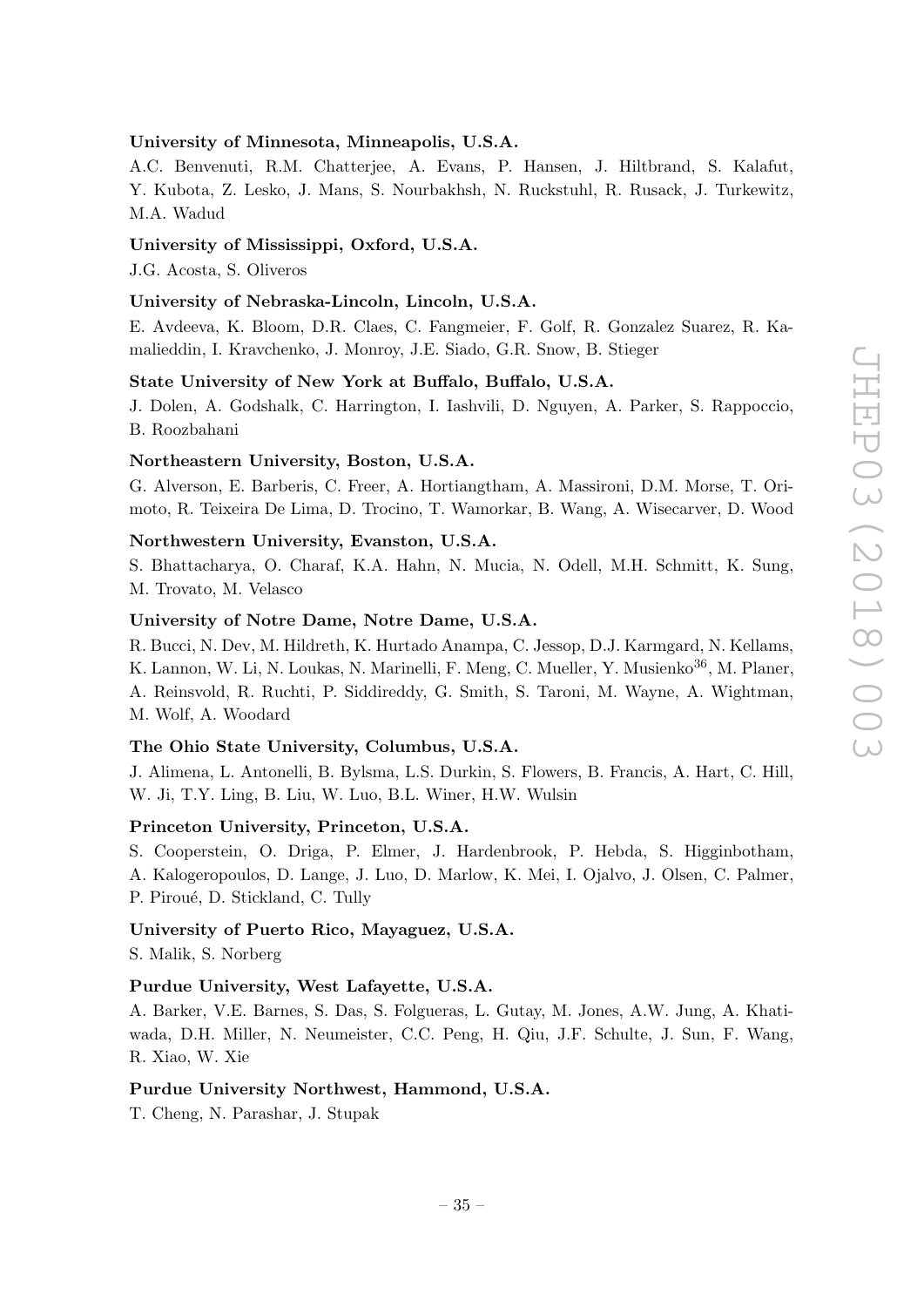#### University of Minnesota, Minneapolis, U.S.A.

A.C. Benvenuti, R.M. Chatterjee, A. Evans, P. Hansen, J. Hiltbrand, S. Kalafut, Y. Kubota, Z. Lesko, J. Mans, S. Nourbakhsh, N. Ruckstuhl, R. Rusack, J. Turkewitz, M.A. Wadud

### University of Mississippi, Oxford, U.S.A.

J.G. Acosta, S. Oliveros

### University of Nebraska-Lincoln, Lincoln, U.S.A.

E. Avdeeva, K. Bloom, D.R. Claes, C. Fangmeier, F. Golf, R. Gonzalez Suarez, R. Kamalieddin, I. Kravchenko, J. Monroy, J.E. Siado, G.R. Snow, B. Stieger

### State University of New York at Buffalo, Buffalo, U.S.A.

J. Dolen, A. Godshalk, C. Harrington, I. Iashvili, D. Nguyen, A. Parker, S. Rappoccio, B. Roozbahani

#### Northeastern University, Boston, U.S.A.

G. Alverson, E. Barberis, C. Freer, A. Hortiangtham, A. Massironi, D.M. Morse, T. Orimoto, R. Teixeira De Lima, D. Trocino, T. Wamorkar, B. Wang, A. Wisecarver, D. Wood

### Northwestern University, Evanston, U.S.A.

S. Bhattacharya, O. Charaf, K.A. Hahn, N. Mucia, N. Odell, M.H. Schmitt, K. Sung, M. Trovato, M. Velasco

### University of Notre Dame, Notre Dame, U.S.A.

R. Bucci, N. Dev, M. Hildreth, K. Hurtado Anampa, C. Jessop, D.J. Karmgard, N. Kellams, K. Lannon, W. Li, N. Loukas, N. Marinelli, F. Meng, C. Mueller, Y. Musienko<sup>36</sup>, M. Planer, A. Reinsvold, R. Ruchti, P. Siddireddy, G. Smith, S. Taroni, M. Wayne, A. Wightman, M. Wolf, A. Woodard

#### The Ohio State University, Columbus, U.S.A.

J. Alimena, L. Antonelli, B. Bylsma, L.S. Durkin, S. Flowers, B. Francis, A. Hart, C. Hill, W. Ji, T.Y. Ling, B. Liu, W. Luo, B.L. Winer, H.W. Wulsin

### Princeton University, Princeton, U.S.A.

S. Cooperstein, O. Driga, P. Elmer, J. Hardenbrook, P. Hebda, S. Higginbotham, A. Kalogeropoulos, D. Lange, J. Luo, D. Marlow, K. Mei, I. Ojalvo, J. Olsen, C. Palmer, P. Piroué, D. Stickland, C. Tully

### University of Puerto Rico, Mayaguez, U.S.A.

S. Malik, S. Norberg

### Purdue University, West Lafayette, U.S.A.

A. Barker, V.E. Barnes, S. Das, S. Folgueras, L. Gutay, M. Jones, A.W. Jung, A. Khatiwada, D.H. Miller, N. Neumeister, C.C. Peng, H. Qiu, J.F. Schulte, J. Sun, F. Wang, R. Xiao, W. Xie

### Purdue University Northwest, Hammond, U.S.A.

T. Cheng, N. Parashar, J. Stupak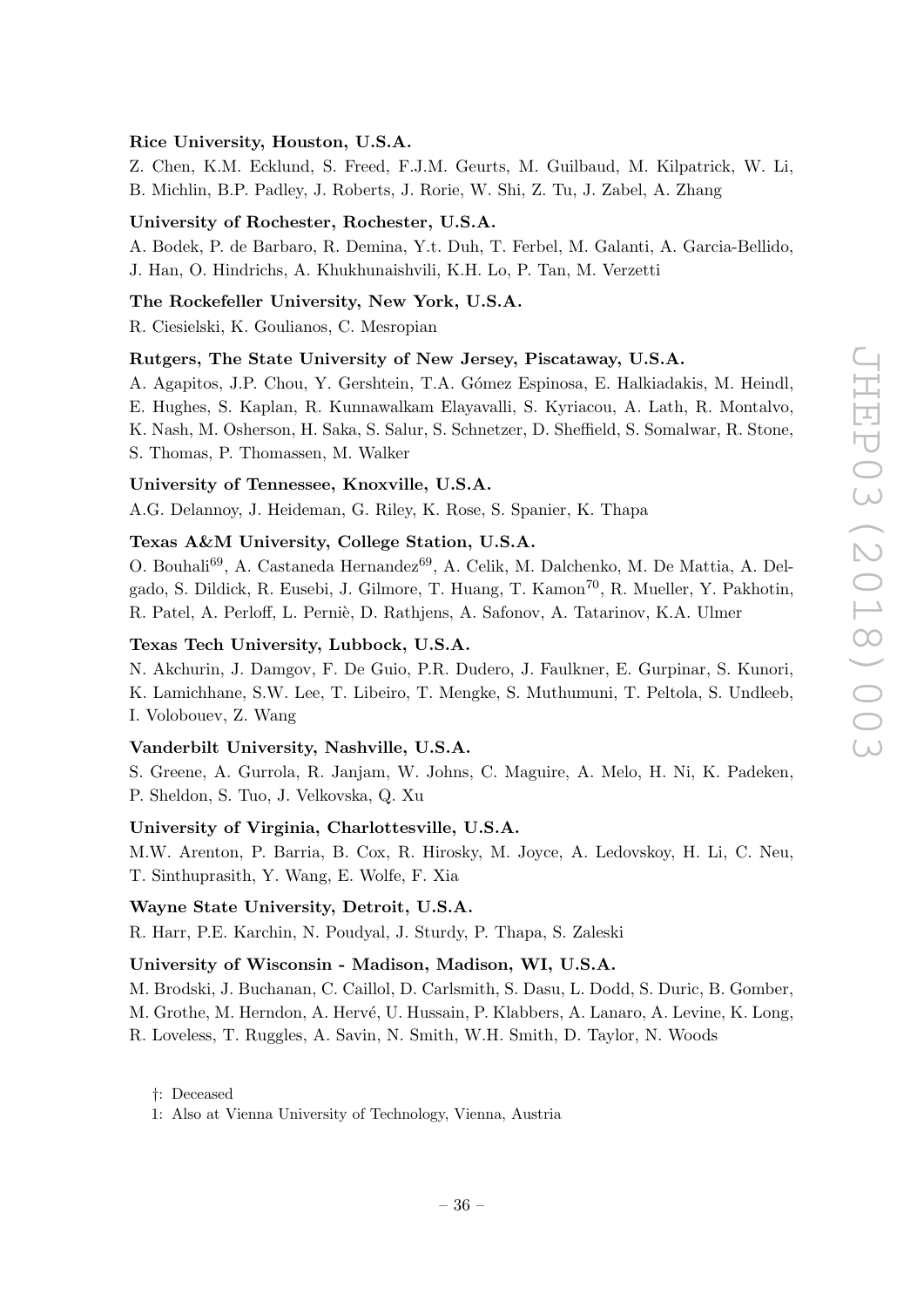#### Rice University, Houston, U.S.A.

Z. Chen, K.M. Ecklund, S. Freed, F.J.M. Geurts, M. Guilbaud, M. Kilpatrick, W. Li, B. Michlin, B.P. Padley, J. Roberts, J. Rorie, W. Shi, Z. Tu, J. Zabel, A. Zhang

#### University of Rochester, Rochester, U.S.A.

A. Bodek, P. de Barbaro, R. Demina, Y.t. Duh, T. Ferbel, M. Galanti, A. Garcia-Bellido, J. Han, O. Hindrichs, A. Khukhunaishvili, K.H. Lo, P. Tan, M. Verzetti

### The Rockefeller University, New York, U.S.A.

R. Ciesielski, K. Goulianos, C. Mesropian

### Rutgers, The State University of New Jersey, Piscataway, U.S.A.

A. Agapitos, J.P. Chou, Y. Gershtein, T.A. Gómez Espinosa, E. Halkiadakis, M. Heindl,

E. Hughes, S. Kaplan, R. Kunnawalkam Elayavalli, S. Kyriacou, A. Lath, R. Montalvo,

K. Nash, M. Osherson, H. Saka, S. Salur, S. Schnetzer, D. Sheffield, S. Somalwar, R. Stone,

S. Thomas, P. Thomassen, M. Walker

# University of Tennessee, Knoxville, U.S.A.

A.G. Delannoy, J. Heideman, G. Riley, K. Rose, S. Spanier, K. Thapa

### Texas A&M University, College Station, U.S.A.

O. Bouhali<sup>69</sup>, A. Castaneda Hernandez<sup>69</sup>, A. Celik, M. Dalchenko, M. De Mattia, A. Delgado, S. Dildick, R. Eusebi, J. Gilmore, T. Huang, T. Kamon<sup>70</sup>, R. Mueller, Y. Pakhotin, R. Patel, A. Perloff, L. Perniè, D. Rathjens, A. Safonov, A. Tatarinov, K.A. Ulmer

### Texas Tech University, Lubbock, U.S.A.

N. Akchurin, J. Damgov, F. De Guio, P.R. Dudero, J. Faulkner, E. Gurpinar, S. Kunori, K. Lamichhane, S.W. Lee, T. Libeiro, T. Mengke, S. Muthumuni, T. Peltola, S. Undleeb, I. Volobouev, Z. Wang

### Vanderbilt University, Nashville, U.S.A.

S. Greene, A. Gurrola, R. Janjam, W. Johns, C. Maguire, A. Melo, H. Ni, K. Padeken, P. Sheldon, S. Tuo, J. Velkovska, Q. Xu

### University of Virginia, Charlottesville, U.S.A.

M.W. Arenton, P. Barria, B. Cox, R. Hirosky, M. Joyce, A. Ledovskoy, H. Li, C. Neu, T. Sinthuprasith, Y. Wang, E. Wolfe, F. Xia

### Wayne State University, Detroit, U.S.A.

R. Harr, P.E. Karchin, N. Poudyal, J. Sturdy, P. Thapa, S. Zaleski

### University of Wisconsin - Madison, Madison, WI, U.S.A.

M. Brodski, J. Buchanan, C. Caillol, D. Carlsmith, S. Dasu, L. Dodd, S. Duric, B. Gomber,

M. Grothe, M. Herndon, A. Hervé, U. Hussain, P. Klabbers, A. Lanaro, A. Levine, K. Long,

R. Loveless, T. Ruggles, A. Savin, N. Smith, W.H. Smith, D. Taylor, N. Woods

†: Deceased

1: Also at Vienna University of Technology, Vienna, Austria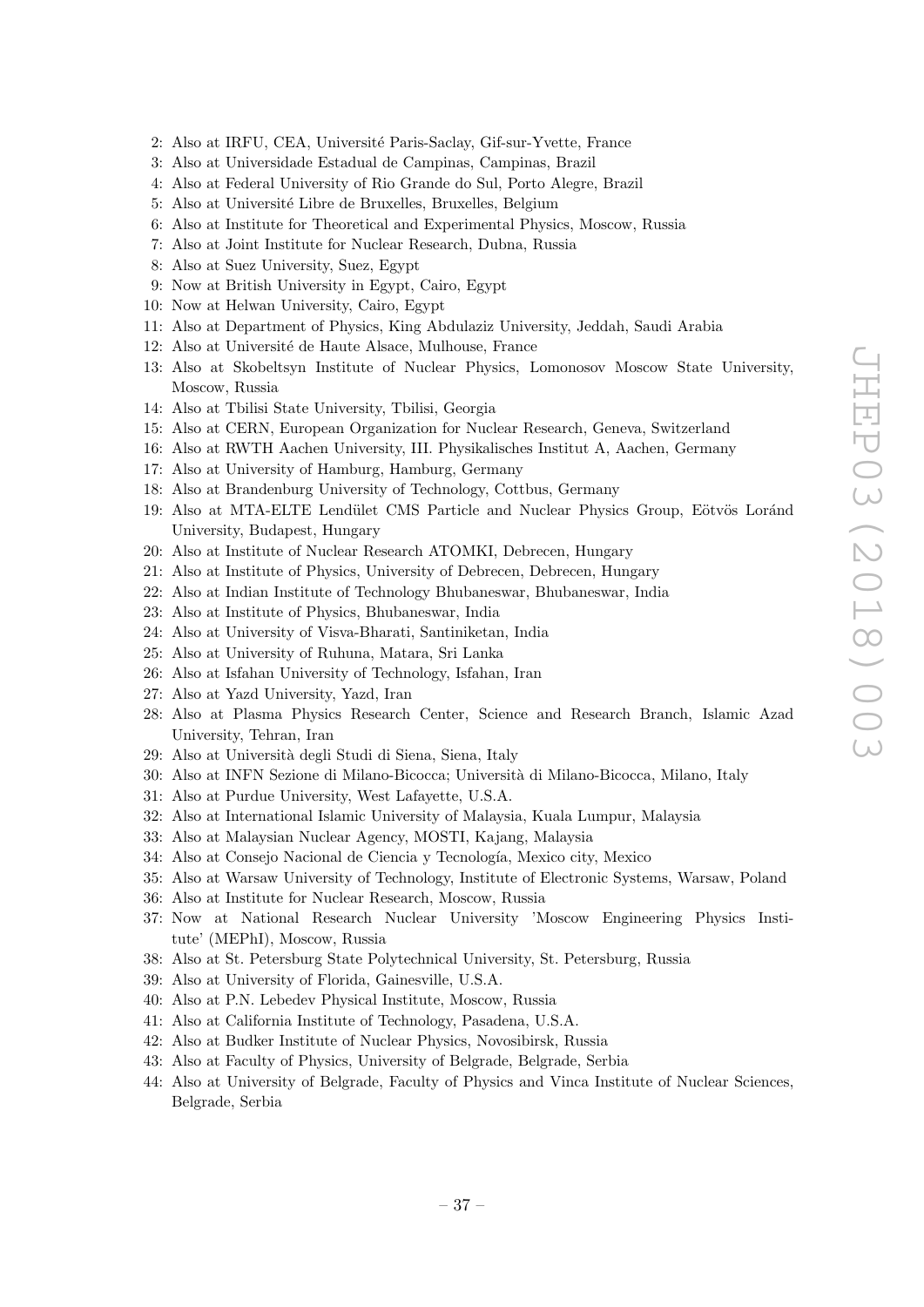- 2: Also at IRFU, CEA, Université Paris-Saclay, Gif-sur-Yvette, France
- 3: Also at Universidade Estadual de Campinas, Campinas, Brazil
- 4: Also at Federal University of Rio Grande do Sul, Porto Alegre, Brazil
- 5: Also at Université Libre de Bruxelles, Bruxelles, Belgium
- 6: Also at Institute for Theoretical and Experimental Physics, Moscow, Russia
- 7: Also at Joint Institute for Nuclear Research, Dubna, Russia
- 8: Also at Suez University, Suez, Egypt
- 9: Now at British University in Egypt, Cairo, Egypt
- 10: Now at Helwan University, Cairo, Egypt
- 11: Also at Department of Physics, King Abdulaziz University, Jeddah, Saudi Arabia
- 12: Also at Université de Haute Alsace, Mulhouse, France
- 13: Also at Skobeltsyn Institute of Nuclear Physics, Lomonosov Moscow State University, Moscow, Russia
- 14: Also at Tbilisi State University, Tbilisi, Georgia
- 15: Also at CERN, European Organization for Nuclear Research, Geneva, Switzerland
- 16: Also at RWTH Aachen University, III. Physikalisches Institut A, Aachen, Germany
- 17: Also at University of Hamburg, Hamburg, Germany
- 18: Also at Brandenburg University of Technology, Cottbus, Germany
- 19: Also at MTA-ELTE Lendület CMS Particle and Nuclear Physics Group, Eötvös Loránd University, Budapest, Hungary
- 20: Also at Institute of Nuclear Research ATOMKI, Debrecen, Hungary
- 21: Also at Institute of Physics, University of Debrecen, Debrecen, Hungary
- 22: Also at Indian Institute of Technology Bhubaneswar, Bhubaneswar, India
- 23: Also at Institute of Physics, Bhubaneswar, India
- 24: Also at University of Visva-Bharati, Santiniketan, India
- 25: Also at University of Ruhuna, Matara, Sri Lanka
- 26: Also at Isfahan University of Technology, Isfahan, Iran
- 27: Also at Yazd University, Yazd, Iran
- 28: Also at Plasma Physics Research Center, Science and Research Branch, Islamic Azad University, Tehran, Iran
- 29: Also at Università degli Studi di Siena, Siena, Italy
- 30: Also at INFN Sezione di Milano-Bicocca; Università di Milano-Bicocca, Milano, Italy
- 31: Also at Purdue University, West Lafayette, U.S.A.
- 32: Also at International Islamic University of Malaysia, Kuala Lumpur, Malaysia
- 33: Also at Malaysian Nuclear Agency, MOSTI, Kajang, Malaysia
- 34: Also at Consejo Nacional de Ciencia y Tecnología, Mexico city, Mexico
- 35: Also at Warsaw University of Technology, Institute of Electronic Systems, Warsaw, Poland
- 36: Also at Institute for Nuclear Research, Moscow, Russia
- 37: Now at National Research Nuclear University 'Moscow Engineering Physics Institute' (MEPhI), Moscow, Russia
- 38: Also at St. Petersburg State Polytechnical University, St. Petersburg, Russia
- 39: Also at University of Florida, Gainesville, U.S.A.
- 40: Also at P.N. Lebedev Physical Institute, Moscow, Russia
- 41: Also at California Institute of Technology, Pasadena, U.S.A.
- 42: Also at Budker Institute of Nuclear Physics, Novosibirsk, Russia
- 43: Also at Faculty of Physics, University of Belgrade, Belgrade, Serbia
- 44: Also at University of Belgrade, Faculty of Physics and Vinca Institute of Nuclear Sciences, Belgrade, Serbia